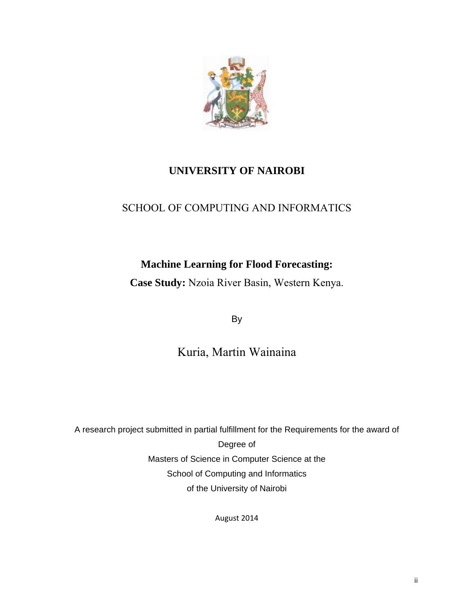

## **UNIVERSITY OF NAIROBI**

## SCHOOL OF COMPUTING AND INFORMATICS

## **Machine Learning for Flood Forecasting:**

**Case Study:** Nzoia River Basin, Western Kenya.

By

Kuria, Martin Wainaina

A research project submitted in partial fulfillment for the Requirements for the award of Degree of Masters of Science in Computer Science at the School of Computing and Informatics of the University of Nairobi

August 2014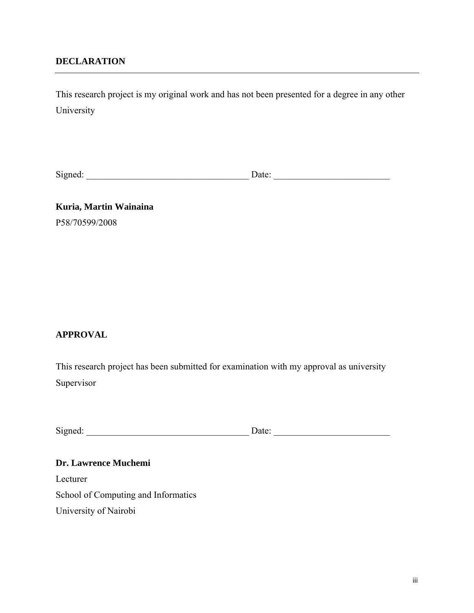## **DECLARATION**

This research project is my original work and has not been presented for a degree in any other University

Signed: \_\_\_\_\_\_\_\_\_\_\_\_\_\_\_\_\_\_\_\_\_\_\_\_\_\_\_\_\_\_\_\_\_\_\_ Date: \_\_\_\_\_\_\_\_\_\_\_\_\_\_\_\_\_\_\_\_\_\_\_\_\_

**Kuria, Martin Wainaina**  P58/70599/2008

## **APPROVAL**

This research project has been submitted for examination with my approval as university Supervisor

| Signed: | Jate: |  |
|---------|-------|--|
|         |       |  |

**Dr. Lawrence Muchemi**  Lecturer School of Computing and Informatics University of Nairobi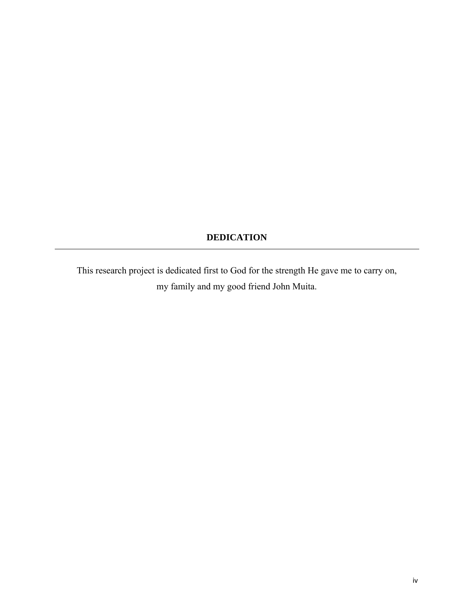## **DEDICATION**

This research project is dedicated first to God for the strength He gave me to carry on, my family and my good friend John Muita.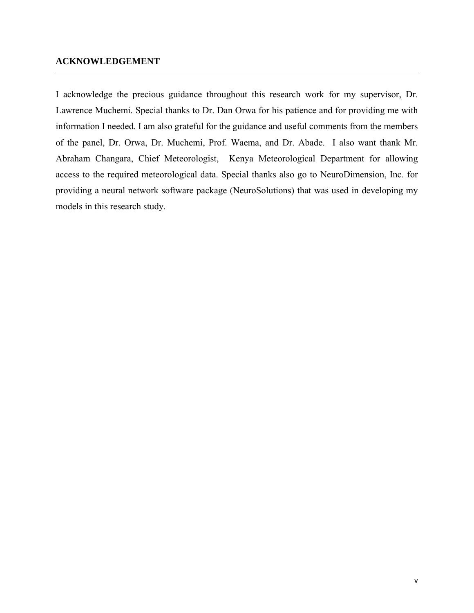## **ACKNOWLEDGEMENT**

I acknowledge the precious guidance throughout this research work for my supervisor, Dr. Lawrence Muchemi. Special thanks to Dr. Dan Orwa for his patience and for providing me with information I needed. I am also grateful for the guidance and useful comments from the members of the panel, Dr. Orwa, Dr. Muchemi, Prof. Waema, and Dr. Abade. I also want thank Mr. Abraham Changara, Chief Meteorologist, Kenya Meteorological Department for allowing access to the required meteorological data. Special thanks also go to NeuroDimension, Inc. for providing a neural network software package (NeuroSolutions) that was used in developing my models in this research study.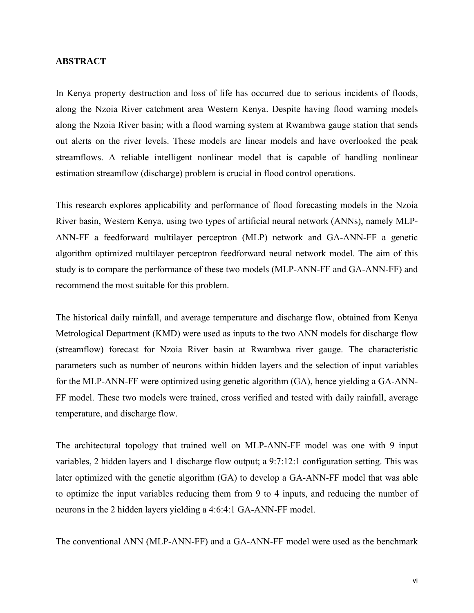#### **ABSTRACT**

In Kenya property destruction and loss of life has occurred due to serious incidents of floods, along the Nzoia River catchment area Western Kenya. Despite having flood warning models along the Nzoia River basin; with a flood warning system at Rwambwa gauge station that sends out alerts on the river levels. These models are linear models and have overlooked the peak streamflows. A reliable intelligent nonlinear model that is capable of handling nonlinear estimation streamflow (discharge) problem is crucial in flood control operations.

This research explores applicability and performance of flood forecasting models in the Nzoia River basin, Western Kenya, using two types of artificial neural network (ANNs), namely MLP-ANN-FF a feedforward multilayer perceptron (MLP) network and GA-ANN-FF a genetic algorithm optimized multilayer perceptron feedforward neural network model. The aim of this study is to compare the performance of these two models (MLP-ANN-FF and GA-ANN-FF) and recommend the most suitable for this problem.

The historical daily rainfall, and average temperature and discharge flow, obtained from Kenya Metrological Department (KMD) were used as inputs to the two ANN models for discharge flow (streamflow) forecast for Nzoia River basin at Rwambwa river gauge. The characteristic parameters such as number of neurons within hidden layers and the selection of input variables for the MLP-ANN-FF were optimized using genetic algorithm (GA), hence yielding a GA-ANN-FF model. These two models were trained, cross verified and tested with daily rainfall, average temperature, and discharge flow.

The architectural topology that trained well on MLP-ANN-FF model was one with 9 input variables, 2 hidden layers and 1 discharge flow output; a 9:7:12:1 configuration setting. This was later optimized with the genetic algorithm (GA) to develop a GA-ANN-FF model that was able to optimize the input variables reducing them from 9 to 4 inputs, and reducing the number of neurons in the 2 hidden layers yielding a 4:6:4:1 GA-ANN-FF model.

The conventional ANN (MLP-ANN-FF) and a GA-ANN-FF model were used as the benchmark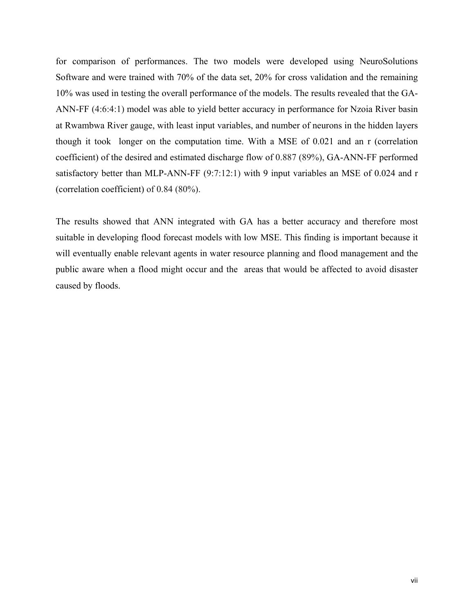for comparison of performances. The two models were developed using NeuroSolutions Software and were trained with 70% of the data set, 20% for cross validation and the remaining 10% was used in testing the overall performance of the models. The results revealed that the GA-ANN-FF (4:6:4:1) model was able to yield better accuracy in performance for Nzoia River basin at Rwambwa River gauge, with least input variables, and number of neurons in the hidden layers though it took longer on the computation time. With a MSE of 0.021 and an r (correlation coefficient) of the desired and estimated discharge flow of 0.887 (89%), GA-ANN-FF performed satisfactory better than MLP-ANN-FF (9:7:12:1) with 9 input variables an MSE of 0.024 and r (correlation coefficient) of 0.84 (80%).

The results showed that ANN integrated with GA has a better accuracy and therefore most suitable in developing flood forecast models with low MSE. This finding is important because it will eventually enable relevant agents in water resource planning and flood management and the public aware when a flood might occur and the areas that would be affected to avoid disaster caused by floods.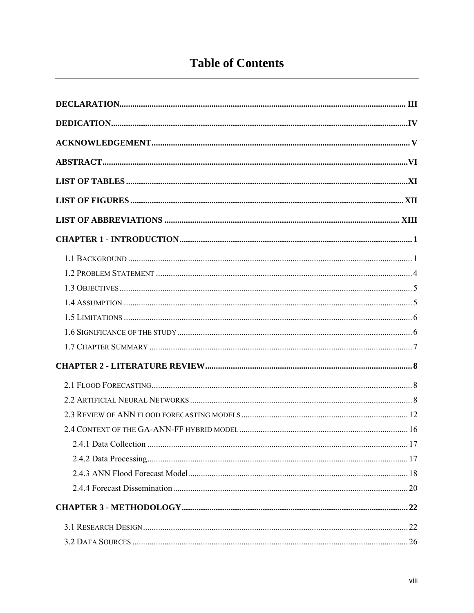# **Table of Contents**

| 241 Data Collection | . 17 |
|---------------------|------|
|                     |      |
|                     |      |
|                     |      |
|                     |      |
|                     |      |
|                     |      |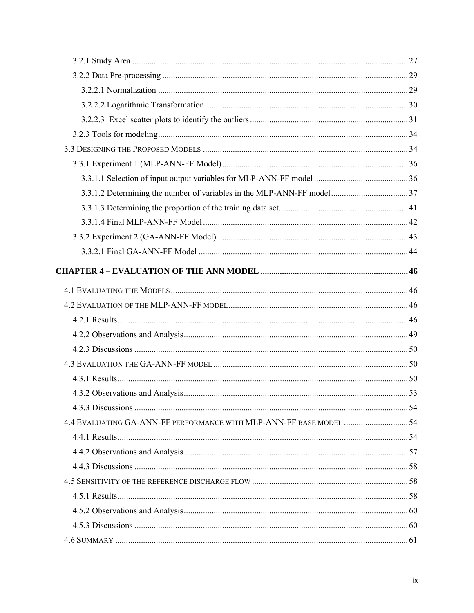| 4.4 EVALUATING GA-ANN-FF PERFORMANCE WITH MLP-ANN-FF BASE MODEL  54 |  |
|---------------------------------------------------------------------|--|
|                                                                     |  |
|                                                                     |  |
|                                                                     |  |
|                                                                     |  |
|                                                                     |  |
|                                                                     |  |
|                                                                     |  |
|                                                                     |  |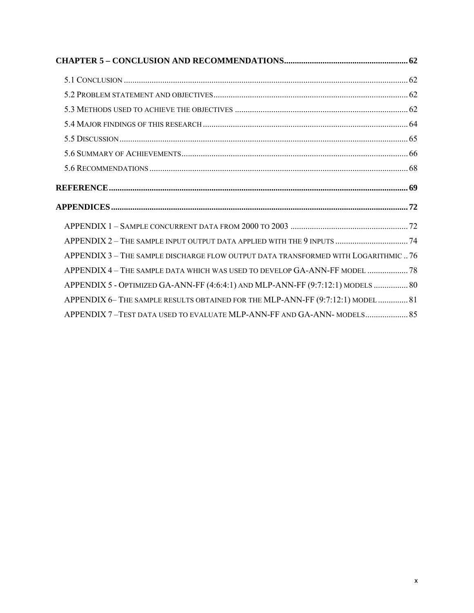| APPENDIX 3 - THE SAMPLE DISCHARGE FLOW OUTPUT DATA TRANSFORMED WITH LOGARITHMIC  76 |  |
|-------------------------------------------------------------------------------------|--|
| APPENDIX 4 - THE SAMPLE DATA WHICH WAS USED TO DEVELOP GA-ANN-FF MODEL  78          |  |
| APPENDIX 5 - OPTIMIZED GA-ANN-FF (4:6:4:1) AND MLP-ANN-FF (9:7:12:1) MODELS  80     |  |
| APPENDIX 6- THE SAMPLE RESULTS OBTAINED FOR THE MLP-ANN-FF (9:7:12:1) MODEL  81     |  |
| APPENDIX 7-TEST DATA USED TO EVALUATE MLP-ANN-FF AND GA-ANN-MODELS 85               |  |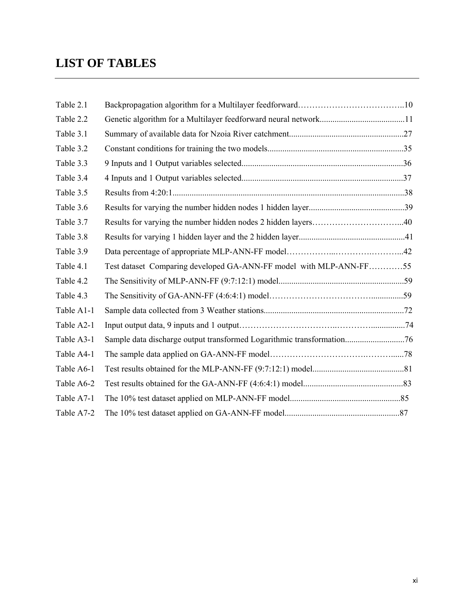## **LIST OF TABLES**

| Table 2.1  |                                                                       |  |
|------------|-----------------------------------------------------------------------|--|
| Table 2.2  |                                                                       |  |
| Table 3.1  |                                                                       |  |
| Table 3.2  |                                                                       |  |
| Table 3.3  |                                                                       |  |
| Table 3.4  |                                                                       |  |
| Table 3.5  |                                                                       |  |
| Table 3.6  |                                                                       |  |
| Table 3.7  | Results for varying the number hidden nodes 2 hidden layers40         |  |
| Table 3.8  |                                                                       |  |
| Table 3.9  |                                                                       |  |
| Table 4.1  | Test dataset Comparing developed GA-ANN-FF model with MLP-ANN-FF55    |  |
| Table 4.2  |                                                                       |  |
| Table 4.3  |                                                                       |  |
| Table A1-1 |                                                                       |  |
| Table A2-1 |                                                                       |  |
| Table A3-1 | Sample data discharge output transformed Logarithmic transformation76 |  |
| Table A4-1 |                                                                       |  |
| Table A6-1 |                                                                       |  |
| Table A6-2 |                                                                       |  |
| Table A7-1 |                                                                       |  |
| Table A7-2 |                                                                       |  |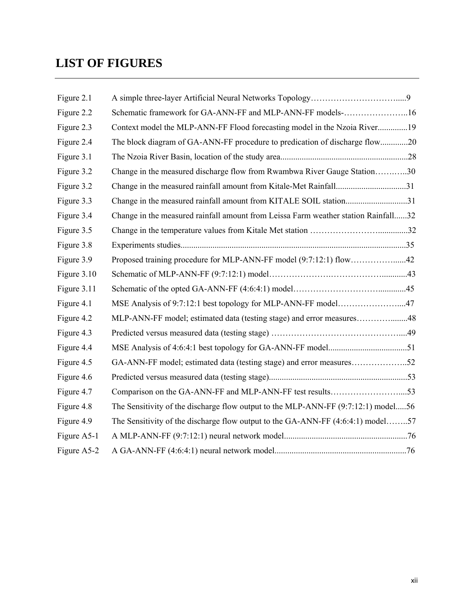# **LIST OF FIGURES**

| Figure 2.1  |                                                                                    |  |
|-------------|------------------------------------------------------------------------------------|--|
| Figure 2.2  | Schematic framework for GA-ANN-FF and MLP-ANN-FF models-16                         |  |
| Figure 2.3  | Context model the MLP-ANN-FF Flood forecasting model in the Nzoia River19          |  |
| Figure 2.4  | The block diagram of GA-ANN-FF procedure to predication of discharge flow20        |  |
| Figure 3.1  |                                                                                    |  |
| Figure 3.2  | Change in the measured discharge flow from Rwambwa River Gauge Station30           |  |
| Figure 3.2  | Change in the measured rainfall amount from Kitale-Met Rainfall31                  |  |
| Figure 3.3  | Change in the measured rainfall amount from KITALE SOIL station31                  |  |
| Figure 3.4  | Change in the measured rainfall amount from Leissa Farm weather station Rainfall32 |  |
| Figure 3.5  |                                                                                    |  |
| Figure 3.8  |                                                                                    |  |
| Figure 3.9  |                                                                                    |  |
| Figure 3.10 |                                                                                    |  |
| Figure 3.11 |                                                                                    |  |
| Figure 4.1  | MSE Analysis of 9:7:12:1 best topology for MLP-ANN-FF model47                      |  |
| Figure 4.2  | MLP-ANN-FF model; estimated data (testing stage) and error measures48              |  |
| Figure 4.3  |                                                                                    |  |
| Figure 4.4  |                                                                                    |  |
| Figure 4.5  | GA-ANN-FF model; estimated data (testing stage) and error measures52               |  |
| Figure 4.6  |                                                                                    |  |
| Figure 4.7  |                                                                                    |  |
| Figure 4.8  | The Sensitivity of the discharge flow output to the MLP-ANN-FF (9:7:12:1) model56  |  |
| Figure 4.9  | The Sensitivity of the discharge flow output to the GA-ANN-FF (4:6:4:1) model57    |  |
| Figure A5-1 |                                                                                    |  |
| Figure A5-2 |                                                                                    |  |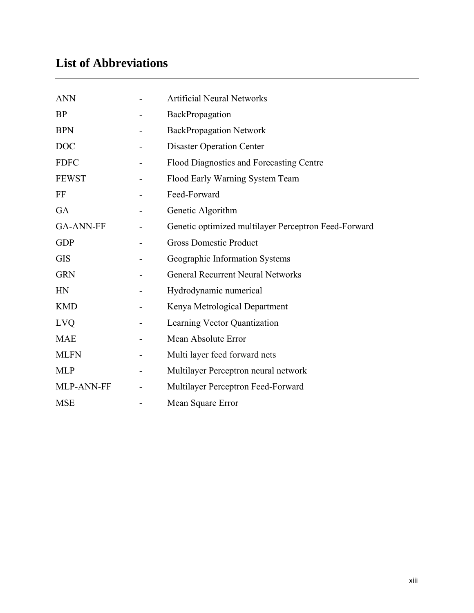# **List of Abbreviations**

| <b>ANN</b>       | <b>Artificial Neural Networks</b>                    |
|------------------|------------------------------------------------------|
| <b>BP</b>        | BackPropagation                                      |
| <b>BPN</b>       | <b>BackPropagation Network</b>                       |
| <b>DOC</b>       | <b>Disaster Operation Center</b>                     |
| <b>FDFC</b>      | Flood Diagnostics and Forecasting Centre             |
| <b>FEWST</b>     | Flood Early Warning System Team                      |
| FF               | Feed-Forward                                         |
| GA               | Genetic Algorithm                                    |
| <b>GA-ANN-FF</b> | Genetic optimized multilayer Perceptron Feed-Forward |
| <b>GDP</b>       | <b>Gross Domestic Product</b>                        |
| <b>GIS</b>       | Geographic Information Systems                       |
| <b>GRN</b>       | <b>General Recurrent Neural Networks</b>             |
| HN               | Hydrodynamic numerical                               |
| <b>KMD</b>       | Kenya Metrological Department                        |
| <b>LVQ</b>       | Learning Vector Quantization                         |
| <b>MAE</b>       | Mean Absolute Error                                  |
| <b>MLFN</b>      | Multi layer feed forward nets                        |
| <b>MLP</b>       | Multilayer Perceptron neural network                 |
| MLP-ANN-FF       | Multilayer Perceptron Feed-Forward                   |
| <b>MSE</b>       | Mean Square Error                                    |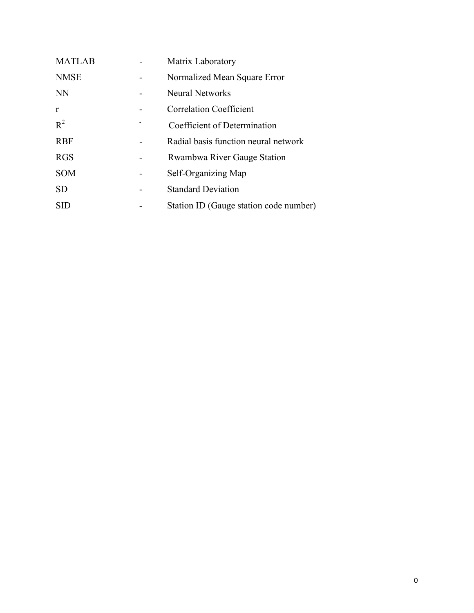| <b>MATLAB</b> | Matrix Laboratory                      |
|---------------|----------------------------------------|
| <b>NMSE</b>   | Normalized Mean Square Error           |
| <b>NN</b>     | <b>Neural Networks</b>                 |
| r             | <b>Correlation Coefficient</b>         |
| $R^2$         | Coefficient of Determination           |
| <b>RBF</b>    | Radial basis function neural network   |
| <b>RGS</b>    | Rwambwa River Gauge Station            |
| <b>SOM</b>    | Self-Organizing Map                    |
| <b>SD</b>     | <b>Standard Deviation</b>              |
| <b>SID</b>    | Station ID (Gauge station code number) |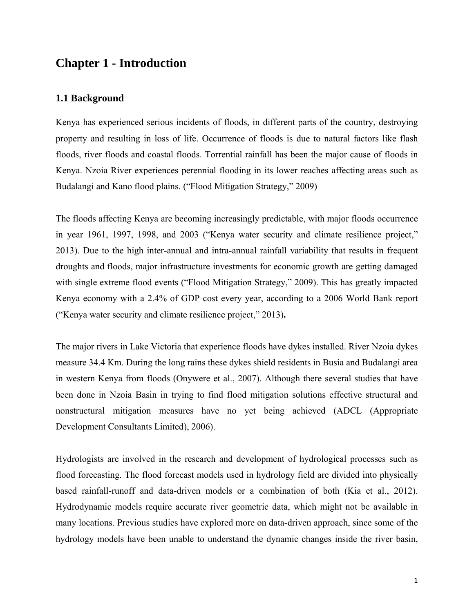## **1.1 Background**

Kenya has experienced serious incidents of floods, in different parts of the country, destroying property and resulting in loss of life. Occurrence of floods is due to natural factors like flash floods, river floods and coastal floods. Torrential rainfall has been the major cause of floods in Kenya. Nzoia River experiences perennial flooding in its lower reaches affecting areas such as Budalangi and Kano flood plains. ("Flood Mitigation Strategy," 2009)

The floods affecting Kenya are becoming increasingly predictable, with major floods occurrence in year 1961, 1997, 1998, and 2003 ("Kenya water security and climate resilience project," 2013). Due to the high inter-annual and intra-annual rainfall variability that results in frequent droughts and floods, major infrastructure investments for economic growth are getting damaged with single extreme flood events ("Flood Mitigation Strategy," 2009). This has greatly impacted Kenya economy with a 2.4% of GDP cost every year, according to a 2006 World Bank report ("Kenya water security and climate resilience project," 2013)**.**

The major rivers in Lake Victoria that experience floods have dykes installed. River Nzoia dykes measure 34.4 Km. During the long rains these dykes shield residents in Busia and Budalangi area in western Kenya from floods (Onywere et al., 2007). Although there several studies that have been done in Nzoia Basin in trying to find flood mitigation solutions effective structural and nonstructural mitigation measures have no yet being achieved (ADCL (Appropriate Development Consultants Limited), 2006).

Hydrologists are involved in the research and development of hydrological processes such as flood forecasting. The flood forecast models used in hydrology field are divided into physically based rainfall-runoff and data-driven models or a combination of both (Kia et al., 2012). Hydrodynamic models require accurate river geometric data, which might not be available in many locations. Previous studies have explored more on data-driven approach, since some of the hydrology models have been unable to understand the dynamic changes inside the river basin,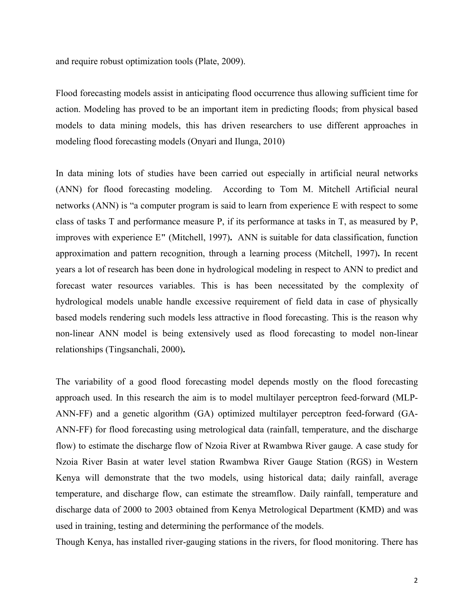and require robust optimization tools (Plate, 2009).

Flood forecasting models assist in anticipating flood occurrence thus allowing sufficient time for action. Modeling has proved to be an important item in predicting floods; from physical based models to data mining models, this has driven researchers to use different approaches in modeling flood forecasting models (Onyari and Ilunga, 2010)

In data mining lots of studies have been carried out especially in artificial neural networks (ANN) for flood forecasting modeling. According to Tom M. Mitchell Artificial neural networks (ANN) is "a computer program is said to learn from experience E with respect to some class of tasks T and performance measure P, if its performance at tasks in T, as measured by P, improves with experience E**"** (Mitchell, 1997)**.** ANN is suitable for data classification, function approximation and pattern recognition, through a learning process (Mitchell, 1997)**.** In recent years a lot of research has been done in hydrological modeling in respect to ANN to predict and forecast water resources variables. This is has been necessitated by the complexity of hydrological models unable handle excessive requirement of field data in case of physically based models rendering such models less attractive in flood forecasting. This is the reason why non-linear ANN model is being extensively used as flood forecasting to model non-linear relationships (Tingsanchali, 2000)**.**

The variability of a good flood forecasting model depends mostly on the flood forecasting approach used. In this research the aim is to model multilayer perceptron feed-forward (MLP-ANN-FF) and a genetic algorithm (GA) optimized multilayer perceptron feed-forward (GA-ANN-FF) for flood forecasting using metrological data (rainfall, temperature, and the discharge flow) to estimate the discharge flow of Nzoia River at Rwambwa River gauge. A case study for Nzoia River Basin at water level station Rwambwa River Gauge Station (RGS) in Western Kenya will demonstrate that the two models, using historical data; daily rainfall, average temperature, and discharge flow, can estimate the streamflow. Daily rainfall, temperature and discharge data of 2000 to 2003 obtained from Kenya Metrological Department (KMD) and was used in training, testing and determining the performance of the models.

Though Kenya, has installed river-gauging stations in the rivers, for flood monitoring. There has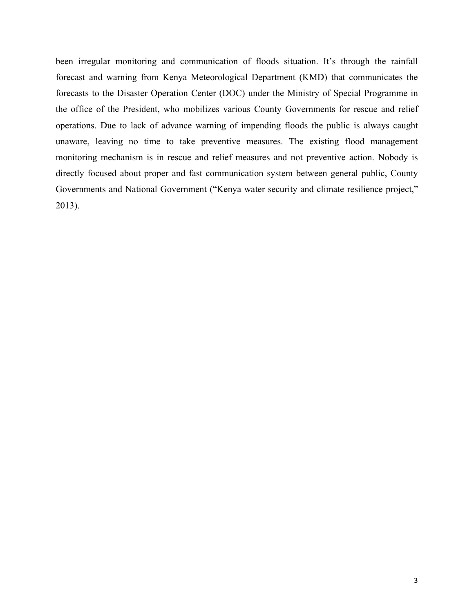been irregular monitoring and communication of floods situation. It's through the rainfall forecast and warning from Kenya Meteorological Department (KMD) that communicates the forecasts to the Disaster Operation Center (DOC) under the Ministry of Special Programme in the office of the President, who mobilizes various County Governments for rescue and relief operations. Due to lack of advance warning of impending floods the public is always caught unaware, leaving no time to take preventive measures. The existing flood management monitoring mechanism is in rescue and relief measures and not preventive action. Nobody is directly focused about proper and fast communication system between general public, County Governments and National Government ("Kenya water security and climate resilience project," 2013).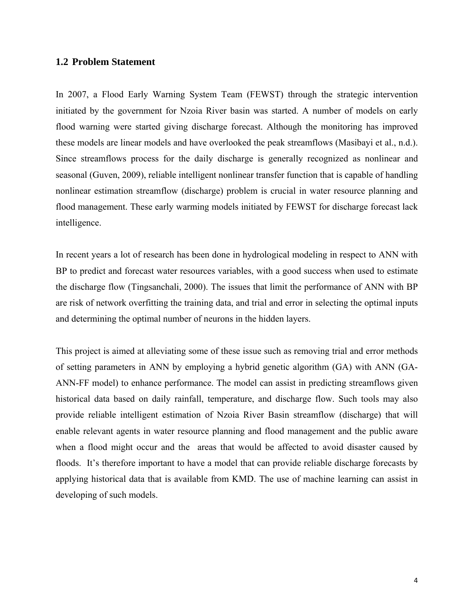## **1.2 Problem Statement**

In 2007, a Flood Early Warning System Team (FEWST) through the strategic intervention initiated by the government for Nzoia River basin was started. A number of models on early flood warning were started giving discharge forecast. Although the monitoring has improved these models are linear models and have overlooked the peak streamflows (Masibayi et al., n.d.). Since streamflows process for the daily discharge is generally recognized as nonlinear and seasonal (Guven, 2009), reliable intelligent nonlinear transfer function that is capable of handling nonlinear estimation streamflow (discharge) problem is crucial in water resource planning and flood management. These early warming models initiated by FEWST for discharge forecast lack intelligence.

In recent years a lot of research has been done in hydrological modeling in respect to ANN with BP to predict and forecast water resources variables, with a good success when used to estimate the discharge flow (Tingsanchali, 2000). The issues that limit the performance of ANN with BP are risk of network overfitting the training data, and trial and error in selecting the optimal inputs and determining the optimal number of neurons in the hidden layers.

This project is aimed at alleviating some of these issue such as removing trial and error methods of setting parameters in ANN by employing a hybrid genetic algorithm (GA) with ANN (GA-ANN-FF model) to enhance performance. The model can assist in predicting streamflows given historical data based on daily rainfall, temperature, and discharge flow. Such tools may also provide reliable intelligent estimation of Nzoia River Basin streamflow (discharge) that will enable relevant agents in water resource planning and flood management and the public aware when a flood might occur and the areas that would be affected to avoid disaster caused by floods. It's therefore important to have a model that can provide reliable discharge forecasts by applying historical data that is available from KMD. The use of machine learning can assist in developing of such models.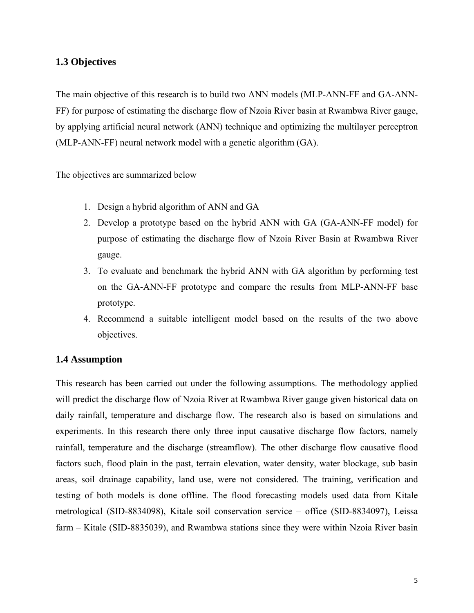## **1.3 Objectives**

The main objective of this research is to build two ANN models (MLP-ANN-FF and GA-ANN-FF) for purpose of estimating the discharge flow of Nzoia River basin at Rwambwa River gauge, by applying artificial neural network (ANN) technique and optimizing the multilayer perceptron (MLP-ANN-FF) neural network model with a genetic algorithm (GA).

The objectives are summarized below

- 1. Design a hybrid algorithm of ANN and GA
- 2. Develop a prototype based on the hybrid ANN with GA (GA-ANN-FF model) for purpose of estimating the discharge flow of Nzoia River Basin at Rwambwa River gauge.
- 3. To evaluate and benchmark the hybrid ANN with GA algorithm by performing test on the GA-ANN-FF prototype and compare the results from MLP-ANN-FF base prototype.
- 4. Recommend a suitable intelligent model based on the results of the two above objectives.

## **1.4 Assumption**

This research has been carried out under the following assumptions. The methodology applied will predict the discharge flow of Nzoia River at Rwambwa River gauge given historical data on daily rainfall, temperature and discharge flow. The research also is based on simulations and experiments. In this research there only three input causative discharge flow factors, namely rainfall, temperature and the discharge (streamflow). The other discharge flow causative flood factors such, flood plain in the past, terrain elevation, water density, water blockage, sub basin areas, soil drainage capability, land use, were not considered. The training, verification and testing of both models is done offline. The flood forecasting models used data from Kitale metrological (SID-8834098), Kitale soil conservation service – office (SID-8834097), Leissa farm – Kitale (SID-8835039), and Rwambwa stations since they were within Nzoia River basin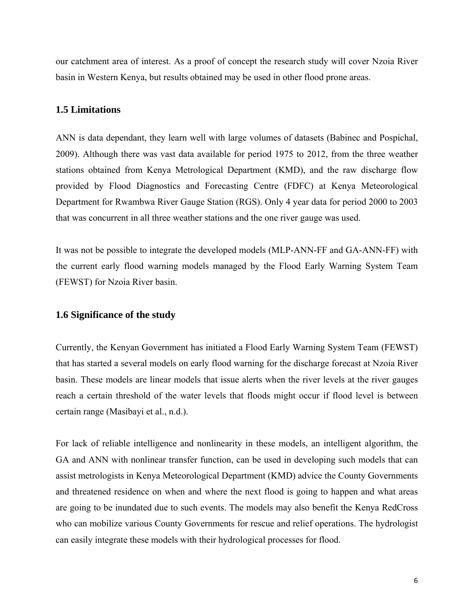our catchment area of interest. As a proof of concept the research study will cover Nzoia River basin in Western Kenya, but results obtained may be used in other flood prone areas.

#### **1.5 Limitations**

ANN is data dependant, they learn well with large volumes of datasets (Babinec and Pospíchal, 2009). Although there was vast data available for period 1975 to 2012, from the three weather stations obtained from Kenya Metrological Department (KMD), and the raw discharge flow provided by Flood Diagnostics and Forecasting Centre (FDFC) at Kenya Meteorological Department for Rwambwa River Gauge Station (RGS). Only 4 year data for period 2000 to 2003 that was concurrent in all three weather stations and the one river gauge was used.

It was not be possible to integrate the developed models (MLP-ANN-FF and GA-ANN-FF) with the current early flood warning models managed by the Flood Early Warning System Team (FEWST) for Nzoia River basin.

## **1.6 Significance of the study**

Currently, the Kenyan Government has initiated a Flood Early Warning System Team (FEWST) that has started a several models on early flood warning for the discharge forecast at Nzoia River basin. These models are linear models that issue alerts when the river levels at the river gauges reach a certain threshold of the water levels that floods might occur if flood level is between certain range (Masibayi et al., n.d.).

For lack of reliable intelligence and nonlinearity in these models, an intelligent algorithm, the GA and ANN with nonlinear transfer function, can be used in developing such models that can assist metrologists in Kenya Meteorological Department (KMD) advice the County Governments and threatened residence on when and where the next flood is going to happen and what areas are going to be inundated due to such events. The models may also benefit the Kenya RedCross who can mobilize various County Governments for rescue and relief operations. The hydrologist can easily integrate these models with their hydrological processes for flood.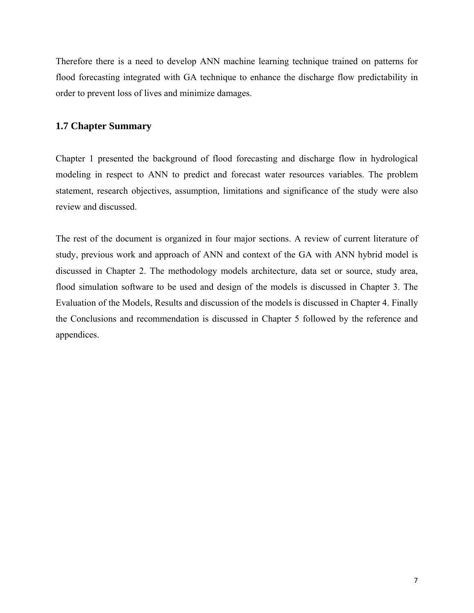Therefore there is a need to develop ANN machine learning technique trained on patterns for flood forecasting integrated with GA technique to enhance the discharge flow predictability in order to prevent loss of lives and minimize damages.

## **1.7 Chapter Summary**

Chapter 1 presented the background of flood forecasting and discharge flow in hydrological modeling in respect to ANN to predict and forecast water resources variables. The problem statement, research objectives, assumption, limitations and significance of the study were also review and discussed.

The rest of the document is organized in four major sections. A review of current literature of study, previous work and approach of ANN and context of the GA with ANN hybrid model is discussed in Chapter 2. The methodology models architecture, data set or source, study area, flood simulation software to be used and design of the models is discussed in Chapter 3. The Evaluation of the Models, Results and discussion of the models is discussed in Chapter 4. Finally the Conclusions and recommendation is discussed in Chapter 5 followed by the reference and appendices.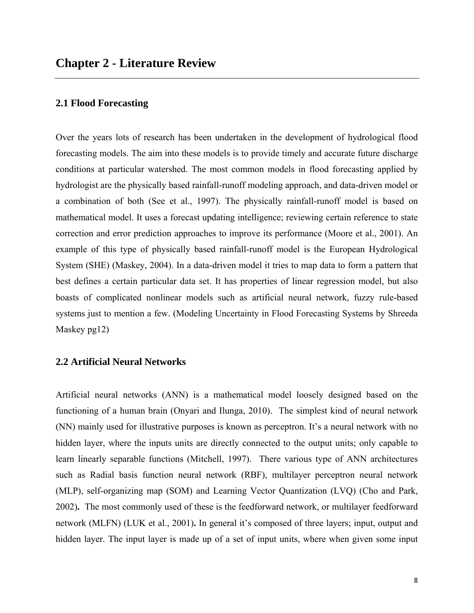### **2.1 Flood Forecasting**

Over the years lots of research has been undertaken in the development of hydrological flood forecasting models. The aim into these models is to provide timely and accurate future discharge conditions at particular watershed. The most common models in flood forecasting applied by hydrologist are the physically based rainfall-runoff modeling approach, and data-driven model or a combination of both (See et al., 1997). The physically rainfall-runoff model is based on mathematical model. It uses a forecast updating intelligence; reviewing certain reference to state correction and error prediction approaches to improve its performance (Moore et al., 2001). An example of this type of physically based rainfall-runoff model is the European Hydrological System (SHE) (Maskey, 2004). In a data-driven model it tries to map data to form a pattern that best defines a certain particular data set. It has properties of linear regression model, but also boasts of complicated nonlinear models such as artificial neural network, fuzzy rule-based systems just to mention a few. (Modeling Uncertainty in Flood Forecasting Systems by Shreeda Maskey pg12)

## **2.2 Artificial Neural Networks**

Artificial neural networks (ANN) is a mathematical model loosely designed based on the functioning of a human brain (Onyari and Ilunga, 2010). The simplest kind of neural network (NN) mainly used for illustrative purposes is known as perceptron. It's a neural network with no hidden layer, where the inputs units are directly connected to the output units; only capable to learn linearly separable functions (Mitchell, 1997). There various type of ANN architectures such as Radial basis function neural network (RBF), multilayer perceptron neural network (MLP), self-organizing map (SOM) and Learning Vector Quantization (LVQ) (Cho and Park, 2002)**.** The most commonly used of these is the feedforward network, or multilayer feedforward network (MLFN) (LUK et al., 2001)**.** In general it's composed of three layers; input, output and hidden layer. The input layer is made up of a set of input units, where when given some input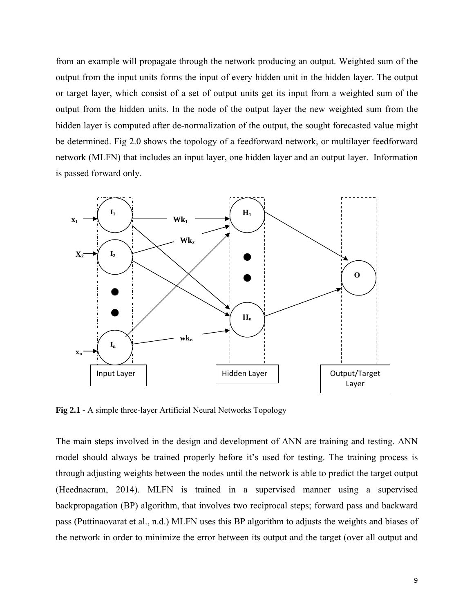from an example will propagate through the network producing an output. Weighted sum of the output from the input units forms the input of every hidden unit in the hidden layer. The output or target layer, which consist of a set of output units get its input from a weighted sum of the output from the hidden units. In the node of the output layer the new weighted sum from the hidden layer is computed after de-normalization of the output, the sought forecasted value might be determined. Fig 2.0 shows the topology of a feedforward network, or multilayer feedforward network (MLFN) that includes an input layer, one hidden layer and an output layer. Information is passed forward only.



**Fig 2.1 -** A simple three-layer Artificial Neural Networks Topology

The main steps involved in the design and development of ANN are training and testing. ANN model should always be trained properly before it's used for testing. The training process is through adjusting weights between the nodes until the network is able to predict the target output (Heednacram, 2014). MLFN is trained in a supervised manner using a supervised backpropagation (BP) algorithm, that involves two reciprocal steps; forward pass and backward pass (Puttinaovarat et al., n.d.) MLFN uses this BP algorithm to adjusts the weights and biases of the network in order to minimize the error between its output and the target (over all output and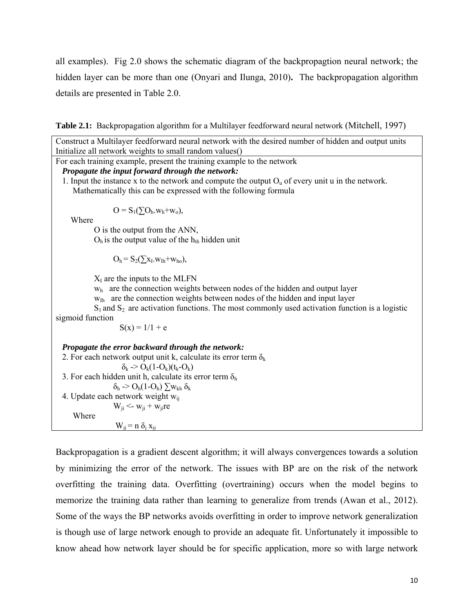all examples). Fig 2.0 shows the schematic diagram of the backpropagtion neural network; the hidden layer can be more than one (Onyari and Ilunga, 2010)**.** The backpropagation algorithm details are presented in Table 2.0.

**Table 2.1:** Backpropagation algorithm for a Multilayer feedforward neural network (Mitchell, 1997)

Construct a Multilayer feedforward neural network with the desired number of hidden and output units Initialize all network weights to small random values() For each training example, present the training example to the network  *Propagate the input forward through the network:*  1. Input the instance x to the network and compute the output  $O_u$  of every unit u in the network. Mathematically this can be expressed with the following formula  $O = S_1(\sum O_h w_h + w_o),$  Where O is the output from the ANN,  $O<sub>h</sub>$  is the output value of the  $h<sub>th</sub>$  hidden unit  $O_h = S_2(\sum_{I}x_I.w_{Ih}+w_{ho}),$  $X_I$  are the inputs to the MLFN  $w<sub>h</sub>$  are the connection weights between nodes of the hidden and output layer  $w_{Ih}$  are the connection weights between nodes of the hidden and input layer  $S_1$  and  $S_2$  are activation functions. The most commonly used activation function is a logistic sigmoid function  $S(x) = 1/1 + e$  *Propagate the error backward through the network:*  2. For each network output unit k, calculate its error term  $\delta_k$  $\delta_k$  -> O<sub>k</sub>(1-O<sub>k</sub>)(t<sub>k</sub>-O<sub>k</sub>) 3. For each hidden unit h, calculate its error term  $\delta_h$  δh -> Oh(1-Oh) ∑wkh δ<sup>k</sup> 4. Update each network weight  $w_{ii}$  $W_{ii} < w_{ii} + w_{ii}$ re Where  $W_{ii} = n \delta_i x_{ii}$ 

Backpropagation is a gradient descent algorithm; it will always convergences towards a solution by minimizing the error of the network. The issues with BP are on the risk of the network overfitting the training data. Overfitting (overtraining) occurs when the model begins to memorize the training data rather than learning to generalize from trends (Awan et al., 2012). Some of the ways the BP networks avoids overfitting in order to improve network generalization is though use of large network enough to provide an adequate fit. Unfortunately it impossible to know ahead how network layer should be for specific application, more so with large network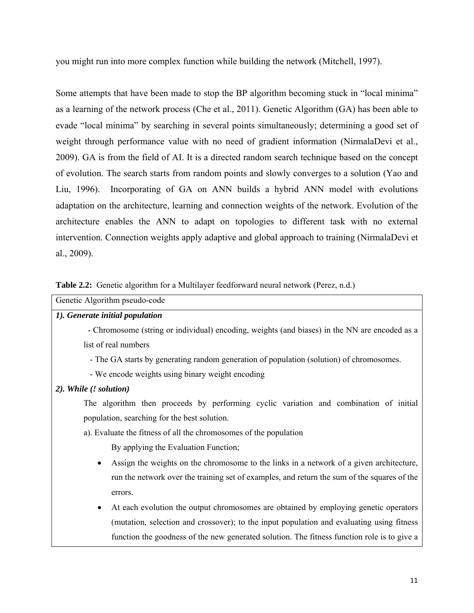you might run into more complex function while building the network (Mitchell, 1997).

Some attempts that have been made to stop the BP algorithm becoming stuck in "local minima" as a learning of the network process (Che et al., 2011). Genetic Algorithm (GA) has been able to evade "local minima" by searching in several points simultaneously; determining a good set of weight through performance value with no need of gradient information (NirmalaDevi et al., 2009). GA is from the field of AI. It is a directed random search technique based on the concept of evolution. The search starts from random points and slowly converges to a solution (Yao and Liu, 1996). Incorporating of GA on ANN builds a hybrid ANN model with evolutions adaptation on the architecture, learning and connection weights of the network. Evolution of the architecture enables the ANN to adapt on topologies to different task with no external intervention. Connection weights apply adaptive and global approach to training (NirmalaDevi et al., 2009).

| Table 2.2: Genetic algorithm for a Multilayer feedforward neural network (Perez, n.d.) |  |  |  |
|----------------------------------------------------------------------------------------|--|--|--|
|                                                                                        |  |  |  |

| Genetic Algorithm pseudo-code                                                                 |
|-----------------------------------------------------------------------------------------------|
| 1). Generate initial population                                                               |
| - Chromosome (string or individual) encoding, weights (and biases) in the NN are encoded as a |
| list of real numbers                                                                          |
| - The GA starts by generating random generation of population (solution) of chromosomes.      |
| - We encode weights using binary weight encoding                                              |
| 2). While (! solution)                                                                        |
| The algorithm then proceeds by performing cyclic variation and combination of initial         |
| population, searching for the best solution.                                                  |
| a). Evaluate the fitness of all the chromosomes of the population                             |
| By applying the Evaluation Function;                                                          |
| Assign the weights on the chromosome to the links in a network of a given architecture,<br>٠  |
| run the network over the training set of examples, and return the sum of the squares of the   |
| errors.                                                                                       |
| At each evolution the output chromosomes are obtained by employing genetic operators<br>٠     |

(mutation, selection and crossover); to the input population and evaluating using fitness function the goodness of the new generated solution. The fitness function role is to give a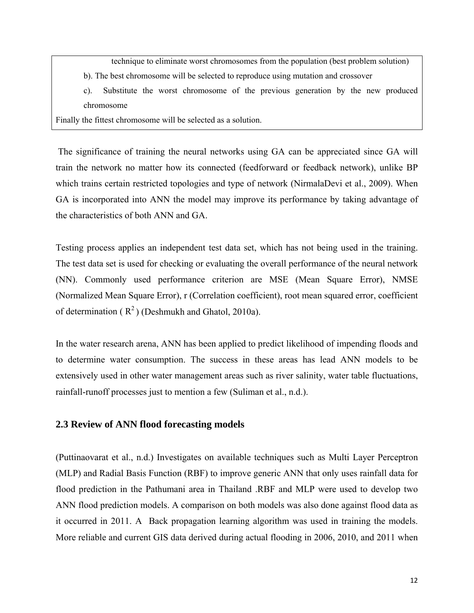technique to eliminate worst chromosomes from the population (best problem solution)

b). The best chromosome will be selected to reproduce using mutation and crossover

c). Substitute the worst chromosome of the previous generation by the new produced chromosome

Finally the fittest chromosome will be selected as a solution.

 The significance of training the neural networks using GA can be appreciated since GA will train the network no matter how its connected (feedforward or feedback network), unlike BP which trains certain restricted topologies and type of network (NirmalaDevi et al., 2009). When GA is incorporated into ANN the model may improve its performance by taking advantage of the characteristics of both ANN and GA.

Testing process applies an independent test data set, which has not being used in the training. The test data set is used for checking or evaluating the overall performance of the neural network (NN). Commonly used performance criterion are MSE (Mean Square Error), NMSE (Normalized Mean Square Error), r (Correlation coefficient), root mean squared error, coefficient of determination ( $R^2$ ) (Deshmukh and Ghatol, 2010a).

In the water research arena, ANN has been applied to predict likelihood of impending floods and to determine water consumption. The success in these areas has lead ANN models to be extensively used in other water management areas such as river salinity, water table fluctuations, rainfall-runoff processes just to mention a few (Suliman et al., n.d.).

### **2.3 Review of ANN flood forecasting models**

(Puttinaovarat et al., n.d.) Investigates on available techniques such as Multi Layer Perceptron (MLP) and Radial Basis Function (RBF) to improve generic ANN that only uses rainfall data for flood prediction in the Pathumani area in Thailand .RBF and MLP were used to develop two ANN flood prediction models. A comparison on both models was also done against flood data as it occurred in 2011. A Back propagation learning algorithm was used in training the models. More reliable and current GIS data derived during actual flooding in 2006, 2010, and 2011 when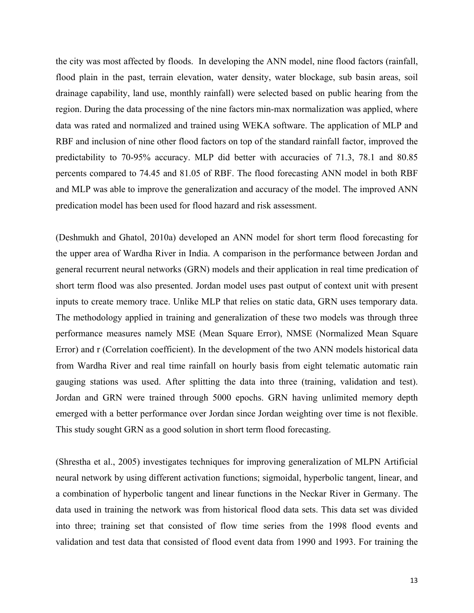the city was most affected by floods. In developing the ANN model, nine flood factors (rainfall, flood plain in the past, terrain elevation, water density, water blockage, sub basin areas, soil drainage capability, land use, monthly rainfall) were selected based on public hearing from the region. During the data processing of the nine factors min-max normalization was applied, where data was rated and normalized and trained using WEKA software. The application of MLP and RBF and inclusion of nine other flood factors on top of the standard rainfall factor, improved the predictability to 70-95% accuracy. MLP did better with accuracies of 71.3, 78.1 and 80.85 percents compared to 74.45 and 81.05 of RBF. The flood forecasting ANN model in both RBF and MLP was able to improve the generalization and accuracy of the model. The improved ANN predication model has been used for flood hazard and risk assessment.

(Deshmukh and Ghatol, 2010a) developed an ANN model for short term flood forecasting for the upper area of Wardha River in India. A comparison in the performance between Jordan and general recurrent neural networks (GRN) models and their application in real time predication of short term flood was also presented. Jordan model uses past output of context unit with present inputs to create memory trace. Unlike MLP that relies on static data, GRN uses temporary data. The methodology applied in training and generalization of these two models was through three performance measures namely MSE (Mean Square Error), NMSE (Normalized Mean Square Error) and r (Correlation coefficient). In the development of the two ANN models historical data from Wardha River and real time rainfall on hourly basis from eight telematic automatic rain gauging stations was used. After splitting the data into three (training, validation and test). Jordan and GRN were trained through 5000 epochs. GRN having unlimited memory depth emerged with a better performance over Jordan since Jordan weighting over time is not flexible. This study sought GRN as a good solution in short term flood forecasting.

(Shrestha et al., 2005) investigates techniques for improving generalization of MLPN Artificial neural network by using different activation functions; sigmoidal, hyperbolic tangent, linear, and a combination of hyperbolic tangent and linear functions in the Neckar River in Germany. The data used in training the network was from historical flood data sets. This data set was divided into three; training set that consisted of flow time series from the 1998 flood events and validation and test data that consisted of flood event data from 1990 and 1993. For training the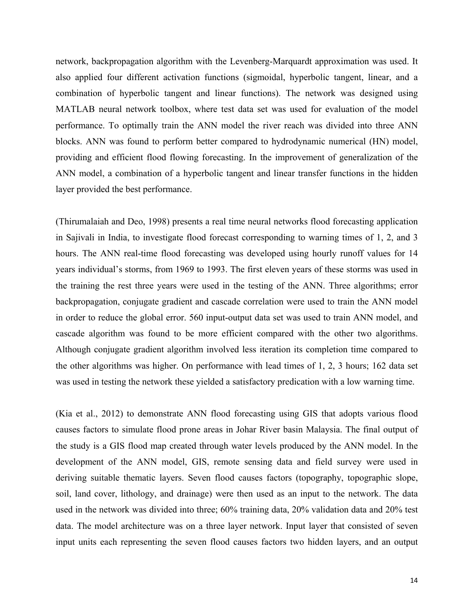network, backpropagation algorithm with the Levenberg-Marquardt approximation was used. It also applied four different activation functions (sigmoidal, hyperbolic tangent, linear, and a combination of hyperbolic tangent and linear functions). The network was designed using MATLAB neural network toolbox, where test data set was used for evaluation of the model performance. To optimally train the ANN model the river reach was divided into three ANN blocks. ANN was found to perform better compared to hydrodynamic numerical (HN) model, providing and efficient flood flowing forecasting. In the improvement of generalization of the ANN model, a combination of a hyperbolic tangent and linear transfer functions in the hidden layer provided the best performance.

(Thirumalaiah and Deo, 1998) presents a real time neural networks flood forecasting application in Sajivali in India, to investigate flood forecast corresponding to warning times of 1, 2, and 3 hours. The ANN real-time flood forecasting was developed using hourly runoff values for 14 years individual's storms, from 1969 to 1993. The first eleven years of these storms was used in the training the rest three years were used in the testing of the ANN. Three algorithms; error backpropagation, conjugate gradient and cascade correlation were used to train the ANN model in order to reduce the global error. 560 input-output data set was used to train ANN model, and cascade algorithm was found to be more efficient compared with the other two algorithms. Although conjugate gradient algorithm involved less iteration its completion time compared to the other algorithms was higher. On performance with lead times of 1, 2, 3 hours; 162 data set was used in testing the network these yielded a satisfactory predication with a low warning time.

(Kia et al., 2012) to demonstrate ANN flood forecasting using GIS that adopts various flood causes factors to simulate flood prone areas in Johar River basin Malaysia. The final output of the study is a GIS flood map created through water levels produced by the ANN model. In the development of the ANN model, GIS, remote sensing data and field survey were used in deriving suitable thematic layers. Seven flood causes factors (topography, topographic slope, soil, land cover, lithology, and drainage) were then used as an input to the network. The data used in the network was divided into three; 60% training data, 20% validation data and 20% test data. The model architecture was on a three layer network. Input layer that consisted of seven input units each representing the seven flood causes factors two hidden layers, and an output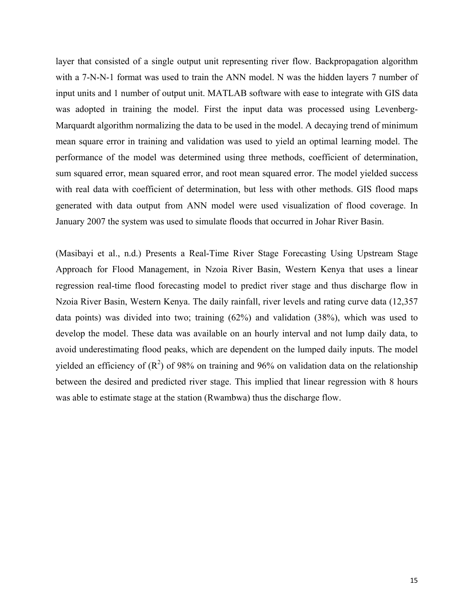layer that consisted of a single output unit representing river flow. Backpropagation algorithm with a 7-N-N-1 format was used to train the ANN model. N was the hidden layers 7 number of input units and 1 number of output unit. MATLAB software with ease to integrate with GIS data was adopted in training the model. First the input data was processed using Levenberg-Marquardt algorithm normalizing the data to be used in the model. A decaying trend of minimum mean square error in training and validation was used to yield an optimal learning model. The performance of the model was determined using three methods, coefficient of determination, sum squared error, mean squared error, and root mean squared error. The model yielded success with real data with coefficient of determination, but less with other methods. GIS flood maps generated with data output from ANN model were used visualization of flood coverage. In January 2007 the system was used to simulate floods that occurred in Johar River Basin.

(Masibayi et al., n.d.) Presents a Real-Time River Stage Forecasting Using Upstream Stage Approach for Flood Management, in Nzoia River Basin, Western Kenya that uses a linear regression real-time flood forecasting model to predict river stage and thus discharge flow in Nzoia River Basin, Western Kenya. The daily rainfall, river levels and rating curve data (12,357 data points) was divided into two; training (62%) and validation (38%), which was used to develop the model. These data was available on an hourly interval and not lump daily data, to avoid underestimating flood peaks, which are dependent on the lumped daily inputs. The model yielded an efficiency of  $(R^2)$  of 98% on training and 96% on validation data on the relationship between the desired and predicted river stage. This implied that linear regression with 8 hours was able to estimate stage at the station (Rwambwa) thus the discharge flow.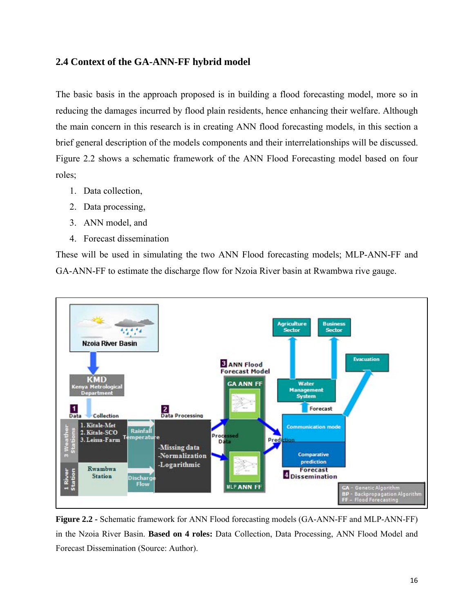## **2.4 Context of the GA-ANN-FF hybrid model**

The basic basis in the approach proposed is in building a flood forecasting model, more so in reducing the damages incurred by flood plain residents, hence enhancing their welfare. Although the main concern in this research is in creating ANN flood forecasting models, in this section a brief general description of the models components and their interrelationships will be discussed. Figure 2.2 shows a schematic framework of the ANN Flood Forecasting model based on four roles;

- 1. Data collection,
- 2. Data processing,
- 3. ANN model, and
- 4. Forecast dissemination

These will be used in simulating the two ANN Flood forecasting models; MLP-ANN-FF and GA-ANN-FF to estimate the discharge flow for Nzoia River basin at Rwambwa rive gauge.



**Figure 2.2 -** Schematic framework for ANN Flood forecasting models (GA-ANN-FF and MLP-ANN-FF) in the Nzoia River Basin. **Based on 4 roles:** Data Collection, Data Processing, ANN Flood Model and Forecast Dissemination (Source: Author).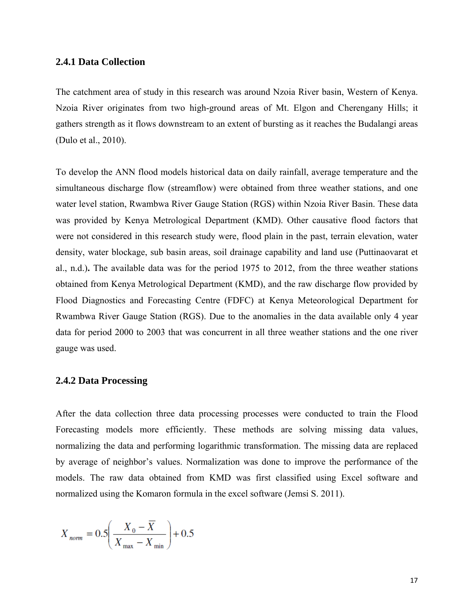### **2.4.1 Data Collection**

The catchment area of study in this research was around Nzoia River basin, Western of Kenya. Nzoia River originates from two high-ground areas of Mt. Elgon and Cherengany Hills; it gathers strength as it flows downstream to an extent of bursting as it reaches the Budalangi areas (Dulo et al., 2010).

To develop the ANN flood models historical data on daily rainfall, average temperature and the simultaneous discharge flow (streamflow) were obtained from three weather stations, and one water level station, Rwambwa River Gauge Station (RGS) within Nzoia River Basin. These data was provided by Kenya Metrological Department (KMD). Other causative flood factors that were not considered in this research study were, flood plain in the past, terrain elevation, water density, water blockage, sub basin areas, soil drainage capability and land use (Puttinaovarat et al., n.d.)**.** The available data was for the period 1975 to 2012, from the three weather stations obtained from Kenya Metrological Department (KMD), and the raw discharge flow provided by Flood Diagnostics and Forecasting Centre (FDFC) at Kenya Meteorological Department for Rwambwa River Gauge Station (RGS). Due to the anomalies in the data available only 4 year data for period 2000 to 2003 that was concurrent in all three weather stations and the one river gauge was used.

## **2.4.2 Data Processing**

After the data collection three data processing processes were conducted to train the Flood Forecasting models more efficiently. These methods are solving missing data values, normalizing the data and performing logarithmic transformation. The missing data are replaced by average of neighbor's values. Normalization was done to improve the performance of the models. The raw data obtained from KMD was first classified using Excel software and normalized using the Komaron formula in the excel software (Jemsi S. 2011).

$$
X_{norm} = 0.5 \left( \frac{X_0 - \overline{X}}{X_{\text{max}} - X_{\text{min}}} \right) + 0.5
$$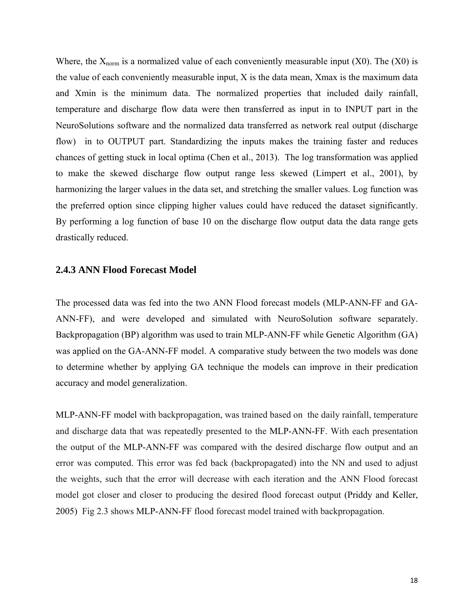Where, the  $X_{\text{norm}}$  is a normalized value of each conveniently measurable input (X0). The (X0) is the value of each conveniently measurable input, X is the data mean, Xmax is the maximum data and Xmin is the minimum data. The normalized properties that included daily rainfall, temperature and discharge flow data were then transferred as input in to INPUT part in the NeuroSolutions software and the normalized data transferred as network real output (discharge flow) in to OUTPUT part. Standardizing the inputs makes the training faster and reduces chances of getting stuck in local optima (Chen et al., 2013). The log transformation was applied to make the skewed discharge flow output range less skewed (Limpert et al., 2001), by harmonizing the larger values in the data set, and stretching the smaller values. Log function was the preferred option since clipping higher values could have reduced the dataset significantly. By performing a log function of base 10 on the discharge flow output data the data range gets drastically reduced.

#### **2.4.3 ANN Flood Forecast Model**

The processed data was fed into the two ANN Flood forecast models (MLP-ANN-FF and GA-ANN-FF), and were developed and simulated with NeuroSolution software separately. Backpropagation (BP) algorithm was used to train MLP-ANN-FF while Genetic Algorithm (GA) was applied on the GA-ANN-FF model. A comparative study between the two models was done to determine whether by applying GA technique the models can improve in their predication accuracy and model generalization.

MLP-ANN-FF model with backpropagation, was trained based on the daily rainfall, temperature and discharge data that was repeatedly presented to the MLP-ANN-FF. With each presentation the output of the MLP-ANN-FF was compared with the desired discharge flow output and an error was computed. This error was fed back (backpropagated) into the NN and used to adjust the weights, such that the error will decrease with each iteration and the ANN Flood forecast model got closer and closer to producing the desired flood forecast output (Priddy and Keller, 2005) Fig 2.3 shows MLP-ANN-FF flood forecast model trained with backpropagation.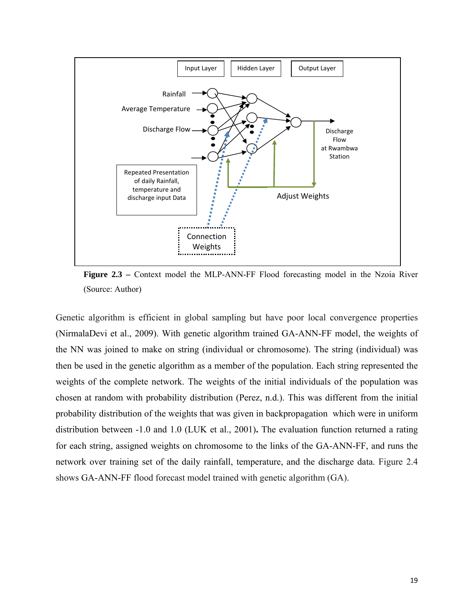

Figure 2.3 - Context model the MLP-ANN-FF Flood forecasting model in the Nzoia River (Source: Author)

Genetic algorithm is efficient in global sampling but have poor local convergence properties (NirmalaDevi et al., 2009). With genetic algorithm trained GA-ANN-FF model, the weights of the NN was joined to make on string (individual or chromosome). The string (individual) was then be used in the genetic algorithm as a member of the population. Each string represented the weights of the complete network. The weights of the initial individuals of the population was chosen at random with probability distribution (Perez, n.d.). This was different from the initial probability distribution of the weights that was given in backpropagation which were in uniform distribution between -1.0 and 1.0 (LUK et al., 2001)**.** The evaluation function returned a rating for each string, assigned weights on chromosome to the links of the GA-ANN-FF, and runs the network over training set of the daily rainfall, temperature, and the discharge data. Figure 2.4 shows GA-ANN-FF flood forecast model trained with genetic algorithm (GA).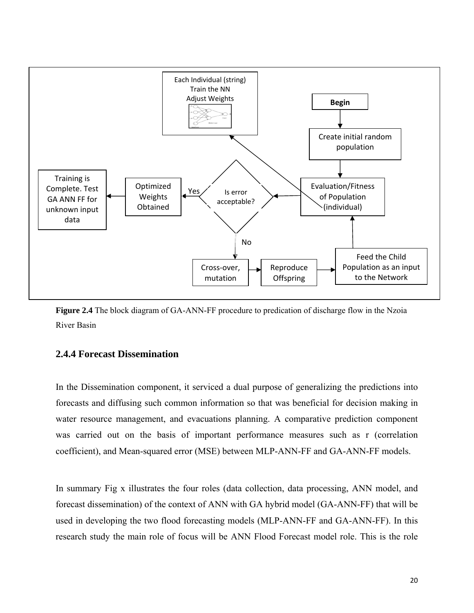

**Figure 2.4** The block diagram of GA-ANN-FF procedure to predication of discharge flow in the Nzoia River Basin

### **2.4.4 Forecast Dissemination**

In the Dissemination component, it serviced a dual purpose of generalizing the predictions into forecasts and diffusing such common information so that was beneficial for decision making in water resource management, and evacuations planning. A comparative prediction component was carried out on the basis of important performance measures such as r (correlation coefficient), and Mean-squared error (MSE) between MLP-ANN-FF and GA-ANN-FF models.

In summary Fig x illustrates the four roles (data collection, data processing, ANN model, and forecast dissemination) of the context of ANN with GA hybrid model (GA-ANN-FF) that will be used in developing the two flood forecasting models (MLP-ANN-FF and GA-ANN-FF). In this research study the main role of focus will be ANN Flood Forecast model role. This is the role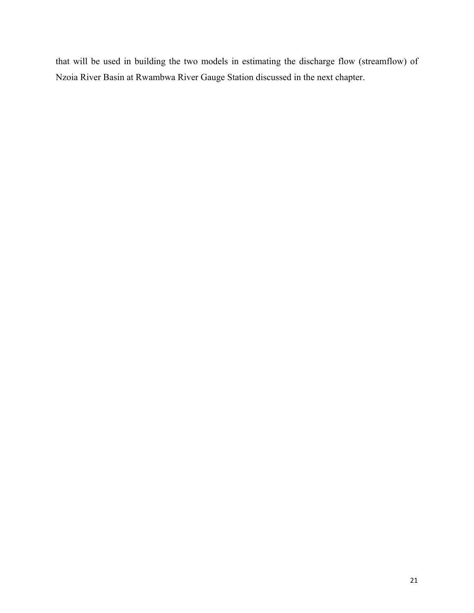that will be used in building the two models in estimating the discharge flow (streamflow) of Nzoia River Basin at Rwambwa River Gauge Station discussed in the next chapter.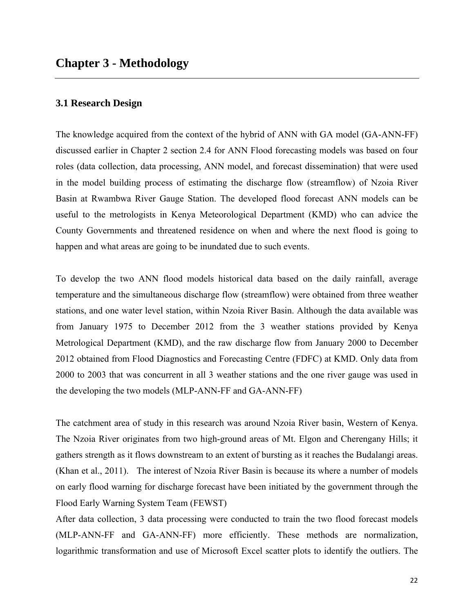## **3.1 Research Design**

The knowledge acquired from the context of the hybrid of ANN with GA model (GA-ANN-FF) discussed earlier in Chapter 2 section 2.4 for ANN Flood forecasting models was based on four roles (data collection, data processing, ANN model, and forecast dissemination) that were used in the model building process of estimating the discharge flow (streamflow) of Nzoia River Basin at Rwambwa River Gauge Station. The developed flood forecast ANN models can be useful to the metrologists in Kenya Meteorological Department (KMD) who can advice the County Governments and threatened residence on when and where the next flood is going to happen and what areas are going to be inundated due to such events.

To develop the two ANN flood models historical data based on the daily rainfall, average temperature and the simultaneous discharge flow (streamflow) were obtained from three weather stations, and one water level station, within Nzoia River Basin. Although the data available was from January 1975 to December 2012 from the 3 weather stations provided by Kenya Metrological Department (KMD), and the raw discharge flow from January 2000 to December 2012 obtained from Flood Diagnostics and Forecasting Centre (FDFC) at KMD. Only data from 2000 to 2003 that was concurrent in all 3 weather stations and the one river gauge was used in the developing the two models (MLP-ANN-FF and GA-ANN-FF)

The catchment area of study in this research was around Nzoia River basin, Western of Kenya. The Nzoia River originates from two high-ground areas of Mt. Elgon and Cherengany Hills; it gathers strength as it flows downstream to an extent of bursting as it reaches the Budalangi areas. (Khan et al., 2011). The interest of Nzoia River Basin is because its where a number of models on early flood warning for discharge forecast have been initiated by the government through the Flood Early Warning System Team (FEWST)

After data collection, 3 data processing were conducted to train the two flood forecast models (MLP-ANN-FF and GA-ANN-FF) more efficiently. These methods are normalization, logarithmic transformation and use of Microsoft Excel scatter plots to identify the outliers. The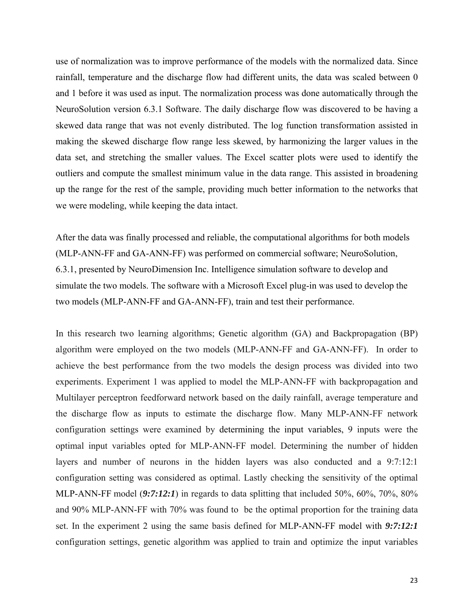use of normalization was to improve performance of the models with the normalized data. Since rainfall, temperature and the discharge flow had different units, the data was scaled between 0 and 1 before it was used as input. The normalization process was done automatically through the NeuroSolution version 6.3.1 Software. The daily discharge flow was discovered to be having a skewed data range that was not evenly distributed. The log function transformation assisted in making the skewed discharge flow range less skewed, by harmonizing the larger values in the data set, and stretching the smaller values. The Excel scatter plots were used to identify the outliers and compute the smallest minimum value in the data range. This assisted in broadening up the range for the rest of the sample, providing much better information to the networks that we were modeling, while keeping the data intact.

After the data was finally processed and reliable, the computational algorithms for both models (MLP-ANN-FF and GA-ANN-FF) was performed on commercial software; NeuroSolution, 6.3.1, presented by NeuroDimension Inc. Intelligence simulation software to develop and simulate the two models. The software with a Microsoft Excel plug-in was used to develop the two models (MLP-ANN-FF and GA-ANN-FF), train and test their performance.

In this research two learning algorithms; Genetic algorithm (GA) and Backpropagation (BP) algorithm were employed on the two models (MLP-ANN-FF and GA-ANN-FF). In order to achieve the best performance from the two models the design process was divided into two experiments. Experiment 1 was applied to model the MLP-ANN-FF with backpropagation and Multilayer perceptron feedforward network based on the daily rainfall, average temperature and the discharge flow as inputs to estimate the discharge flow. Many MLP-ANN-FF network configuration settings were examined by determining the input variables, 9 inputs were the optimal input variables opted for MLP-ANN-FF model. Determining the number of hidden layers and number of neurons in the hidden layers was also conducted and a 9:7:12:1 configuration setting was considered as optimal. Lastly checking the sensitivity of the optimal MLP-ANN-FF model (*9:7:12:1*) in regards to data splitting that included 50%, 60%, 70%, 80% and 90% MLP-ANN-FF with 70% was found to be the optimal proportion for the training data set. In the experiment 2 using the same basis defined for MLP-ANN-FF model with *9:7:12:1* configuration settings, genetic algorithm was applied to train and optimize the input variables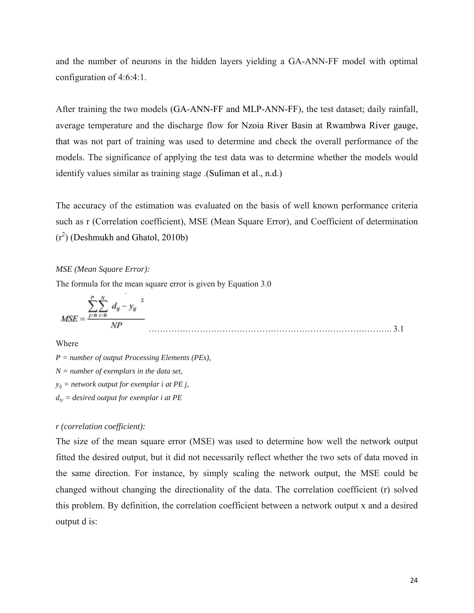and the number of neurons in the hidden layers yielding a GA-ANN-FF model with optimal configuration of 4:6:4:1.

After training the two models (GA-ANN-FF and MLP-ANN-FF), the test dataset; daily rainfall, average temperature and the discharge flow for Nzoia River Basin at Rwambwa River gauge, that was not part of training was used to determine and check the overall performance of the models. The significance of applying the test data was to determine whether the models would identify values similar as training stage .(Suliman et al., n.d.)

The accuracy of the estimation was evaluated on the basis of well known performance criteria such as r (Correlation coefficient), MSE (Mean Square Error), and Coefficient of determination  $(r<sup>2</sup>)$  (Deshmukh and Ghatol, 2010b)

#### *MSE (Mean Square Error):*

The formula for the mean square error is given by Equation 3.0

$$
MSE = \frac{\sum_{j=0}^{P} \sum_{i=0}^{N} d_{ij} - y_{ij}^{2}}{NP}
$$
 (3.1)

Where

*P = number of output Processing Elements (PEs), N = number of exemplars in the data set, yij = network output for exemplar i at PE j, diy = desired output for exemplar i at PE* 

#### *r (correlation coefficient):*

The size of the mean square error (MSE) was used to determine how well the network output fitted the desired output, but it did not necessarily reflect whether the two sets of data moved in the same direction. For instance, by simply scaling the network output, the MSE could be changed without changing the directionality of the data. The correlation coefficient (r) solved this problem. By definition, the correlation coefficient between a network output x and a desired output d is: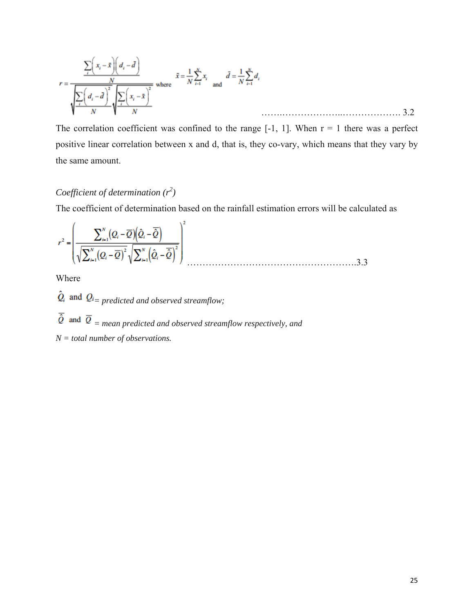$$
r = \frac{\sum_{i} \left( x_i - \bar{x} \right) \left( d_i - \bar{d} \right)}{\sqrt{\sum_{i} \left( d_i - \bar{d} \right)^2} \sqrt{\sum_{i} \left( x_i - \bar{x} \right)^2}} \text{ where } \bar{x} = \frac{1}{N} \sum_{i=1}^{N} x_i \text{ and } \bar{d} = \frac{1}{N} \sum_{i=1}^{N} d_i
$$

The correlation coefficient was confined to the range  $[-1, 1]$ . When  $r = 1$  there was a perfect positive linear correlation between x and d, that is, they co-vary, which means that they vary by the same amount.

# *Coefficient of determination*  $(r^2)$

The coefficient of determination based on the rainfall estimation errors will be calculated as

$$
r^{2} = \left(\frac{\sum_{i=1}^{N} (Q_{i} - \overline{Q}) \left(\hat{Q}_{i} - \overline{\hat{Q}}\right)}{\sqrt{\sum_{i=1}^{N} (Q_{i} - \overline{Q})^{2}} \sqrt{\sum_{i=1}^{N} \left(\hat{Q}_{i} - \overline{\hat{Q}}\right)^{2}}}\right)^{2}
$$
 (3.3

Where

 $\hat{Q}_i$  and  $Q_i$  predicted and observed streamflow;

 $\overline{\hat{Q}}$  and  $\overline{Q}$  = mean predicted and observed streamflow respectively, and

*N = total number of observations.*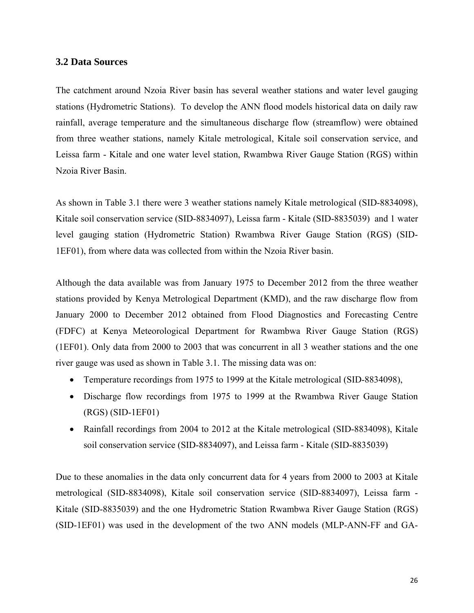#### **3.2 Data Sources**

The catchment around Nzoia River basin has several weather stations and water level gauging stations (Hydrometric Stations). To develop the ANN flood models historical data on daily raw rainfall, average temperature and the simultaneous discharge flow (streamflow) were obtained from three weather stations, namely Kitale metrological, Kitale soil conservation service, and Leissa farm - Kitale and one water level station, Rwambwa River Gauge Station (RGS) within Nzoia River Basin.

As shown in Table 3.1 there were 3 weather stations namely Kitale metrological (SID-8834098), Kitale soil conservation service (SID-8834097), Leissa farm - Kitale (SID-8835039) and 1 water level gauging station (Hydrometric Station) Rwambwa River Gauge Station (RGS) (SID-1EF01), from where data was collected from within the Nzoia River basin.

Although the data available was from January 1975 to December 2012 from the three weather stations provided by Kenya Metrological Department (KMD), and the raw discharge flow from January 2000 to December 2012 obtained from Flood Diagnostics and Forecasting Centre (FDFC) at Kenya Meteorological Department for Rwambwa River Gauge Station (RGS) (1EF01). Only data from 2000 to 2003 that was concurrent in all 3 weather stations and the one river gauge was used as shown in Table 3.1. The missing data was on:

- Temperature recordings from 1975 to 1999 at the Kitale metrological (SID-8834098),
- Discharge flow recordings from 1975 to 1999 at the Rwambwa River Gauge Station (RGS) (SID-1EF01)
- Rainfall recordings from 2004 to 2012 at the Kitale metrological (SID-8834098), Kitale soil conservation service (SID-8834097), and Leissa farm - Kitale (SID-8835039)

Due to these anomalies in the data only concurrent data for 4 years from 2000 to 2003 at Kitale metrological (SID-8834098), Kitale soil conservation service (SID-8834097), Leissa farm - Kitale (SID-8835039) and the one Hydrometric Station Rwambwa River Gauge Station (RGS) (SID-1EF01) was used in the development of the two ANN models (MLP-ANN-FF and GA-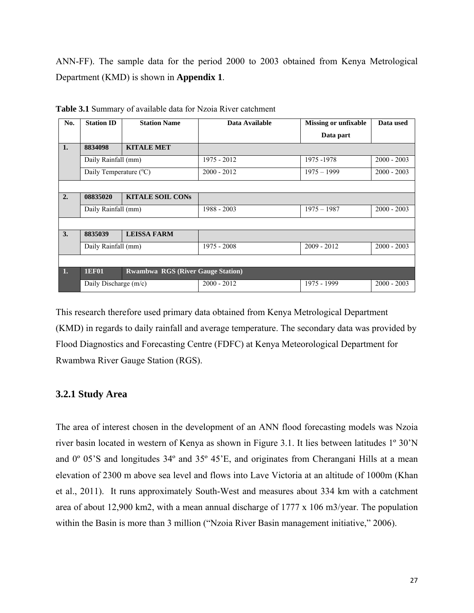ANN-FF). The sample data for the period 2000 to 2003 obtained from Kenya Metrological Department (KMD) is shown in **Appendix 1**.

| No.                   | <b>Station ID</b>      | <b>Station Name</b>                      | Data Available | <b>Missing or unfixable</b> | Data used     |
|-----------------------|------------------------|------------------------------------------|----------------|-----------------------------|---------------|
|                       |                        |                                          |                | Data part                   |               |
| 1.                    | 8834098                | <b>KITALE MET</b>                        |                |                             |               |
|                       | Daily Rainfall (mm)    |                                          | 1975 - 2012    | 1975 - 1978                 | $2000 - 2003$ |
|                       | Daily Temperature (°C) |                                          | $2000 - 2012$  | $1975 - 1999$               | $2000 - 2003$ |
|                       |                        |                                          |                |                             |               |
| 2.                    | 08835020               | <b>KITALE SOIL CONS</b>                  |                |                             |               |
|                       | Daily Rainfall (mm)    |                                          | 1988 - 2003    | $1975 - 1987$               | $2000 - 2003$ |
|                       |                        |                                          |                |                             |               |
| $\mathbf{3}$ .        | 8835039                | <b>LEISSA FARM</b>                       |                |                             |               |
| Daily Rainfall (mm)   |                        |                                          | 1975 - 2008    | $2009 - 2012$               | $2000 - 2003$ |
|                       |                        |                                          |                |                             |               |
| $\mathbf{1}$ .        | <b>1EF01</b>           | <b>Rwambwa RGS (River Gauge Station)</b> |                |                             |               |
| Daily Discharge (m/c) |                        |                                          | $2000 - 2012$  | 1975 - 1999                 | $2000 - 2003$ |

**Table 3.1** Summary of available data for Nzoia River catchment

This research therefore used primary data obtained from Kenya Metrological Department (KMD) in regards to daily rainfall and average temperature. The secondary data was provided by Flood Diagnostics and Forecasting Centre (FDFC) at Kenya Meteorological Department for Rwambwa River Gauge Station (RGS).

### **3.2.1 Study Area**

The area of interest chosen in the development of an ANN flood forecasting models was Nzoia river basin located in western of Kenya as shown in Figure 3.1. It lies between latitudes 1º 30'N and 0º 05'S and longitudes 34º and 35º 45'E, and originates from Cherangani Hills at a mean elevation of 2300 m above sea level and flows into Lave Victoria at an altitude of 1000m (Khan et al., 2011). It runs approximately South-West and measures about 334 km with a catchment area of about 12,900 km2, with a mean annual discharge of 1777 x 106 m3/year. The population within the Basin is more than 3 million ("Nzoia River Basin management initiative," 2006).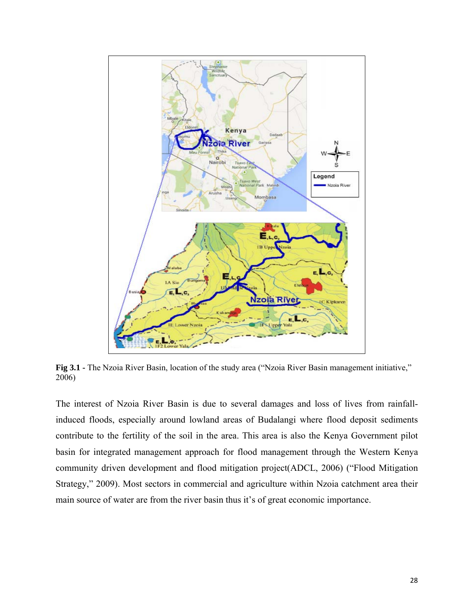

**Fig 3.1 -** The Nzoia River Basin, location of the study area ("Nzoia River Basin management initiative," 2006)

The interest of Nzoia River Basin is due to several damages and loss of lives from rainfallinduced floods, especially around lowland areas of Budalangi where flood deposit sediments contribute to the fertility of the soil in the area. This area is also the Kenya Government pilot basin for integrated management approach for flood management through the Western Kenya community driven development and flood mitigation project(ADCL, 2006) ("Flood Mitigation Strategy," 2009). Most sectors in commercial and agriculture within Nzoia catchment area their main source of water are from the river basin thus it's of great economic importance.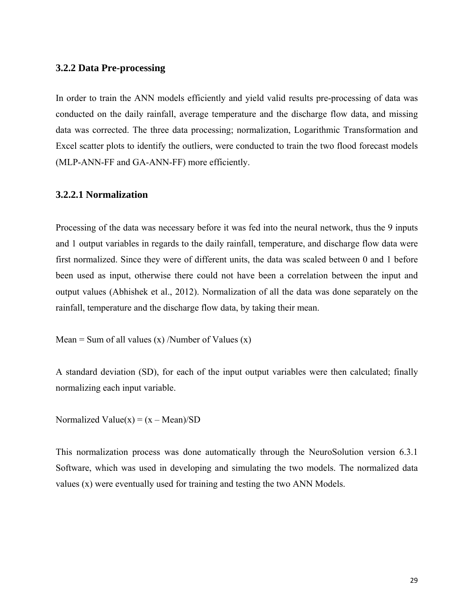#### **3.2.2 Data Pre-processing**

In order to train the ANN models efficiently and yield valid results pre-processing of data was conducted on the daily rainfall, average temperature and the discharge flow data, and missing data was corrected. The three data processing; normalization, Logarithmic Transformation and Excel scatter plots to identify the outliers, were conducted to train the two flood forecast models (MLP-ANN-FF and GA-ANN-FF) more efficiently.

#### **3.2.2.1 Normalization**

Processing of the data was necessary before it was fed into the neural network, thus the 9 inputs and 1 output variables in regards to the daily rainfall, temperature, and discharge flow data were first normalized. Since they were of different units, the data was scaled between 0 and 1 before been used as input, otherwise there could not have been a correlation between the input and output values (Abhishek et al., 2012). Normalization of all the data was done separately on the rainfall, temperature and the discharge flow data, by taking their mean.

Mean = Sum of all values  $(x)$  /Number of Values  $(x)$ 

A standard deviation (SD), for each of the input output variables were then calculated; finally normalizing each input variable.

Normalized Value $(x) = (x - Mean)/SD$ 

This normalization process was done automatically through the NeuroSolution version 6.3.1 Software, which was used in developing and simulating the two models. The normalized data values (x) were eventually used for training and testing the two ANN Models.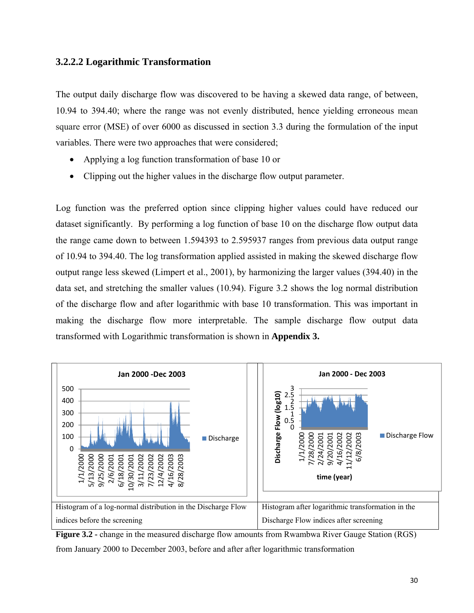### **3.2.2.2 Logarithmic Transformation**

The output daily discharge flow was discovered to be having a skewed data range, of between, 10.94 to 394.40; where the range was not evenly distributed, hence yielding erroneous mean square error (MSE) of over 6000 as discussed in section 3.3 during the formulation of the input variables. There were two approaches that were considered;

- Applying a log function transformation of base 10 or
- Clipping out the higher values in the discharge flow output parameter.

Log function was the preferred option since clipping higher values could have reduced our dataset significantly. By performing a log function of base 10 on the discharge flow output data the range came down to between 1.594393 to 2.595937 ranges from previous data output range of 10.94 to 394.40. The log transformation applied assisted in making the skewed discharge flow output range less skewed (Limpert et al., 2001), by harmonizing the larger values (394.40) in the data set, and stretching the smaller values (10.94). Figure 3.2 shows the log normal distribution of the discharge flow and after logarithmic with base 10 transformation. This was important in making the discharge flow more interpretable. The sample discharge flow output data transformed with Logarithmic transformation is shown in **Appendix 3.** 



**Figure 3.2 -** change in the measured discharge flow amounts from Rwambwa River Gauge Station (RGS) from January 2000 to December 2003, before and after after logarithmic transformation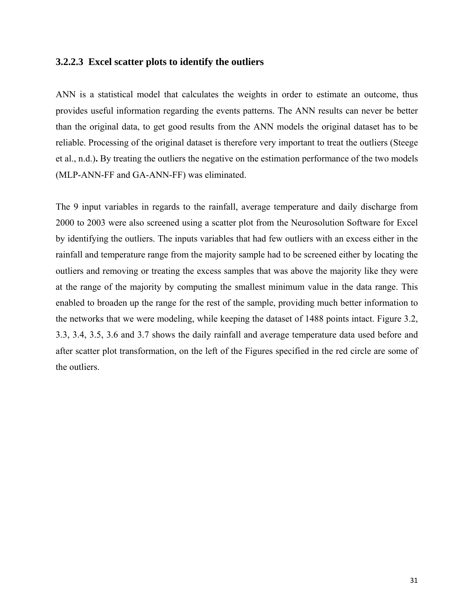### **3.2.2.3 Excel scatter plots to identify the outliers**

ANN is a statistical model that calculates the weights in order to estimate an outcome, thus provides useful information regarding the events patterns. The ANN results can never be better than the original data, to get good results from the ANN models the original dataset has to be reliable. Processing of the original dataset is therefore very important to treat the outliers (Steege et al., n.d.)**.** By treating the outliers the negative on the estimation performance of the two models (MLP-ANN-FF and GA-ANN-FF) was eliminated.

The 9 input variables in regards to the rainfall, average temperature and daily discharge from 2000 to 2003 were also screened using a scatter plot from the Neurosolution Software for Excel by identifying the outliers. The inputs variables that had few outliers with an excess either in the rainfall and temperature range from the majority sample had to be screened either by locating the outliers and removing or treating the excess samples that was above the majority like they were at the range of the majority by computing the smallest minimum value in the data range. This enabled to broaden up the range for the rest of the sample, providing much better information to the networks that we were modeling, while keeping the dataset of 1488 points intact. Figure 3.2, 3.3, 3.4, 3.5, 3.6 and 3.7 shows the daily rainfall and average temperature data used before and after scatter plot transformation, on the left of the Figures specified in the red circle are some of the outliers.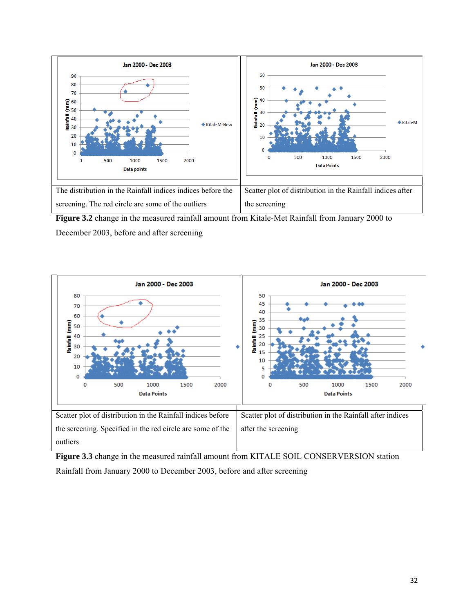

**Figure 3.2** change in the measured rainfall amount from Kitale-Met Rainfall from January 2000 to December 2003, before and after screening



Figure 3.3 change in the measured rainfall amount from KITALE SOIL CONSERVERSION station Rainfall from January 2000 to December 2003, before and after screening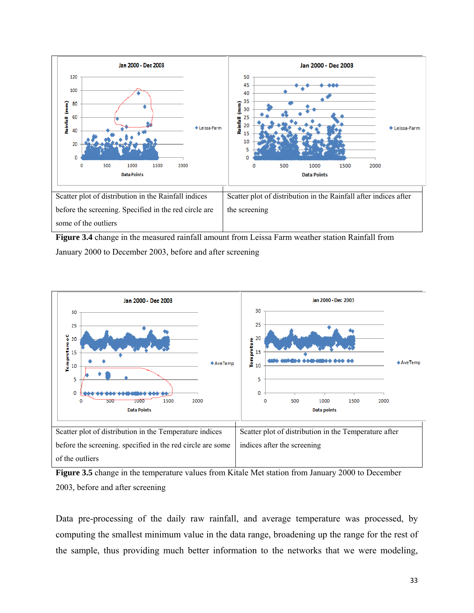

**Figure 3.4** change in the measured rainfall amount from Leissa Farm weather station Rainfall from January 2000 to December 2003, before and after screening



**Figure 3.5** change in the temperature values from Kitale Met station from January 2000 to December 2003, before and after screening

Data pre-processing of the daily raw rainfall, and average temperature was processed, by computing the smallest minimum value in the data range, broadening up the range for the rest of the sample, thus providing much better information to the networks that we were modeling,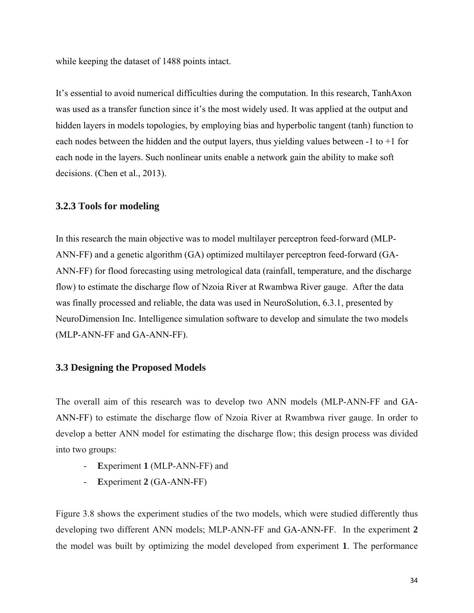while keeping the dataset of 1488 points intact.

It's essential to avoid numerical difficulties during the computation. In this research, TanhAxon was used as a transfer function since it's the most widely used. It was applied at the output and hidden layers in models topologies, by employing bias and hyperbolic tangent (tanh) function to each nodes between the hidden and the output layers, thus yielding values between  $-1$  to  $+1$  for each node in the layers. Such nonlinear units enable a network gain the ability to make soft decisions. (Chen et al., 2013).

### **3.2.3 Tools for modeling**

In this research the main objective was to model multilayer perceptron feed-forward (MLP-ANN-FF) and a genetic algorithm (GA) optimized multilayer perceptron feed-forward (GA-ANN-FF) for flood forecasting using metrological data (rainfall, temperature, and the discharge flow) to estimate the discharge flow of Nzoia River at Rwambwa River gauge. After the data was finally processed and reliable, the data was used in NeuroSolution, 6.3.1, presented by NeuroDimension Inc. Intelligence simulation software to develop and simulate the two models (MLP-ANN-FF and GA-ANN-FF).

### **3.3 Designing the Proposed Models**

The overall aim of this research was to develop two ANN models (MLP-ANN-FF and GA-ANN-FF) to estimate the discharge flow of Nzoia River at Rwambwa river gauge. In order to develop a better ANN model for estimating the discharge flow; this design process was divided into two groups:

- **E**xperiment **1** (MLP-ANN-FF) and
- **E**xperiment **2** (GA-ANN-FF)

Figure 3.8 shows the experiment studies of the two models, which were studied differently thus developing two different ANN models; MLP-ANN-FF and GA-ANN-FF. In the experiment **2** the model was built by optimizing the model developed from experiment **1**. The performance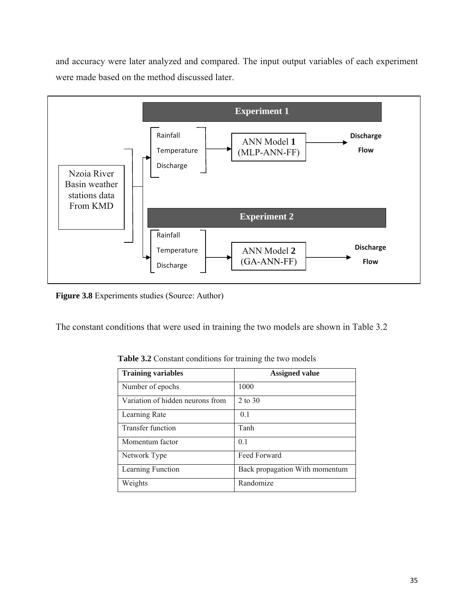and accuracy were later analyzed and compared. The input output variables of each experiment were made based on the method discussed later.



**Figure 3.8** Experiments studies (Source: Author)

The constant conditions that were used in training the two models are shown in Table 3.2

| <b>Training variables</b>        | <b>Assigned value</b>          |
|----------------------------------|--------------------------------|
| Number of epochs                 | 1000                           |
| Variation of hidden neurons from | 2 to 30                        |
| Learning Rate                    | 0.1                            |
| <b>Transfer function</b>         | Tanh                           |
| Momentum factor                  | 0.1                            |
| Network Type                     | Feed Forward                   |
| Learning Function                | Back propagation With momentum |
| Weights                          | Randomize                      |

 **Table 3.2** Constant conditions for training the two models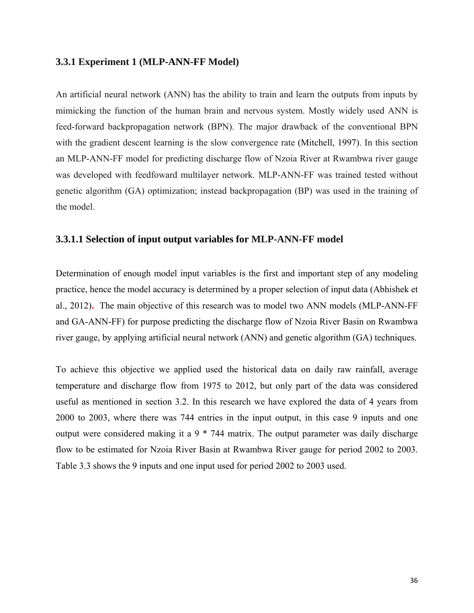#### **3.3.1 Experiment 1 (MLP-ANN-FF Model)**

An artificial neural network (ANN) has the ability to train and learn the outputs from inputs by mimicking the function of the human brain and nervous system. Mostly widely used ANN is feed-forward backpropagation network (BPN). The major drawback of the conventional BPN with the gradient descent learning is the slow convergence rate (Mitchell, 1997). In this section an MLP-ANN-FF model for predicting discharge flow of Nzoia River at Rwambwa river gauge was developed with feedfoward multilayer network. MLP-ANN-FF was trained tested without genetic algorithm (GA) optimization; instead backpropagation (BP) was used in the training of the model.

#### **3.3.1.1 Selection of input output variables for MLP-ANN-FF model**

Determination of enough model input variables is the first and important step of any modeling practice, hence the model accuracy is determined by a proper selection of input data (Abhishek et al., 2012)**.** The main objective of this research was to model two ANN models (MLP-ANN-FF and GA-ANN-FF) for purpose predicting the discharge flow of Nzoia River Basin on Rwambwa river gauge, by applying artificial neural network (ANN) and genetic algorithm (GA) techniques.

To achieve this objective we applied used the historical data on daily raw rainfall, average temperature and discharge flow from 1975 to 2012, but only part of the data was considered useful as mentioned in section 3.2. In this research we have explored the data of 4 years from 2000 to 2003, where there was 744 entries in the input output, in this case 9 inputs and one output were considered making it a 9 \* 744 matrix. The output parameter was daily discharge flow to be estimated for Nzoia River Basin at Rwambwa River gauge for period 2002 to 2003. Table 3.3 shows the 9 inputs and one input used for period 2002 to 2003 used.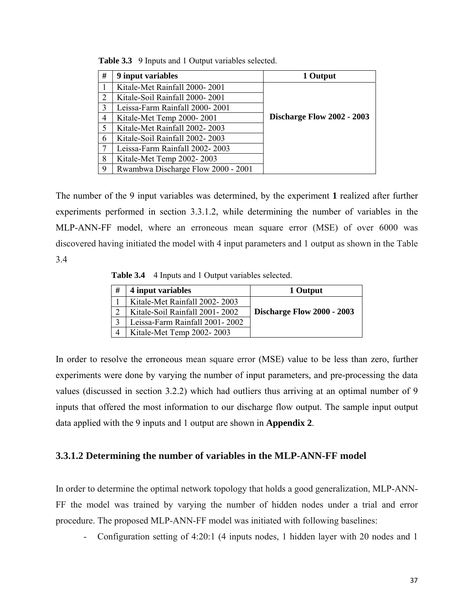| # | 9 input variables                  | 1 Output                          |
|---|------------------------------------|-----------------------------------|
|   | Kitale-Met Rainfall 2000-2001      |                                   |
| 2 | Kitale-Soil Rainfall 2000-2001     |                                   |
| 3 | Leissa-Farm Rainfall 2000-2001     |                                   |
| 4 | Kitale-Met Temp 2000-2001          | <b>Discharge Flow 2002 - 2003</b> |
| 5 | Kitale-Met Rainfall 2002-2003      |                                   |
| 6 | Kitale-Soil Rainfall 2002-2003     |                                   |
|   | Leissa-Farm Rainfall 2002-2003     |                                   |
| 8 | Kitale-Met Temp 2002-2003          |                                   |
| 9 | Rwambwa Discharge Flow 2000 - 2001 |                                   |

 **Table 3.3** 9 Inputs and 1 Output variables selected.

The number of the 9 input variables was determined, by the experiment **1** realized after further experiments performed in section 3.3.1.2, while determining the number of variables in the MLP-ANN-FF model, where an erroneous mean square error (MSE) of over 6000 was discovered having initiated the model with 4 input parameters and 1 output as shown in the Table 3.4

**Table 3.4** 4 Inputs and 1 Output variables selected.

| # | 4 input variables              | 1 Output                          |
|---|--------------------------------|-----------------------------------|
|   | Kitale-Met Rainfall 2002-2003  |                                   |
| ာ | Kitale-Soil Rainfall 2001-2002 | <b>Discharge Flow 2000 - 2003</b> |
| 3 | Leissa-Farm Rainfall 2001-2002 |                                   |
| 4 | Kitale-Met Temp 2002-2003      |                                   |

In order to resolve the erroneous mean square error (MSE) value to be less than zero, further experiments were done by varying the number of input parameters, and pre-processing the data values (discussed in section 3.2.2) which had outliers thus arriving at an optimal number of 9 inputs that offered the most information to our discharge flow output. The sample input output data applied with the 9 inputs and 1 output are shown in **Appendix 2**.

### **3.3.1.2 Determining the number of variables in the MLP-ANN-FF model**

In order to determine the optimal network topology that holds a good generalization, MLP-ANN-FF the model was trained by varying the number of hidden nodes under a trial and error procedure. The proposed MLP-ANN-FF model was initiated with following baselines:

- Configuration setting of 4:20:1 (4 inputs nodes, 1 hidden layer with 20 nodes and 1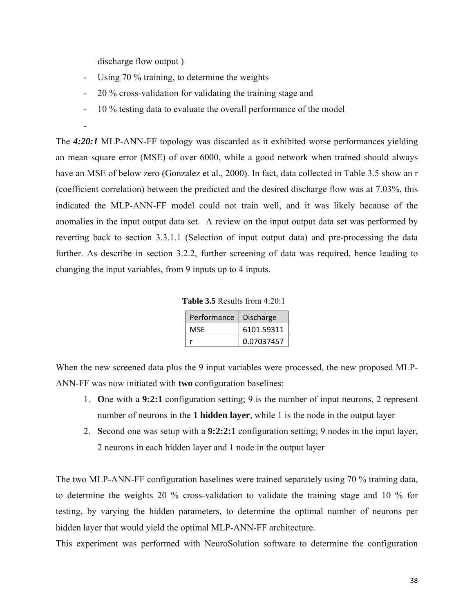discharge flow output )

- Using 70 % training, to determine the weights
- 20 % cross-validation for validating the training stage and
- 10 % testing data to evaluate the overall performance of the model

-

The *4:20:1* MLP-ANN-FF topology was discarded as it exhibited worse performances yielding an mean square error (MSE) of over 6000, while a good network when trained should always have an MSE of below zero (Gonzalez et al., 2000). In fact, data collected in Table 3.5 show an r (coefficient correlation) between the predicted and the desired discharge flow was at 7.03%, this indicated the MLP-ANN-FF model could not train well, and it was likely because of the anomalies in the input output data set. A review on the input output data set was performed by reverting back to section 3.3.1.1 (Selection of input output data) and pre-processing the data further. As describe in section 3.2.2, further screening of data was required, hence leading to changing the input variables, from 9 inputs up to 4 inputs.

| <b>Table 3.5</b> Results from $4:20:1$ |  |
|----------------------------------------|--|
|----------------------------------------|--|

| Performance | <b>Discharge</b> |
|-------------|------------------|
| MSF         | 6101.59311       |
|             | 0.07037457       |

When the new screened data plus the 9 input variables were processed, the new proposed MLP-ANN-FF was now initiated with **two** configuration baselines:

- 1. **O**ne with a **9:2:1** configuration setting; 9 is the number of input neurons, 2 represent number of neurons in the **1 hidden layer**, while 1 is the node in the output layer
- 2. **S**econd one was setup with a **9:2:2:1** configuration setting; 9 nodes in the input layer, 2 neurons in each hidden layer and 1 node in the output layer

The two MLP-ANN-FF configuration baselines were trained separately using 70 % training data, to determine the weights 20 % cross-validation to validate the training stage and 10 % for testing, by varying the hidden parameters, to determine the optimal number of neurons per hidden layer that would yield the optimal MLP-ANN-FF architecture.

This experiment was performed with NeuroSolution software to determine the configuration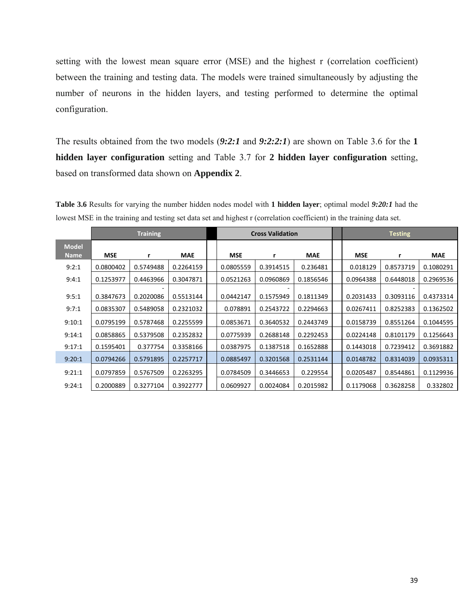setting with the lowest mean square error (MSE) and the highest r (correlation coefficient) between the training and testing data. The models were trained simultaneously by adjusting the number of neurons in the hidden layers, and testing performed to determine the optimal configuration.

The results obtained from the two models (*9:2:1* and *9:2:2:1*) are shown on Table 3.6 for the **1 hidden layer configuration** setting and Table 3.7 for **2 hidden layer configuration** setting, based on transformed data shown on **Appendix 2**.

|                             | <b>Training</b> |           |            | <b>Cross Validation</b> |           |           | <b>Testing</b> |           |            |
|-----------------------------|-----------------|-----------|------------|-------------------------|-----------|-----------|----------------|-----------|------------|
| <b>Model</b><br><b>Name</b> | <b>MSE</b>      | r         | <b>MAE</b> | <b>MSE</b>              |           | MAE       | <b>MSE</b>     | r         | <b>MAE</b> |
| 9:2:1                       | 0.0800402       | 0.5749488 | 0.2264159  | 0.0805559               | 0.3914515 | 0.236481  | 0.018129       | 0.8573719 | 0.1080291  |
| 9:4:1                       | 0.1253977       | 0.4463966 | 0.3047871  | 0.0521263               | 0.0960869 | 0.1856546 | 0.0964388      | 0.6448018 | 0.2969536  |
| 9:5:1                       | 0.3847673       | 0.2020086 | 0.5513144  | 0.0442147               | 0.1575949 | 0.1811349 | 0.2031433      | 0.3093116 | 0.4373314  |
| 9:7:1                       | 0.0835307       | 0.5489058 | 0.2321032  | 0.078891                | 0.2543722 | 0.2294663 | 0.0267411      | 0.8252383 | 0.1362502  |
| 9:10:1                      | 0.0795199       | 0.5787468 | 0.2255599  | 0.0853671               | 0.3640532 | 0.2443749 | 0.0158739      | 0.8551264 | 0.1044595  |
| 9:14:1                      | 0.0858865       | 0.5379508 | 0.2352832  | 0.0775939               | 0.2688148 | 0.2292453 | 0.0224148      | 0.8101179 | 0.1256643  |
| 9:17:1                      | 0.1595401       | 0.377754  | 0.3358166  | 0.0387975               | 0.1387518 | 0.1652888 | 0.1443018      | 0.7239412 | 0.3691882  |
| 9:20:1                      | 0.0794266       | 0.5791895 | 0.2257717  | 0.0885497               | 0.3201568 | 0.2531144 | 0.0148782      | 0.8314039 | 0.0935311  |
| 9:21:1                      | 0.0797859       | 0.5767509 | 0.2263295  | 0.0784509               | 0.3446653 | 0.229554  | 0.0205487      | 0.8544861 | 0.1129936  |
| 9:24:1                      | 0.2000889       | 0.3277104 | 0.3922777  | 0.0609927               | 0.0024084 | 0.2015982 | 0.1179068      | 0.3628258 | 0.332802   |

**Table 3.6** Results for varying the number hidden nodes model with **1 hidden layer**; optimal model *9:20:1* had the lowest MSE in the training and testing set data set and highest r (correlation coefficient) in the training data set.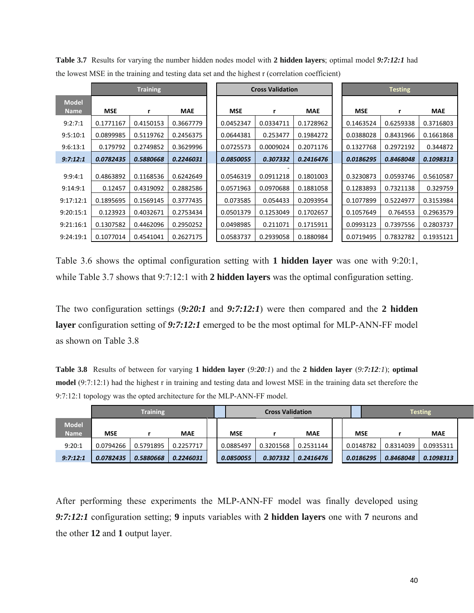|                             | <b>Training</b> |           |            | <b>Cross Validation</b> |           |            | <b>Testing</b> |           |            |
|-----------------------------|-----------------|-----------|------------|-------------------------|-----------|------------|----------------|-----------|------------|
| <b>Model</b><br><b>Name</b> | <b>MSE</b>      |           | <b>MAE</b> | <b>MSE</b>              | r         | <b>MAE</b> | <b>MSE</b>     |           | <b>MAE</b> |
| 9:2:7:1                     | 0.1771167       | 0.4150153 | 0.3667779  | 0.0452347               | 0.0334711 | 0.1728962  | 0.1463524      | 0.6259338 | 0.3716803  |
| 9:5:10:1                    | 0.0899985       | 0.5119762 | 0.2456375  | 0.0644381               | 0.253477  | 0.1984272  | 0.0388028      | 0.8431966 | 0.1661868  |
| 9:6:13:1                    | 0.179792        | 0.2749852 | 0.3629996  | 0.0725573               | 0.0009024 | 0.2071176  | 0.1327768      | 0.2972192 | 0.344872   |
| 9:7:12:1                    | 0.0782435       | 0.5880668 | 0.2246031  | 0.0850055               | 0.307332  | 0.2416476  | 0.0186295      | 0.8468048 | 0.1098313  |
| 9:9:4:1                     | 0.4863892       | 0.1168536 | 0.6242649  | 0.0546319               | 0.0911218 | 0.1801003  | 0.3230873      | 0.0593746 | 0.5610587  |
| 9:14:9:1                    | 0.12457         | 0.4319092 | 0.2882586  | 0.0571963               | 0.0970688 | 0.1881058  | 0.1283893      | 0.7321138 | 0.329759   |
| 9:17:12:1                   | 0.1895695       | 0.1569145 | 0.3777435  | 0.073585                | 0.054433  | 0.2093954  | 0.1077899      | 0.5224977 | 0.3153984  |
| 9:20:15:1                   | 0.123923        | 0.4032671 | 0.2753434  | 0.0501379               | 0.1253049 | 0.1702657  | 0.1057649      | 0.764553  | 0.2963579  |
| 9:21:16:1                   | 0.1307582       | 0.4462096 | 0.2950252  | 0.0498985               | 0.211071  | 0.1715911  | 0.0993123      | 0.7397556 | 0.2803737  |
| 9:24:19:1                   | 0.1077014       | 0.4541041 | 0.2627175  | 0.0583737               | 0.2939058 | 0.1880984  | 0.0719495      | 0.7832782 | 0.1935121  |

**Table 3.7** Results for varying the number hidden nodes model with **2 hidden layers**; optimal model *9:7:12:1* had the lowest MSE in the training and testing data set and the highest r (correlation coefficient)

Table 3.6 shows the optimal configuration setting with **1 hidden layer** was one with 9:20:1, while Table 3.7 shows that 9:7:12:1 with **2 hidden layers** was the optimal configuration setting.

The two configuration settings (*9:20:1* and *9:7:12:1*) were then compared and the **2 hidden layer** configuration setting of *9:7:12:1* emerged to be the most optimal for MLP-ANN-FF model as shown on Table 3.8

**Table 3.8** Results of between for varying **1 hidden layer** (*9:20:1*) and the **2 hidden layer** (*9:7:12:1*); **optimal model** (9:7:12:1) had the highest r in training and testing data and lowest MSE in the training data set therefore the 9:7:12:1 topology was the opted architecture for the MLP-ANN-FF model.

|                             | <b>Training</b> |           |            |  |            | <b>Cross Validation</b> |            |  |            | <b>Testing</b> |            |  |
|-----------------------------|-----------------|-----------|------------|--|------------|-------------------------|------------|--|------------|----------------|------------|--|
| <b>Model</b><br><b>Name</b> | <b>MSE</b>      |           | <b>MAE</b> |  | <b>MSE</b> |                         | <b>MAE</b> |  | <b>MSE</b> |                | <b>MAE</b> |  |
| 9:20:1                      | 0.0794266       | 0.5791895 | 0.2257717  |  | 0.0885497  | 0.3201568               | 0.2531144  |  | 0.0148782  | 0.8314039      | 0.0935311  |  |
| 9:7:12:1                    | 0.0782435       | 0.5880668 | 0.2246031  |  | 0.0850055  | 0.307332                | 0.2416476  |  | 0.0186295  | 0.8468048      | 0.1098313  |  |

After performing these experiments the MLP-ANN-FF model was finally developed using *9:7:12:1* configuration setting; **9** inputs variables with **2 hidden layers** one with **7** neurons and the other **12** and **1** output layer.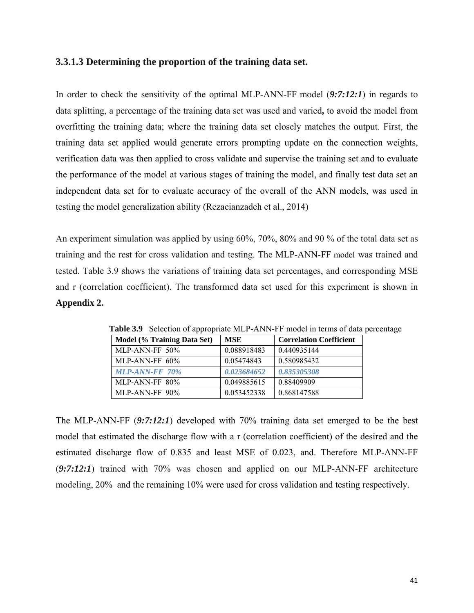### **3.3.1.3 Determining the proportion of the training data set.**

In order to check the sensitivity of the optimal MLP-ANN-FF model (*9:7:12:1*) in regards to data splitting, a percentage of the training data set was used and varied**,** to avoid the model from overfitting the training data; where the training data set closely matches the output. First, the training data set applied would generate errors prompting update on the connection weights, verification data was then applied to cross validate and supervise the training set and to evaluate the performance of the model at various stages of training the model, and finally test data set an independent data set for to evaluate accuracy of the overall of the ANN models, was used in testing the model generalization ability (Rezaeianzadeh et al., 2014)

An experiment simulation was applied by using 60%, 70%, 80% and 90 % of the total data set as training and the rest for cross validation and testing. The MLP-ANN-FF model was trained and tested. Table 3.9 shows the variations of training data set percentages, and corresponding MSE and r (correlation coefficient). The transformed data set used for this experiment is shown in **Appendix 2.**

| Model (% Training Data Set) | MSE         | <b>Correlation Coefficient</b> |
|-----------------------------|-------------|--------------------------------|
| MLP-ANN-FF 50%              | 0.088918483 | 0.440935144                    |
| MLP-ANN-FF $60\%$           | 0.05474843  | 0.580985432                    |
| <b>MLP-ANN-FF 70%</b>       | 0.023684652 | 0.835305308                    |
| MLP-ANN-FF 80%              | 0.049885615 | 0.88409909                     |
| MLP-ANN-FF 90%              | 0.053452338 | 0.868147588                    |

 **Table 3.9** Selection of appropriate MLP-ANN-FF model in terms of data percentage

The MLP-ANN-FF (*9:7:12:1*) developed with 70% training data set emerged to be the best model that estimated the discharge flow with a r (correlation coefficient) of the desired and the estimated discharge flow of 0.835 and least MSE of 0.023, and. Therefore MLP-ANN-FF (*9:7:12:1*) trained with 70% was chosen and applied on our MLP-ANN-FF architecture modeling, 20% and the remaining 10% were used for cross validation and testing respectively.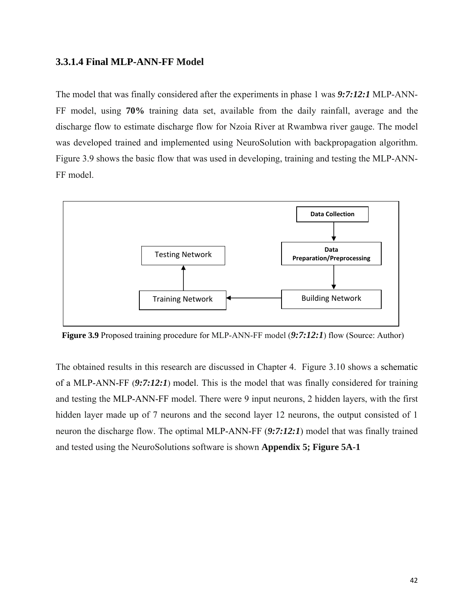### **3.3.1.4 Final MLP-ANN-FF Model**

The model that was finally considered after the experiments in phase 1 was *9:7:12:1* MLP-ANN-FF model, using **70%** training data set, available from the daily rainfall, average and the discharge flow to estimate discharge flow for Nzoia River at Rwambwa river gauge. The model was developed trained and implemented using NeuroSolution with backpropagation algorithm. Figure 3.9 shows the basic flow that was used in developing, training and testing the MLP-ANN-FF model.



 **Figure 3.9** Proposed training procedure for MLP-ANN-FF model (*9:7:12:1*) flow (Source: Author)

The obtained results in this research are discussed in Chapter 4. Figure 3.10 shows a schematic of a MLP-ANN-FF (*9:7:12:1*) model. This is the model that was finally considered for training and testing the MLP-ANN-FF model. There were 9 input neurons, 2 hidden layers, with the first hidden layer made up of 7 neurons and the second layer 12 neurons, the output consisted of 1 neuron the discharge flow. The optimal MLP-ANN-FF (*9:7:12:1*) model that was finally trained and tested using the NeuroSolutions software is shown **Appendix 5; Figure 5A-1**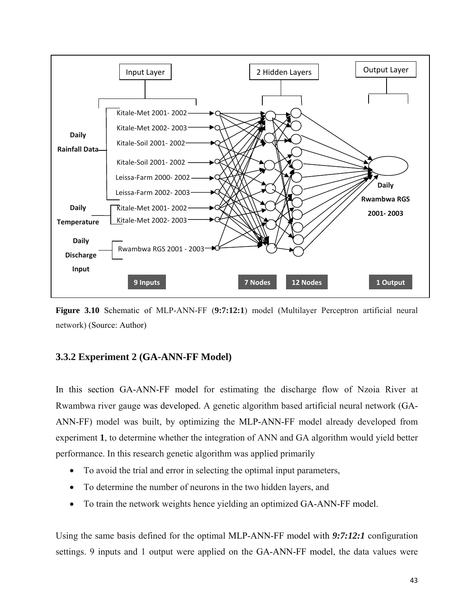

**Figure 3.10** Schematic of MLP-ANN-FF (**9:7:12:1**) model (Multilayer Perceptron artificial neural network) (Source: Author)

## **3.3.2 Experiment 2 (GA-ANN-FF Model)**

In this section GA-ANN-FF model for estimating the discharge flow of Nzoia River at Rwambwa river gauge was developed. A genetic algorithm based artificial neural network (GA-ANN-FF) model was built, by optimizing the MLP-ANN-FF model already developed from experiment **1**, to determine whether the integration of ANN and GA algorithm would yield better performance. In this research genetic algorithm was applied primarily

- To avoid the trial and error in selecting the optimal input parameters,
- To determine the number of neurons in the two hidden layers, and
- To train the network weights hence yielding an optimized GA-ANN-FF model.

Using the same basis defined for the optimal MLP-ANN-FF model with *9:7:12:1* configuration settings. 9 inputs and 1 output were applied on the GA-ANN-FF model, the data values were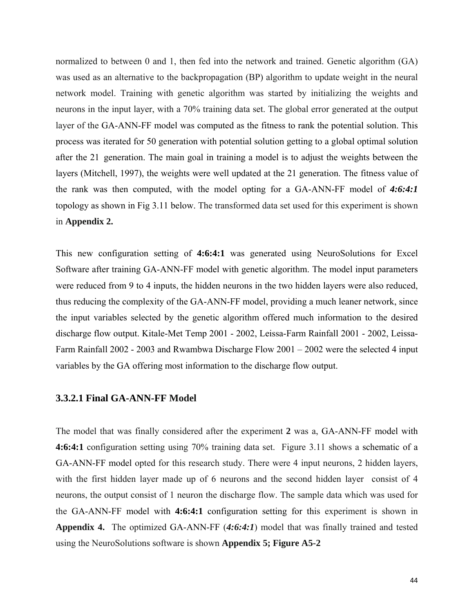normalized to between 0 and 1, then fed into the network and trained. Genetic algorithm (GA) was used as an alternative to the backpropagation (BP) algorithm to update weight in the neural network model. Training with genetic algorithm was started by initializing the weights and neurons in the input layer, with a 70% training data set. The global error generated at the output layer of the GA-ANN-FF model was computed as the fitness to rank the potential solution. This process was iterated for 50 generation with potential solution getting to a global optimal solution after the 21 generation. The main goal in training a model is to adjust the weights between the layers (Mitchell, 1997), the weights were well updated at the 21 generation. The fitness value of the rank was then computed, with the model opting for a GA-ANN-FF model of *4:6:4:1* topology as shown in Fig 3.11 below. The transformed data set used for this experiment is shown in **Appendix 2.**

This new configuration setting of **4:6:4:1** was generated using NeuroSolutions for Excel Software after training GA-ANN-FF model with genetic algorithm. The model input parameters were reduced from 9 to 4 inputs, the hidden neurons in the two hidden layers were also reduced, thus reducing the complexity of the GA-ANN-FF model, providing a much leaner network, since the input variables selected by the genetic algorithm offered much information to the desired discharge flow output. Kitale-Met Temp 2001 - 2002, Leissa-Farm Rainfall 2001 - 2002, Leissa-Farm Rainfall 2002 - 2003 and Rwambwa Discharge Flow 2001 – 2002 were the selected 4 input variables by the GA offering most information to the discharge flow output.

#### **3.3.2.1 Final GA-ANN-FF Model**

The model that was finally considered after the experiment **2** was a, GA-ANN-FF model with **4:6:4:1** configuration setting using 70% training data set. Figure 3.11 shows a schematic of a GA-ANN-FF model opted for this research study. There were 4 input neurons, 2 hidden layers, with the first hidden layer made up of 6 neurons and the second hidden layer consist of 4 neurons, the output consist of 1 neuron the discharge flow. The sample data which was used for the GA-ANN-FF model with **4:6:4:1** configuration setting for this experiment is shown in **Appendix 4.** The optimized GA-ANN-FF (*4:6:4:1*) model that was finally trained and tested using the NeuroSolutions software is shown **Appendix 5; Figure A5-2**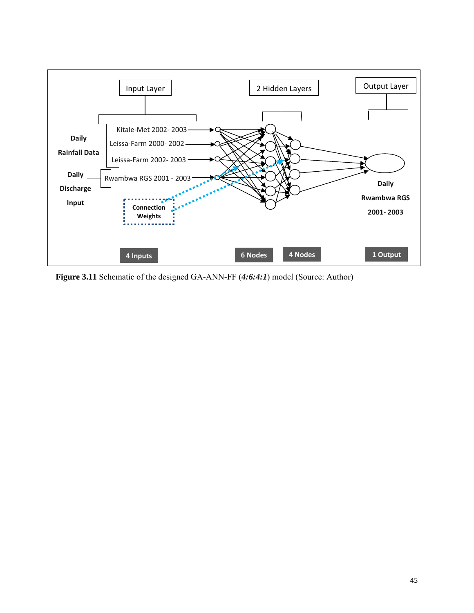

**Figure 3.11** Schematic of the designed GA-ANN-FF (*4:6:4:1*) model (Source: Author)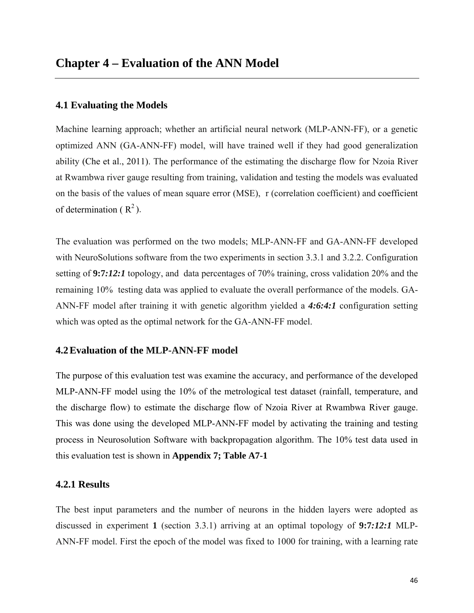#### **4.1 Evaluating the Models**

Machine learning approach; whether an artificial neural network (MLP-ANN-FF), or a genetic optimized ANN (GA-ANN-FF) model, will have trained well if they had good generalization ability (Che et al., 2011). The performance of the estimating the discharge flow for Nzoia River at Rwambwa river gauge resulting from training, validation and testing the models was evaluated on the basis of the values of mean square error (MSE), r (correlation coefficient) and coefficient of determination  $(R^2)$ .

The evaluation was performed on the two models; MLP-ANN-FF and GA-ANN-FF developed with NeuroSolutions software from the two experiments in section 3.3.1 and 3.2.2. Configuration setting of **9:7***:12:1* topology, and data percentages of 70% training, cross validation 20% and the remaining 10% testing data was applied to evaluate the overall performance of the models. GA-ANN-FF model after training it with genetic algorithm yielded a *4:6:4:1* configuration setting which was opted as the optimal network for the GA-ANN-FF model.

#### **4.2Evaluation of the MLP-ANN-FF model**

The purpose of this evaluation test was examine the accuracy, and performance of the developed MLP-ANN-FF model using the 10% of the metrological test dataset (rainfall, temperature, and the discharge flow) to estimate the discharge flow of Nzoia River at Rwambwa River gauge. This was done using the developed MLP-ANN-FF model by activating the training and testing process in Neurosolution Software with backpropagation algorithm. The 10% test data used in this evaluation test is shown in **Appendix 7; Table A7-1**

### **4.2.1 Results**

The best input parameters and the number of neurons in the hidden layers were adopted as discussed in experiment **1** (section 3.3.1) arriving at an optimal topology of **9:7***:12:1* MLP-ANN-FF model. First the epoch of the model was fixed to 1000 for training, with a learning rate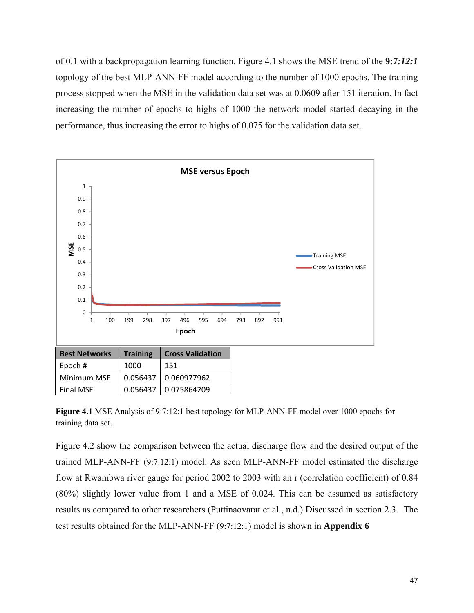of 0.1 with a backpropagation learning function. Figure 4.1 shows the MSE trend of the **9:7***:12:1*  topology of the best MLP-ANN-FF model according to the number of 1000 epochs. The training process stopped when the MSE in the validation data set was at 0.0609 after 151 iteration. In fact increasing the number of epochs to highs of 1000 the network model started decaying in the performance, thus increasing the error to highs of 0.075 for the validation data set.



**Figure 4.1** MSE Analysis of 9:7:12:1 best topology for MLP-ANN-FF model over 1000 epochs for training data set.

Figure 4.2 show the comparison between the actual discharge flow and the desired output of the trained MLP-ANN-FF (9:7:12:1) model. As seen MLP-ANN-FF model estimated the discharge flow at Rwambwa river gauge for period 2002 to 2003 with an r (correlation coefficient) of 0.84 (80%) slightly lower value from 1 and a MSE of 0.024. This can be assumed as satisfactory results as compared to other researchers (Puttinaovarat et al., n.d.) Discussed in section 2.3. The test results obtained for the MLP-ANN-FF (9:7:12:1) model is shown in **Appendix 6**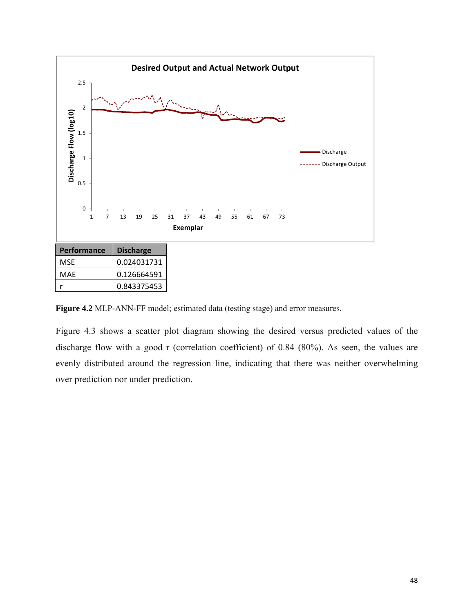

**Figure 4.2** MLP-ANN-FF model; estimated data (testing stage) and error measures.

Figure 4.3 shows a scatter plot diagram showing the desired versus predicted values of the discharge flow with a good r (correlation coefficient) of 0.84 (80%). As seen, the values are evenly distributed around the regression line, indicating that there was neither overwhelming over prediction nor under prediction.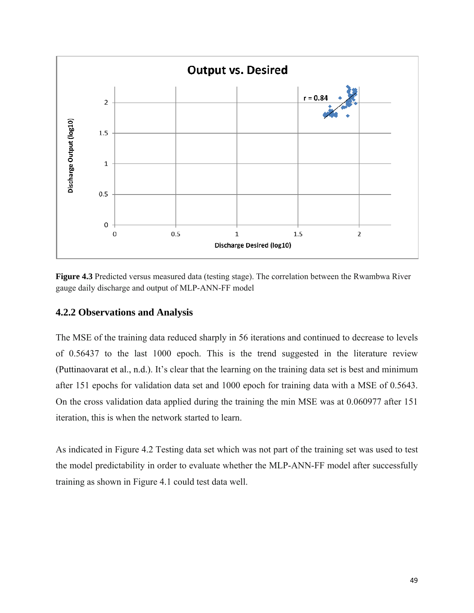

**Figure 4.3** Predicted versus measured data (testing stage). The correlation between the Rwambwa River gauge daily discharge and output of MLP-ANN-FF model

## **4.2.2 Observations and Analysis**

The MSE of the training data reduced sharply in 56 iterations and continued to decrease to levels of 0.56437 to the last 1000 epoch. This is the trend suggested in the literature review (Puttinaovarat et al., n.d.). It's clear that the learning on the training data set is best and minimum after 151 epochs for validation data set and 1000 epoch for training data with a MSE of 0.5643. On the cross validation data applied during the training the min MSE was at 0.060977 after 151 iteration, this is when the network started to learn.

As indicated in Figure 4.2 Testing data set which was not part of the training set was used to test the model predictability in order to evaluate whether the MLP-ANN-FF model after successfully training as shown in Figure 4.1 could test data well.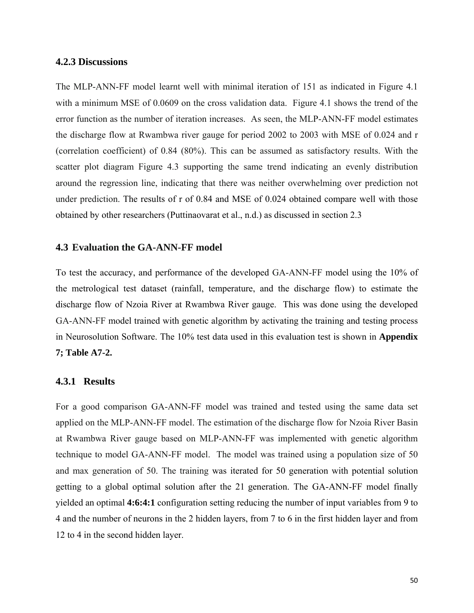#### **4.2.3 Discussions**

The MLP-ANN-FF model learnt well with minimal iteration of 151 as indicated in Figure 4.1 with a minimum MSE of 0.0609 on the cross validation data. Figure 4.1 shows the trend of the error function as the number of iteration increases. As seen, the MLP-ANN-FF model estimates the discharge flow at Rwambwa river gauge for period 2002 to 2003 with MSE of 0.024 and r (correlation coefficient) of 0.84 (80%). This can be assumed as satisfactory results. With the scatter plot diagram Figure 4.3 supporting the same trend indicating an evenly distribution around the regression line, indicating that there was neither overwhelming over prediction not under prediction. The results of r of 0.84 and MSE of 0.024 obtained compare well with those obtained by other researchers (Puttinaovarat et al., n.d.) as discussed in section 2.3

#### **4.3 Evaluation the GA-ANN-FF model**

To test the accuracy, and performance of the developed GA-ANN-FF model using the 10% of the metrological test dataset (rainfall, temperature, and the discharge flow) to estimate the discharge flow of Nzoia River at Rwambwa River gauge. This was done using the developed GA-ANN-FF model trained with genetic algorithm by activating the training and testing process in Neurosolution Software. The 10% test data used in this evaluation test is shown in **Appendix 7; Table A7-2.**

#### **4.3.1 Results**

For a good comparison GA-ANN-FF model was trained and tested using the same data set applied on the MLP-ANN-FF model. The estimation of the discharge flow for Nzoia River Basin at Rwambwa River gauge based on MLP-ANN-FF was implemented with genetic algorithm technique to model GA-ANN-FF model. The model was trained using a population size of 50 and max generation of 50. The training was iterated for 50 generation with potential solution getting to a global optimal solution after the 21 generation. The GA-ANN-FF model finally yielded an optimal **4:6:4:1** configuration setting reducing the number of input variables from 9 to 4 and the number of neurons in the 2 hidden layers, from 7 to 6 in the first hidden layer and from 12 to 4 in the second hidden layer.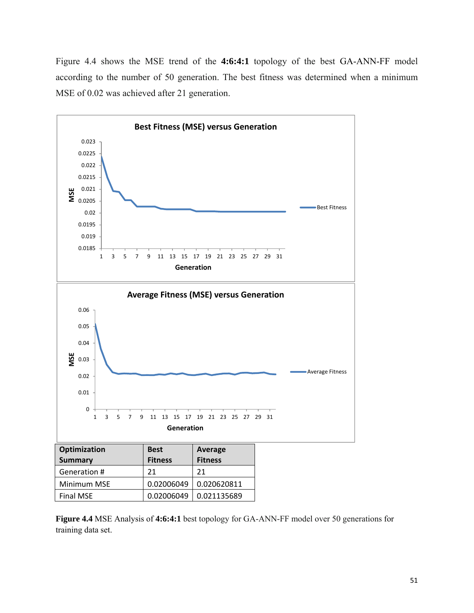Figure 4.4 shows the MSE trend of the **4:6:4:1** topology of the best GA-ANN-FF model according to the number of 50 generation. The best fitness was determined when a minimum MSE of 0.02 was achieved after 21 generation.



**Figure 4.4** MSE Analysis of **4:6:4:1** best topology for GA-ANN-FF model over 50 generations for training data set.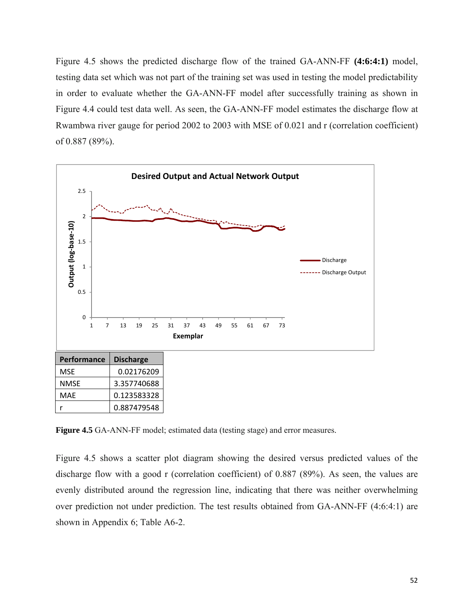Figure 4.5 shows the predicted discharge flow of the trained GA-ANN-FF **(4:6:4:1)** model, testing data set which was not part of the training set was used in testing the model predictability in order to evaluate whether the GA-ANN-FF model after successfully training as shown in Figure 4.4 could test data well. As seen, the GA-ANN-FF model estimates the discharge flow at Rwambwa river gauge for period 2002 to 2003 with MSE of 0.021 and r (correlation coefficient) of 0.887 (89%).



**Figure 4.5** GA-ANN-FF model; estimated data (testing stage) and error measures.

Figure 4.5 shows a scatter plot diagram showing the desired versus predicted values of the discharge flow with a good r (correlation coefficient) of 0.887 (89%). As seen, the values are evenly distributed around the regression line, indicating that there was neither overwhelming over prediction not under prediction. The test results obtained from GA-ANN-FF (4:6:4:1) are shown in Appendix 6; Table A6-2.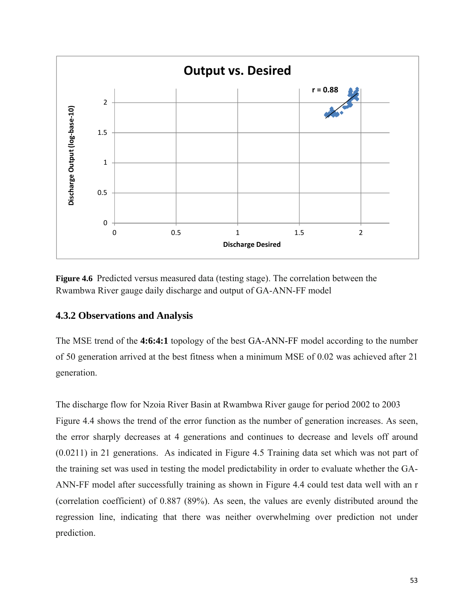

**Figure 4.6** Predicted versus measured data (testing stage). The correlation between the Rwambwa River gauge daily discharge and output of GA-ANN-FF model

## **4.3.2 Observations and Analysis**

The MSE trend of the **4:6:4:1** topology of the best GA-ANN-FF model according to the number of 50 generation arrived at the best fitness when a minimum MSE of 0.02 was achieved after 21 generation.

The discharge flow for Nzoia River Basin at Rwambwa River gauge for period 2002 to 2003 Figure 4.4 shows the trend of the error function as the number of generation increases. As seen, the error sharply decreases at 4 generations and continues to decrease and levels off around (0.0211) in 21 generations. As indicated in Figure 4.5 Training data set which was not part of the training set was used in testing the model predictability in order to evaluate whether the GA-ANN-FF model after successfully training as shown in Figure 4.4 could test data well with an r (correlation coefficient) of 0.887 (89%). As seen, the values are evenly distributed around the regression line, indicating that there was neither overwhelming over prediction not under prediction.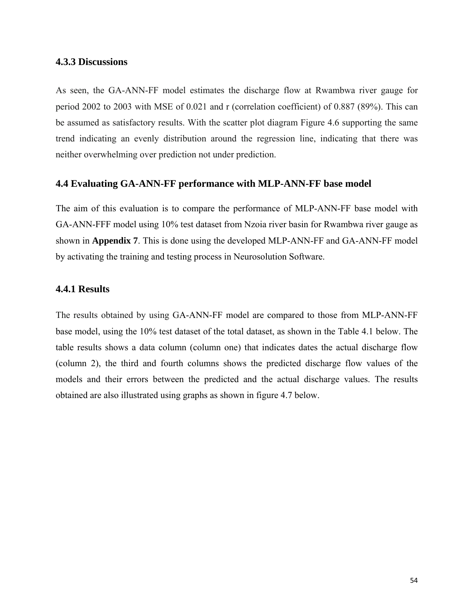#### **4.3.3 Discussions**

As seen, the GA-ANN-FF model estimates the discharge flow at Rwambwa river gauge for period 2002 to 2003 with MSE of 0.021 and r (correlation coefficient) of 0.887 (89%). This can be assumed as satisfactory results. With the scatter plot diagram Figure 4.6 supporting the same trend indicating an evenly distribution around the regression line, indicating that there was neither overwhelming over prediction not under prediction.

#### **4.4 Evaluating GA-ANN-FF performance with MLP-ANN-FF base model**

The aim of this evaluation is to compare the performance of MLP-ANN-FF base model with GA-ANN-FFF model using 10% test dataset from Nzoia river basin for Rwambwa river gauge as shown in **Appendix 7**. This is done using the developed MLP-ANN-FF and GA-ANN-FF model by activating the training and testing process in Neurosolution Software.

### **4.4.1 Results**

The results obtained by using GA-ANN-FF model are compared to those from MLP-ANN-FF base model, using the 10% test dataset of the total dataset, as shown in the Table 4.1 below. The table results shows a data column (column one) that indicates dates the actual discharge flow (column 2), the third and fourth columns shows the predicted discharge flow values of the models and their errors between the predicted and the actual discharge values. The results obtained are also illustrated using graphs as shown in figure 4.7 below.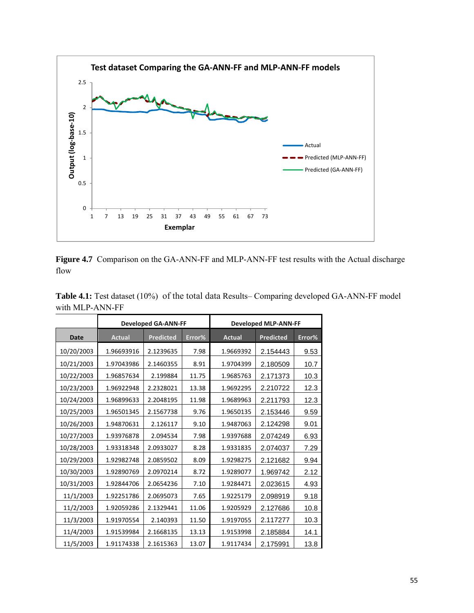

**Figure 4.7** Comparison on the GA-ANN-FF and MLP-ANN-FF test results with the Actual discharge flow

|             |               | <b>Developed GA-ANN-FF</b> |        |               | <b>Developed MLP-ANN-FF</b> |        |
|-------------|---------------|----------------------------|--------|---------------|-----------------------------|--------|
| <b>Date</b> | <b>Actual</b> | <b>Predicted</b>           | Error% | <b>Actual</b> | <b>Predicted</b>            | Error% |
| 10/20/2003  | 1.96693916    | 2.1239635                  | 7.98   | 1.9669392     | 2.154443                    | 9.53   |
| 10/21/2003  | 1.97043986    | 2.1460355                  | 8.91   | 1.9704399     | 2.180509                    | 10.7   |
| 10/22/2003  | 1.96857634    | 2.199884                   | 11.75  | 1.9685763     | 2.171373                    | 10.3   |
| 10/23/2003  | 1.96922948    | 2.2328021                  | 13.38  | 1.9692295     | 2.210722                    | 12.3   |
| 10/24/2003  | 1.96899633    | 2.2048195                  | 11.98  | 1.9689963     | 2.211793                    | 12.3   |
| 10/25/2003  | 1.96501345    | 2.1567738                  | 9.76   | 1.9650135     | 2.153446                    | 9.59   |
| 10/26/2003  | 1.94870631    | 2.126117                   | 9.10   | 1.9487063     | 2.124298                    | 9.01   |
| 10/27/2003  | 1.93976878    | 2.094534                   | 7.98   | 1.9397688     | 2.074249                    | 6.93   |
| 10/28/2003  | 1.93318348    | 2.0933027                  | 8.28   | 1.9331835     | 2.074037                    | 7.29   |
| 10/29/2003  | 1.92982748    | 2.0859502                  | 8.09   | 1.9298275     | 2.121682                    | 9.94   |
| 10/30/2003  | 1.92890769    | 2.0970214                  | 8.72   | 1.9289077     | 1.969742                    | 2.12   |
| 10/31/2003  | 1.92844706    | 2.0654236                  | 7.10   | 1.9284471     | 2.023615                    | 4.93   |
| 11/1/2003   | 1.92251786    | 2.0695073                  | 7.65   | 1.9225179     | 2.098919                    | 9.18   |
| 11/2/2003   | 1.92059286    | 2.1329441                  | 11.06  | 1.9205929     | 2.127686                    | 10.8   |
| 11/3/2003   | 1.91970554    | 2.140393                   | 11.50  | 1.9197055     | 2.117277                    | 10.3   |
| 11/4/2003   | 1.91539984    | 2.1668135                  | 13.13  | 1.9153998     | 2.185884                    | 14.1   |
| 11/5/2003   | 1.91174338    | 2.1615363                  | 13.07  | 1.9117434     | 2.175991                    | 13.8   |

**Table 4.1:** Test dataset (10%) of the total data Results– Comparing developed GA-ANN-FF model with MLP-ANN-FF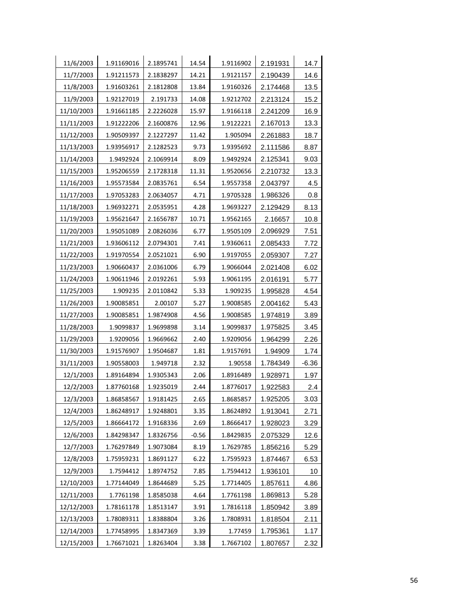| 11/6/2003  | 1.91169016 | 2.1895741 | 14.54   | 1.9116902 | 2.191931 | 14.7    |
|------------|------------|-----------|---------|-----------|----------|---------|
| 11/7/2003  | 1.91211573 | 2.1838297 | 14.21   | 1.9121157 | 2.190439 | 14.6    |
| 11/8/2003  | 1.91603261 | 2.1812808 | 13.84   | 1.9160326 | 2.174468 | 13.5    |
| 11/9/2003  | 1.92127019 | 2.191733  | 14.08   | 1.9212702 | 2.213124 | 15.2    |
| 11/10/2003 | 1.91661185 | 2.2226028 | 15.97   | 1.9166118 | 2.241209 | 16.9    |
| 11/11/2003 | 1.91222206 | 2.1600876 | 12.96   | 1.9122221 | 2.167013 | 13.3    |
| 11/12/2003 | 1.90509397 | 2.1227297 | 11.42   | 1.905094  | 2.261883 | 18.7    |
| 11/13/2003 | 1.93956917 | 2.1282523 | 9.73    | 1.9395692 | 2.111586 | 8.87    |
| 11/14/2003 | 1.9492924  | 2.1069914 | 8.09    | 1.9492924 | 2.125341 | 9.03    |
| 11/15/2003 | 1.95206559 | 2.1728318 | 11.31   | 1.9520656 | 2.210732 | 13.3    |
| 11/16/2003 | 1.95573584 | 2.0835761 | 6.54    | 1.9557358 | 2.043797 | 4.5     |
| 11/17/2003 | 1.97053283 | 2.0634057 | 4.71    | 1.9705328 | 1.986326 | 0.8     |
| 11/18/2003 | 1.96932271 | 2.0535951 | 4.28    | 1.9693227 | 2.129429 | 8.13    |
| 11/19/2003 | 1.95621647 | 2.1656787 | 10.71   | 1.9562165 | 2.16657  | 10.8    |
| 11/20/2003 | 1.95051089 | 2.0826036 | 6.77    | 1.9505109 | 2.096929 | 7.51    |
| 11/21/2003 | 1.93606112 | 2.0794301 | 7.41    | 1.9360611 | 2.085433 | 7.72    |
| 11/22/2003 | 1.91970554 | 2.0521021 | 6.90    | 1.9197055 | 2.059307 | 7.27    |
| 11/23/2003 | 1.90660437 | 2.0361006 | 6.79    | 1.9066044 | 2.021408 | 6.02    |
| 11/24/2003 | 1.90611946 | 2.0192261 | 5.93    | 1.9061195 | 2.016191 | 5.77    |
| 11/25/2003 | 1.909235   | 2.0110842 | 5.33    | 1.909235  | 1.995828 | 4.54    |
| 11/26/2003 | 1.90085851 | 2.00107   | 5.27    | 1.9008585 | 2.004162 | 5.43    |
| 11/27/2003 | 1.90085851 | 1.9874908 | 4.56    | 1.9008585 | 1.974819 | 3.89    |
| 11/28/2003 | 1.9099837  | 1.9699898 | 3.14    | 1.9099837 | 1.975825 | 3.45    |
| 11/29/2003 | 1.9209056  | 1.9669662 | 2.40    | 1.9209056 | 1.964299 | 2.26    |
| 11/30/2003 | 1.91576907 | 1.9504687 | 1.81    | 1.9157691 | 1.94909  | 1.74    |
| 31/11/2003 | 1.90558003 | 1.949718  | 2.32    | 1.90558   | 1.784349 | $-6.36$ |
| 12/1/2003  | 1.89164894 | 1.9305343 | 2.06    | 1.8916489 | 1.928971 | 1.97    |
| 12/2/2003  | 1.87760168 | 1.9235019 | 2.44    | 1.8776017 | 1.922583 | 2.4     |
| 12/3/2003  | 1.86858567 | 1.9181425 | 2.65    | 1.8685857 | 1.925205 | 3.03    |
| 12/4/2003  | 1.86248917 | 1.9248801 | 3.35    | 1.8624892 | 1.913041 | 2.71    |
| 12/5/2003  | 1.86664172 | 1.9168336 | 2.69    | 1.8666417 | 1.928023 | 3.29    |
| 12/6/2003  | 1.84298347 | 1.8326756 | $-0.56$ | 1.8429835 | 2.075329 | 12.6    |
| 12/7/2003  | 1.76297849 | 1.9073084 | 8.19    | 1.7629785 | 1.856216 | 5.29    |
| 12/8/2003  | 1.75959231 | 1.8691127 | 6.22    | 1.7595923 | 1.874467 | 6.53    |
| 12/9/2003  | 1.7594412  | 1.8974752 | 7.85    | 1.7594412 | 1.936101 | 10      |
| 12/10/2003 | 1.77144049 | 1.8644689 | 5.25    | 1.7714405 | 1.857611 | 4.86    |
| 12/11/2003 | 1.7761198  | 1.8585038 | 4.64    | 1.7761198 | 1.869813 | 5.28    |
| 12/12/2003 | 1.78161178 | 1.8513147 | 3.91    | 1.7816118 | 1.850942 | 3.89    |
| 12/13/2003 | 1.78089311 | 1.8388804 | 3.26    | 1.7808931 | 1.818504 | 2.11    |
| 12/14/2003 | 1.77458995 | 1.8347369 | 3.39    | 1.77459   | 1.795361 | 1.17    |
| 12/15/2003 | 1.76671021 | 1.8263404 | 3.38    | 1.7667102 | 1.807657 | 2.32    |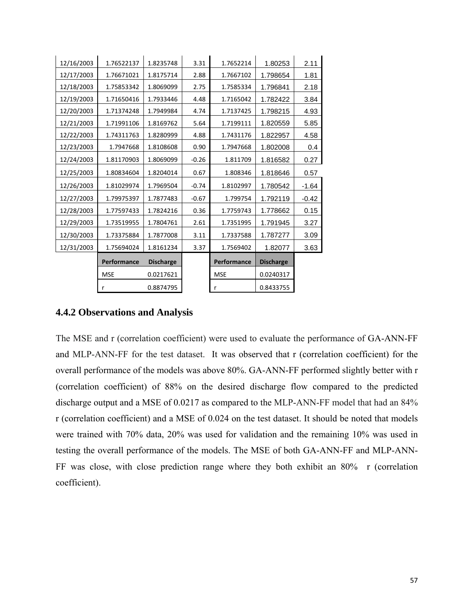| 12/16/2003 | 1.76522137  | 1.8235748        | 3.31    | 1.7652214   | 1.80253          | 2.11    |
|------------|-------------|------------------|---------|-------------|------------------|---------|
| 12/17/2003 | 1.76671021  | 1.8175714        | 2.88    | 1.7667102   | 1.798654         | 1.81    |
| 12/18/2003 | 1.75853342  | 1.8069099        | 2.75    | 1.7585334   | 1.796841         | 2.18    |
| 12/19/2003 | 1.71650416  | 1.7933446        | 4.48    | 1.7165042   | 1.782422         | 3.84    |
| 12/20/2003 | 1.71374248  | 1.7949984        | 4.74    | 1.7137425   | 1.798215         | 4.93    |
| 12/21/2003 | 1.71991106  | 1.8169762        | 5.64    | 1.7199111   | 1.820559         | 5.85    |
| 12/22/2003 | 1.74311763  | 1.8280999        | 4.88    | 1.7431176   | 1.822957         | 4.58    |
| 12/23/2003 | 1.7947668   | 1.8108608        | 0.90    | 1.7947668   | 1.802008         | 0.4     |
| 12/24/2003 | 1.81170903  | 1.8069099        | $-0.26$ | 1.811709    | 1.816582         | 0.27    |
| 12/25/2003 | 1.80834604  | 1.8204014        | 0.67    | 1.808346    | 1.818646         | 0.57    |
| 12/26/2003 | 1.81029974  | 1.7969504        | $-0.74$ | 1.8102997   | 1.780542         | $-1.64$ |
| 12/27/2003 | 1.79975397  | 1.7877483        | $-0.67$ | 1.799754    | 1.792119         | $-0.42$ |
| 12/28/2003 | 1.77597433  | 1.7824216        | 0.36    | 1.7759743   | 1.778662         | 0.15    |
| 12/29/2003 | 1.73519955  | 1.7804761        | 2.61    | 1.7351995   | 1.791945         | 3.27    |
| 12/30/2003 | 1.73375884  | 1.7877008        | 3.11    | 1.7337588   | 1.787277         | 3.09    |
| 12/31/2003 | 1.75694024  | 1.8161234        | 3.37    | 1.7569402   | 1.82077          | 3.63    |
|            | Performance | <b>Discharge</b> |         | Performance | <b>Discharge</b> |         |
|            | <b>MSE</b>  | 0.0217621        |         | <b>MSE</b>  | 0.0240317        |         |
|            | r           | 0.8874795        |         | r           | 0.8433755        |         |
|            |             |                  |         |             |                  |         |

## **4.4.2 Observations and Analysis**

The MSE and r (correlation coefficient) were used to evaluate the performance of GA-ANN-FF and MLP-ANN-FF for the test dataset. It was observed that r (correlation coefficient) for the overall performance of the models was above 80%. GA-ANN-FF performed slightly better with r (correlation coefficient) of 88% on the desired discharge flow compared to the predicted discharge output and a MSE of 0.0217 as compared to the MLP-ANN-FF model that had an 84% r (correlation coefficient) and a MSE of 0.024 on the test dataset. It should be noted that models were trained with 70% data, 20% was used for validation and the remaining 10% was used in testing the overall performance of the models. The MSE of both GA-ANN-FF and MLP-ANN-FF was close, with close prediction range where they both exhibit an 80% r (correlation coefficient).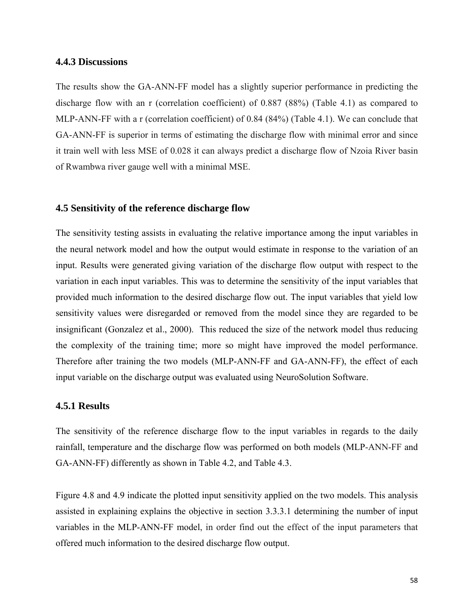#### **4.4.3 Discussions**

The results show the GA-ANN-FF model has a slightly superior performance in predicting the discharge flow with an r (correlation coefficient) of 0.887 (88%) (Table 4.1) as compared to MLP-ANN-FF with a r (correlation coefficient) of 0.84 (84%) (Table 4.1). We can conclude that GA-ANN-FF is superior in terms of estimating the discharge flow with minimal error and since it train well with less MSE of 0.028 it can always predict a discharge flow of Nzoia River basin of Rwambwa river gauge well with a minimal MSE.

#### **4.5 Sensitivity of the reference discharge flow**

The sensitivity testing assists in evaluating the relative importance among the input variables in the neural network model and how the output would estimate in response to the variation of an input. Results were generated giving variation of the discharge flow output with respect to the variation in each input variables. This was to determine the sensitivity of the input variables that provided much information to the desired discharge flow out. The input variables that yield low sensitivity values were disregarded or removed from the model since they are regarded to be insignificant (Gonzalez et al., 2000). This reduced the size of the network model thus reducing the complexity of the training time; more so might have improved the model performance. Therefore after training the two models (MLP-ANN-FF and GA-ANN-FF), the effect of each input variable on the discharge output was evaluated using NeuroSolution Software.

### **4.5.1 Results**

The sensitivity of the reference discharge flow to the input variables in regards to the daily rainfall, temperature and the discharge flow was performed on both models (MLP-ANN-FF and GA-ANN-FF) differently as shown in Table 4.2, and Table 4.3.

Figure 4.8 and 4.9 indicate the plotted input sensitivity applied on the two models. This analysis assisted in explaining explains the objective in section 3.3.3.1 determining the number of input variables in the MLP-ANN-FF model, in order find out the effect of the input parameters that offered much information to the desired discharge flow output.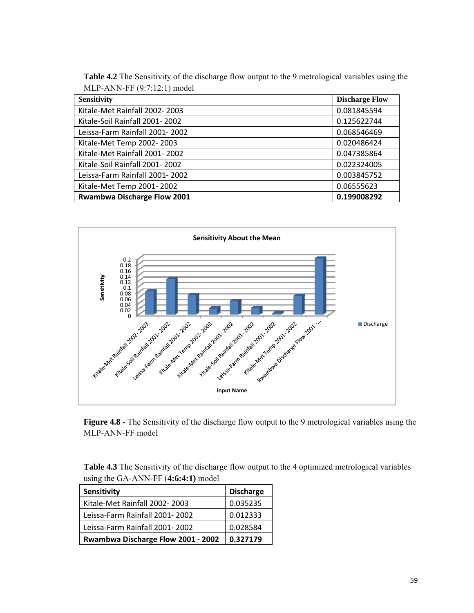**Table 4.2** The Sensitivity of the discharge flow output to the 9 metrological variables using the MLP-ANN-FF (9:7:12:1) model

| <b>Sensitivity</b>             | <b>Discharge Flow</b> |
|--------------------------------|-----------------------|
| Kitale-Met Rainfall 2002-2003  | 0.081845594           |
| Kitale-Soil Rainfall 2001-2002 | 0.125622744           |
| Leissa-Farm Rainfall 2001-2002 | 0.068546469           |
| Kitale-Met Temp 2002-2003      | 0.020486424           |
| Kitale-Met Rainfall 2001-2002  | 0.047385864           |
| Kitale-Soil Rainfall 2001-2002 | 0.022324005           |
| Leissa-Farm Rainfall 2001-2002 | 0.003845752           |
| Kitale-Met Temp 2001-2002      | 0.06555623            |
| Rwambwa Discharge Flow 2001    | 0.199008292           |



**Figure 4.8 -** The Sensitivity of the discharge flow output to the 9 metrological variables using the MLP-ANN-FF model

**Table 4.3** The Sensitivity of the discharge flow output to the 4 optimized metrological variables using the GA-ANN-FF (**4:6:4:1)** model

| Sensitivity                        | <b>Discharge</b> |  |
|------------------------------------|------------------|--|
| Kitale-Met Rainfall 2002-2003      | 0.035235         |  |
| Leissa-Farm Rainfall 2001-2002     | 0.012333         |  |
| Leissa-Farm Rainfall 2001-2002     | 0.028584         |  |
| Rwambwa Discharge Flow 2001 - 2002 | 0.327179         |  |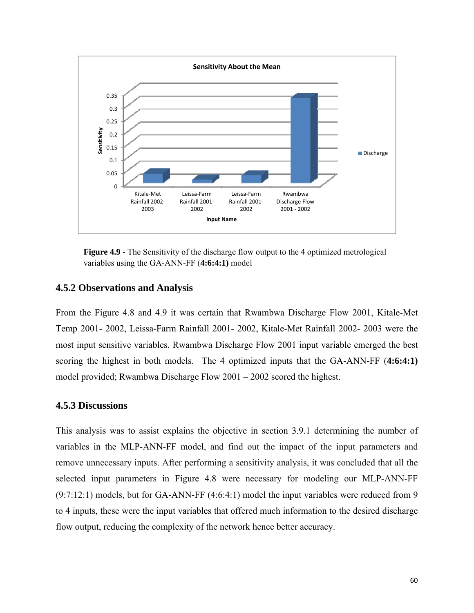

**Figure 4.9 -** The Sensitivity of the discharge flow output to the 4 optimized metrological variables using the GA-ANN-FF (**4:6:4:1)** model

### **4.5.2 Observations and Analysis**

From the Figure 4.8 and 4.9 it was certain that Rwambwa Discharge Flow 2001, Kitale-Met Temp 2001- 2002, Leissa-Farm Rainfall 2001- 2002, Kitale-Met Rainfall 2002- 2003 were the most input sensitive variables. Rwambwa Discharge Flow 2001 input variable emerged the best scoring the highest in both models. The 4 optimized inputs that the GA-ANN-FF (**4:6:4:1)**  model provided; Rwambwa Discharge Flow 2001 – 2002 scored the highest.

### **4.5.3 Discussions**

This analysis was to assist explains the objective in section 3.9.1 determining the number of variables in the MLP-ANN-FF model, and find out the impact of the input parameters and remove unnecessary inputs. After performing a sensitivity analysis, it was concluded that all the selected input parameters in Figure 4.8 were necessary for modeling our MLP-ANN-FF (9:7:12:1) models, but for GA-ANN-FF (4:6:4:1) model the input variables were reduced from 9 to 4 inputs, these were the input variables that offered much information to the desired discharge flow output, reducing the complexity of the network hence better accuracy.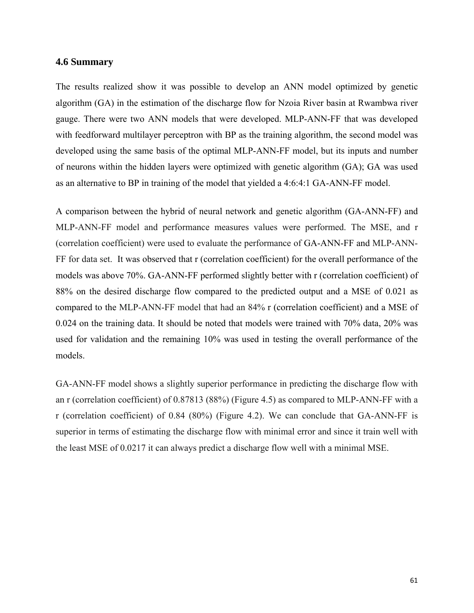### **4.6 Summary**

The results realized show it was possible to develop an ANN model optimized by genetic algorithm (GA) in the estimation of the discharge flow for Nzoia River basin at Rwambwa river gauge. There were two ANN models that were developed. MLP-ANN-FF that was developed with feedforward multilayer perceptron with BP as the training algorithm, the second model was developed using the same basis of the optimal MLP-ANN-FF model, but its inputs and number of neurons within the hidden layers were optimized with genetic algorithm (GA); GA was used as an alternative to BP in training of the model that yielded a 4:6:4:1 GA-ANN-FF model.

A comparison between the hybrid of neural network and genetic algorithm (GA-ANN-FF) and MLP-ANN-FF model and performance measures values were performed. The MSE, and r (correlation coefficient) were used to evaluate the performance of GA-ANN-FF and MLP-ANN-FF for data set. It was observed that r (correlation coefficient) for the overall performance of the models was above 70%. GA-ANN-FF performed slightly better with r (correlation coefficient) of 88% on the desired discharge flow compared to the predicted output and a MSE of 0.021 as compared to the MLP-ANN-FF model that had an 84% r (correlation coefficient) and a MSE of 0.024 on the training data. It should be noted that models were trained with 70% data, 20% was used for validation and the remaining 10% was used in testing the overall performance of the models.

GA-ANN-FF model shows a slightly superior performance in predicting the discharge flow with an r (correlation coefficient) of 0.87813 (88%) (Figure 4.5) as compared to MLP-ANN-FF with a r (correlation coefficient) of 0.84 (80%) (Figure 4.2). We can conclude that GA-ANN-FF is superior in terms of estimating the discharge flow with minimal error and since it train well with the least MSE of 0.0217 it can always predict a discharge flow well with a minimal MSE.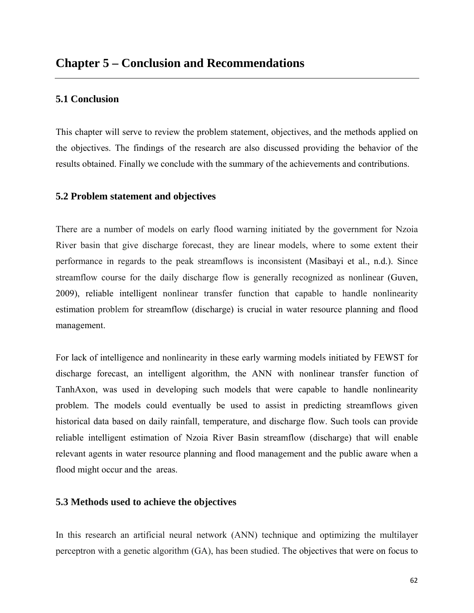### **5.1 Conclusion**

This chapter will serve to review the problem statement, objectives, and the methods applied on the objectives. The findings of the research are also discussed providing the behavior of the results obtained. Finally we conclude with the summary of the achievements and contributions.

### **5.2 Problem statement and objectives**

There are a number of models on early flood warning initiated by the government for Nzoia River basin that give discharge forecast, they are linear models, where to some extent their performance in regards to the peak streamflows is inconsistent (Masibayi et al., n.d.). Since streamflow course for the daily discharge flow is generally recognized as nonlinear (Guven, 2009), reliable intelligent nonlinear transfer function that capable to handle nonlinearity estimation problem for streamflow (discharge) is crucial in water resource planning and flood management.

For lack of intelligence and nonlinearity in these early warming models initiated by FEWST for discharge forecast, an intelligent algorithm, the ANN with nonlinear transfer function of TanhAxon, was used in developing such models that were capable to handle nonlinearity problem. The models could eventually be used to assist in predicting streamflows given historical data based on daily rainfall, temperature, and discharge flow. Such tools can provide reliable intelligent estimation of Nzoia River Basin streamflow (discharge) that will enable relevant agents in water resource planning and flood management and the public aware when a flood might occur and the areas.

### **5.3 Methods used to achieve the objectives**

In this research an artificial neural network (ANN) technique and optimizing the multilayer perceptron with a genetic algorithm (GA), has been studied. The objectives that were on focus to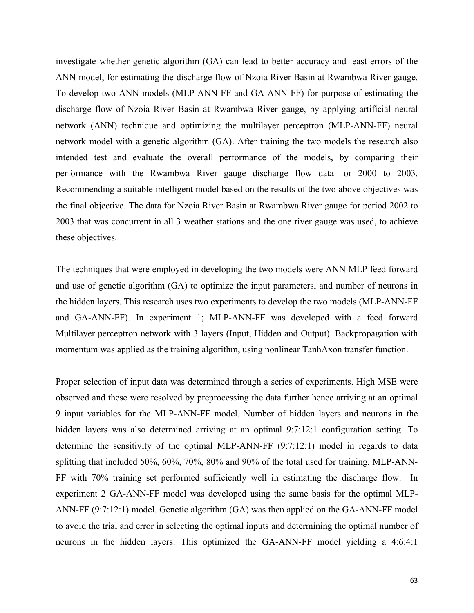investigate whether genetic algorithm (GA) can lead to better accuracy and least errors of the ANN model, for estimating the discharge flow of Nzoia River Basin at Rwambwa River gauge. To develop two ANN models (MLP-ANN-FF and GA-ANN-FF) for purpose of estimating the discharge flow of Nzoia River Basin at Rwambwa River gauge, by applying artificial neural network (ANN) technique and optimizing the multilayer perceptron (MLP-ANN-FF) neural network model with a genetic algorithm (GA). After training the two models the research also intended test and evaluate the overall performance of the models, by comparing their performance with the Rwambwa River gauge discharge flow data for 2000 to 2003. Recommending a suitable intelligent model based on the results of the two above objectives was the final objective. The data for Nzoia River Basin at Rwambwa River gauge for period 2002 to 2003 that was concurrent in all 3 weather stations and the one river gauge was used, to achieve these objectives.

The techniques that were employed in developing the two models were ANN MLP feed forward and use of genetic algorithm (GA) to optimize the input parameters, and number of neurons in the hidden layers. This research uses two experiments to develop the two models (MLP-ANN-FF and GA-ANN-FF). In experiment 1; MLP-ANN-FF was developed with a feed forward Multilayer perceptron network with 3 layers (Input, Hidden and Output). Backpropagation with momentum was applied as the training algorithm, using nonlinear TanhAxon transfer function.

Proper selection of input data was determined through a series of experiments. High MSE were observed and these were resolved by preprocessing the data further hence arriving at an optimal 9 input variables for the MLP-ANN-FF model. Number of hidden layers and neurons in the hidden layers was also determined arriving at an optimal 9:7:12:1 configuration setting. To determine the sensitivity of the optimal MLP-ANN-FF (9:7:12:1) model in regards to data splitting that included 50%, 60%, 70%, 80% and 90% of the total used for training. MLP-ANN-FF with 70% training set performed sufficiently well in estimating the discharge flow. In experiment 2 GA-ANN-FF model was developed using the same basis for the optimal MLP-ANN-FF (9:7:12:1) model. Genetic algorithm (GA) was then applied on the GA-ANN-FF model to avoid the trial and error in selecting the optimal inputs and determining the optimal number of neurons in the hidden layers. This optimized the GA-ANN-FF model yielding a 4:6:4:1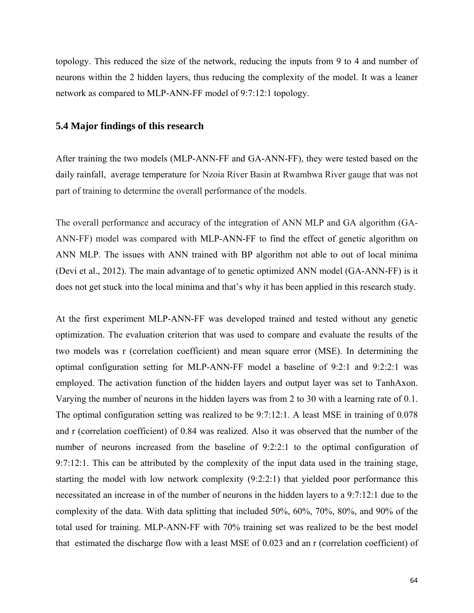topology. This reduced the size of the network, reducing the inputs from 9 to 4 and number of neurons within the 2 hidden layers, thus reducing the complexity of the model. It was a leaner network as compared to MLP-ANN-FF model of 9:7:12:1 topology.

### **5.4 Major findings of this research**

After training the two models (MLP-ANN-FF and GA-ANN-FF), they were tested based on the daily rainfall, average temperature for Nzoia River Basin at Rwambwa River gauge that was not part of training to determine the overall performance of the models.

The overall performance and accuracy of the integration of ANN MLP and GA algorithm (GA-ANN-FF) model was compared with MLP-ANN-FF to find the effect of genetic algorithm on ANN MLP. The issues with ANN trained with BP algorithm not able to out of local minima (Devi et al., 2012). The main advantage of to genetic optimized ANN model (GA-ANN-FF) is it does not get stuck into the local minima and that's why it has been applied in this research study.

At the first experiment MLP-ANN-FF was developed trained and tested without any genetic optimization. The evaluation criterion that was used to compare and evaluate the results of the two models was r (correlation coefficient) and mean square error (MSE). In determining the optimal configuration setting for MLP-ANN-FF model a baseline of 9:2:1 and 9:2:2:1 was employed. The activation function of the hidden layers and output layer was set to TanhAxon. Varying the number of neurons in the hidden layers was from 2 to 30 with a learning rate of 0.1. The optimal configuration setting was realized to be 9:7:12:1. A least MSE in training of 0.078 and r (correlation coefficient) of 0.84 was realized. Also it was observed that the number of the number of neurons increased from the baseline of 9:2:2:1 to the optimal configuration of 9:7:12:1. This can be attributed by the complexity of the input data used in the training stage, starting the model with low network complexity (9:2:2:1) that yielded poor performance this necessitated an increase in of the number of neurons in the hidden layers to a 9:7:12:1 due to the complexity of the data. With data splitting that included 50%, 60%, 70%, 80%, and 90% of the total used for training. MLP-ANN-FF with 70% training set was realized to be the best model that estimated the discharge flow with a least MSE of 0.023 and an r (correlation coefficient) of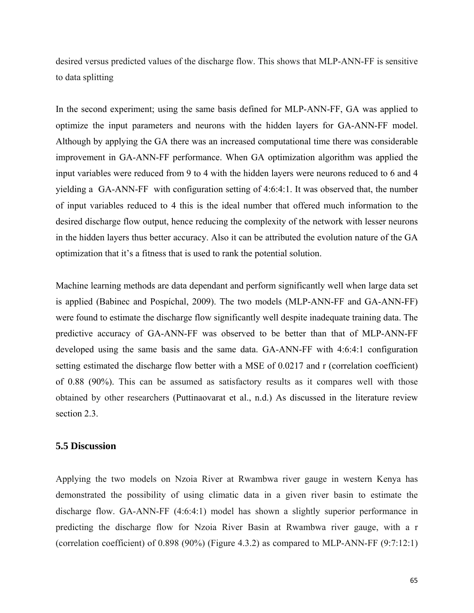desired versus predicted values of the discharge flow. This shows that MLP-ANN-FF is sensitive to data splitting

In the second experiment; using the same basis defined for MLP-ANN-FF, GA was applied to optimize the input parameters and neurons with the hidden layers for GA-ANN-FF model. Although by applying the GA there was an increased computational time there was considerable improvement in GA-ANN-FF performance. When GA optimization algorithm was applied the input variables were reduced from 9 to 4 with the hidden layers were neurons reduced to 6 and 4 yielding a GA-ANN-FF with configuration setting of 4:6:4:1. It was observed that, the number of input variables reduced to 4 this is the ideal number that offered much information to the desired discharge flow output, hence reducing the complexity of the network with lesser neurons in the hidden layers thus better accuracy. Also it can be attributed the evolution nature of the GA optimization that it's a fitness that is used to rank the potential solution.

Machine learning methods are data dependant and perform significantly well when large data set is applied (Babinec and Pospíchal, 2009). The two models (MLP-ANN-FF and GA-ANN-FF) were found to estimate the discharge flow significantly well despite inadequate training data. The predictive accuracy of GA-ANN-FF was observed to be better than that of MLP-ANN-FF developed using the same basis and the same data. GA-ANN-FF with 4:6:4:1 configuration setting estimated the discharge flow better with a MSE of 0.0217 and r (correlation coefficient) of 0.88 (90%). This can be assumed as satisfactory results as it compares well with those obtained by other researchers (Puttinaovarat et al., n.d.) As discussed in the literature review section 2.3.

#### **5.5 Discussion**

Applying the two models on Nzoia River at Rwambwa river gauge in western Kenya has demonstrated the possibility of using climatic data in a given river basin to estimate the discharge flow. GA-ANN-FF (4:6:4:1) model has shown a slightly superior performance in predicting the discharge flow for Nzoia River Basin at Rwambwa river gauge, with a r (correlation coefficient) of 0.898 (90%) (Figure 4.3.2) as compared to MLP-ANN-FF (9:7:12:1)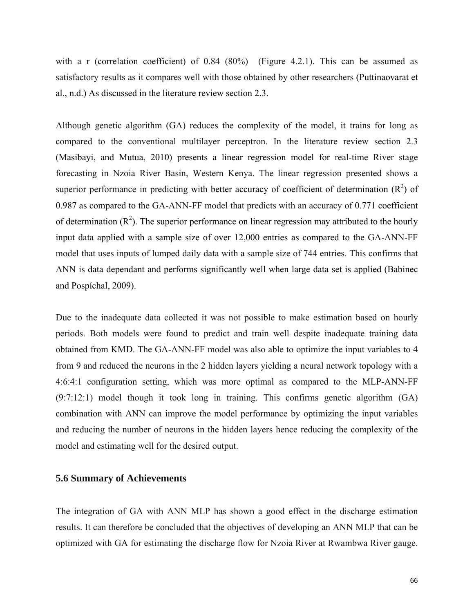with a r (correlation coefficient) of 0.84 (80%) (Figure 4.2.1). This can be assumed as satisfactory results as it compares well with those obtained by other researchers (Puttinaovarat et al., n.d.) As discussed in the literature review section 2.3.

Although genetic algorithm (GA) reduces the complexity of the model, it trains for long as compared to the conventional multilayer perceptron. In the literature review section 2.3 (Masibayi, and Mutua, 2010) presents a linear regression model for real-time River stage forecasting in Nzoia River Basin, Western Kenya. The linear regression presented shows a superior performance in predicting with better accuracy of coefficient of determination  $(R^2)$  of 0.987 as compared to the GA-ANN-FF model that predicts with an accuracy of 0.771 coefficient of determination  $(R^2)$ . The superior performance on linear regression may attributed to the hourly input data applied with a sample size of over 12,000 entries as compared to the GA-ANN-FF model that uses inputs of lumped daily data with a sample size of 744 entries. This confirms that ANN is data dependant and performs significantly well when large data set is applied (Babinec and Pospíchal, 2009).

Due to the inadequate data collected it was not possible to make estimation based on hourly periods. Both models were found to predict and train well despite inadequate training data obtained from KMD. The GA-ANN-FF model was also able to optimize the input variables to 4 from 9 and reduced the neurons in the 2 hidden layers yielding a neural network topology with a 4:6:4:1 configuration setting, which was more optimal as compared to the MLP-ANN-FF (9:7:12:1) model though it took long in training. This confirms genetic algorithm (GA) combination with ANN can improve the model performance by optimizing the input variables and reducing the number of neurons in the hidden layers hence reducing the complexity of the model and estimating well for the desired output.

### **5.6 Summary of Achievements**

The integration of GA with ANN MLP has shown a good effect in the discharge estimation results. It can therefore be concluded that the objectives of developing an ANN MLP that can be optimized with GA for estimating the discharge flow for Nzoia River at Rwambwa River gauge.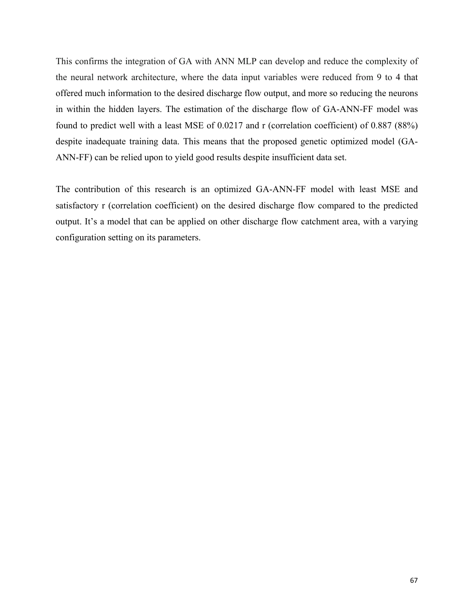This confirms the integration of GA with ANN MLP can develop and reduce the complexity of the neural network architecture, where the data input variables were reduced from 9 to 4 that offered much information to the desired discharge flow output, and more so reducing the neurons in within the hidden layers. The estimation of the discharge flow of GA-ANN-FF model was found to predict well with a least MSE of 0.0217 and r (correlation coefficient) of 0.887 (88%) despite inadequate training data. This means that the proposed genetic optimized model (GA-ANN-FF) can be relied upon to yield good results despite insufficient data set.

The contribution of this research is an optimized GA-ANN-FF model with least MSE and satisfactory r (correlation coefficient) on the desired discharge flow compared to the predicted output. It's a model that can be applied on other discharge flow catchment area, with a varying configuration setting on its parameters.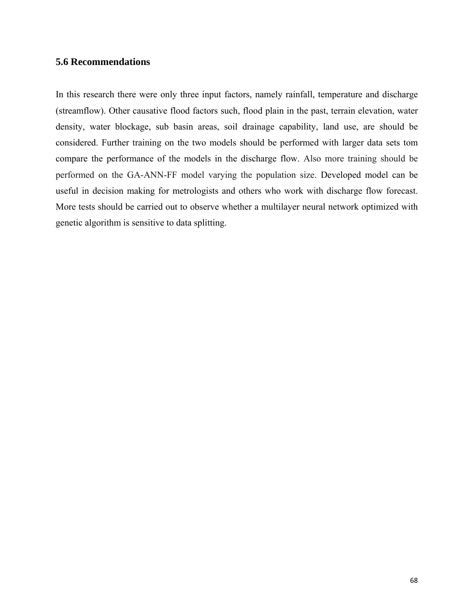### **5.6 Recommendations**

In this research there were only three input factors, namely rainfall, temperature and discharge (streamflow). Other causative flood factors such, flood plain in the past, terrain elevation, water density, water blockage, sub basin areas, soil drainage capability, land use, are should be considered. Further training on the two models should be performed with larger data sets tom compare the performance of the models in the discharge flow. Also more training should be performed on the GA-ANN-FF model varying the population size. Developed model can be useful in decision making for metrologists and others who work with discharge flow forecast. More tests should be carried out to observe whether a multilayer neural network optimized with genetic algorithm is sensitive to data splitting.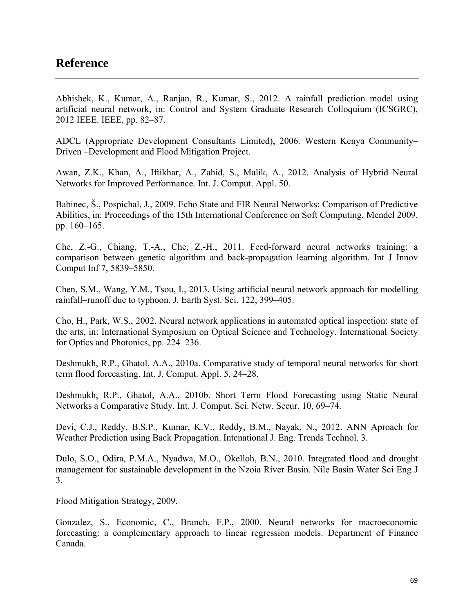## **Reference**

Abhishek, K., Kumar, A., Ranjan, R., Kumar, S., 2012. A rainfall prediction model using artificial neural network, in: Control and System Graduate Research Colloquium (ICSGRC), 2012 IEEE. IEEE, pp. 82–87.

ADCL (Appropriate Development Consultants Limited), 2006. Western Kenya Community– Driven –Development and Flood Mitigation Project.

Awan, Z.K., Khan, A., Iftikhar, A., Zahid, S., Malik, A., 2012. Analysis of Hybrid Neural Networks for Improved Performance. Int. J. Comput. Appl. 50.

Babinec, Š., Pospíchal, J., 2009. Echo State and FIR Neural Networks: Comparison of Predictive Abilities, in: Proceedings of the 15th International Conference on Soft Computing, Mendel 2009. pp. 160–165.

Che, Z.-G., Chiang, T.-A., Che, Z.-H., 2011. Feed-forward neural networks training: a comparison between genetic algorithm and back-propagation learning algorithm. Int J Innov Comput Inf 7, 5839–5850.

Chen, S.M., Wang, Y.M., Tsou, I., 2013. Using artificial neural network approach for modelling rainfall–runoff due to typhoon. J. Earth Syst. Sci. 122, 399–405.

Cho, H., Park, W.S., 2002. Neural network applications in automated optical inspection: state of the arts, in: International Symposium on Optical Science and Technology. International Society for Optics and Photonics, pp. 224–236.

Deshmukh, R.P., Ghatol, A.A., 2010a. Comparative study of temporal neural networks for short term flood forecasting. Int. J. Comput. Appl. 5, 24–28.

Deshmukh, R.P., Ghatol, A.A., 2010b. Short Term Flood Forecasting using Static Neural Networks a Comparative Study. Int. J. Comput. Sci. Netw. Secur. 10, 69–74.

Devi, C.J., Reddy, B.S.P., Kumar, K.V., Reddy, B.M., Nayak, N., 2012. ANN Aproach for Weather Prediction using Back Propagation. Intenational J. Eng. Trends Technol. 3.

Dulo, S.O., Odira, P.M.A., Nyadwa, M.O., Okelloh, B.N., 2010. Integrated flood and drought management for sustainable development in the Nzoia River Basin. Nile Basin Water Sci Eng J 3.

Flood Mitigation Strategy, 2009.

Gonzalez, S., Economic, C., Branch, F.P., 2000. Neural networks for macroeconomic forecasting: a complementary approach to linear regression models. Department of Finance Canada.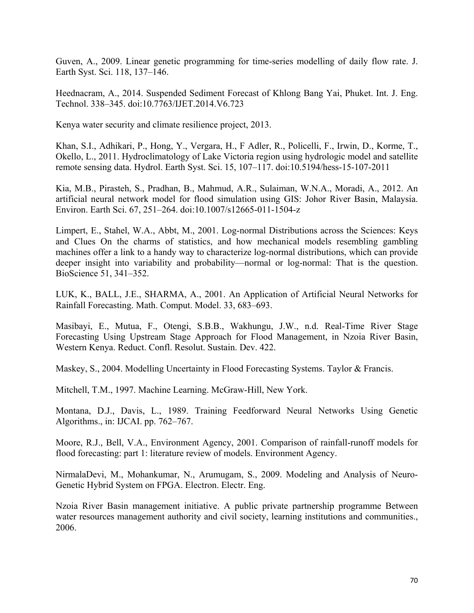Guven, A., 2009. Linear genetic programming for time-series modelling of daily flow rate. J. Earth Syst. Sci. 118, 137–146.

Heednacram, A., 2014. Suspended Sediment Forecast of Khlong Bang Yai, Phuket. Int. J. Eng. Technol. 338–345. doi:10.7763/IJET.2014.V6.723

Kenya water security and climate resilience project, 2013.

Khan, S.I., Adhikari, P., Hong, Y., Vergara, H., F Adler, R., Policelli, F., Irwin, D., Korme, T., Okello, L., 2011. Hydroclimatology of Lake Victoria region using hydrologic model and satellite remote sensing data. Hydrol. Earth Syst. Sci. 15, 107–117. doi:10.5194/hess-15-107-2011

Kia, M.B., Pirasteh, S., Pradhan, B., Mahmud, A.R., Sulaiman, W.N.A., Moradi, A., 2012. An artificial neural network model for flood simulation using GIS: Johor River Basin, Malaysia. Environ. Earth Sci. 67, 251–264. doi:10.1007/s12665-011-1504-z

Limpert, E., Stahel, W.A., Abbt, M., 2001. Log-normal Distributions across the Sciences: Keys and Clues On the charms of statistics, and how mechanical models resembling gambling machines offer a link to a handy way to characterize log-normal distributions, which can provide deeper insight into variability and probability—normal or log-normal: That is the question. BioScience 51, 341–352.

LUK, K., BALL, J.E., SHARMA, A., 2001. An Application of Artificial Neural Networks for Rainfall Forecasting. Math. Comput. Model. 33, 683–693.

Masibayi, E., Mutua, F., Otengi, S.B.B., Wakhungu, J.W., n.d. Real-Time River Stage Forecasting Using Upstream Stage Approach for Flood Management, in Nzoia River Basin, Western Kenya. Reduct. Confl. Resolut. Sustain. Dev. 422.

Maskey, S., 2004. Modelling Uncertainty in Flood Forecasting Systems. Taylor & Francis.

Mitchell, T.M., 1997. Machine Learning. McGraw-Hill, New York.

Montana, D.J., Davis, L., 1989. Training Feedforward Neural Networks Using Genetic Algorithms., in: IJCAI. pp. 762–767.

Moore, R.J., Bell, V.A., Environment Agency, 2001. Comparison of rainfall-runoff models for flood forecasting: part 1: literature review of models. Environment Agency.

NirmalaDevi, M., Mohankumar, N., Arumugam, S., 2009. Modeling and Analysis of Neuro-Genetic Hybrid System on FPGA. Electron. Electr. Eng.

Nzoia River Basin management initiative. A public private partnership programme Between water resources management authority and civil society, learning institutions and communities. 2006.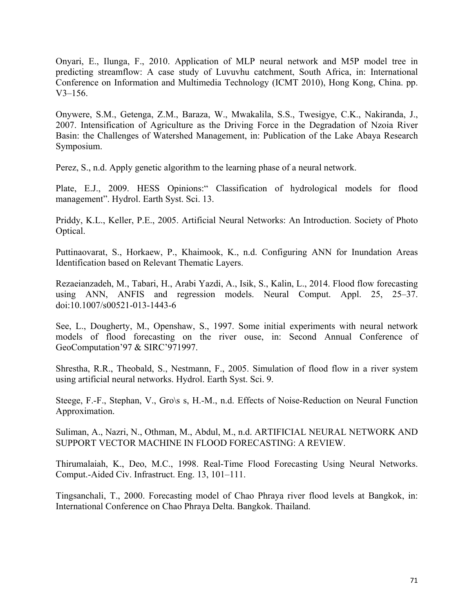Onyari, E., Ilunga, F., 2010. Application of MLP neural network and M5P model tree in predicting streamflow: A case study of Luvuvhu catchment, South Africa, in: International Conference on Information and Multimedia Technology (ICMT 2010), Hong Kong, China. pp. V3–156.

Onywere, S.M., Getenga, Z.M., Baraza, W., Mwakalila, S.S., Twesigye, C.K., Nakiranda, J., 2007. Intensification of Agriculture as the Driving Force in the Degradation of Nzoia River Basin: the Challenges of Watershed Management, in: Publication of the Lake Abaya Research Symposium.

Perez, S., n.d. Apply genetic algorithm to the learning phase of a neural network.

Plate, E.J., 2009. HESS Opinions:" Classification of hydrological models for flood management". Hydrol. Earth Syst. Sci. 13.

Priddy, K.L., Keller, P.E., 2005. Artificial Neural Networks: An Introduction. Society of Photo Optical.

Puttinaovarat, S., Horkaew, P., Khaimook, K., n.d. Configuring ANN for Inundation Areas Identification based on Relevant Thematic Layers.

Rezaeianzadeh, M., Tabari, H., Arabi Yazdi, A., Isik, S., Kalin, L., 2014. Flood flow forecasting using ANN, ANFIS and regression models. Neural Comput. Appl. 25, 25–37. doi:10.1007/s00521-013-1443-6

See, L., Dougherty, M., Openshaw, S., 1997. Some initial experiments with neural network models of flood forecasting on the river ouse, in: Second Annual Conference of GeoComputation'97 & SIRC'971997.

Shrestha, R.R., Theobald, S., Nestmann, F., 2005. Simulation of flood flow in a river system using artificial neural networks. Hydrol. Earth Syst. Sci. 9.

Steege, F.-F., Stephan, V., Gro\s s, H.-M., n.d. Effects of Noise-Reduction on Neural Function Approximation.

Suliman, A., Nazri, N., Othman, M., Abdul, M., n.d. ARTIFICIAL NEURAL NETWORK AND SUPPORT VECTOR MACHINE IN FLOOD FORECASTING: A REVIEW.

Thirumalaiah, K., Deo, M.C., 1998. Real-Time Flood Forecasting Using Neural Networks. Comput.-Aided Civ. Infrastruct. Eng. 13, 101–111.

Tingsanchali, T., 2000. Forecasting model of Chao Phraya river flood levels at Bangkok, in: International Conference on Chao Phraya Delta. Bangkok. Thailand.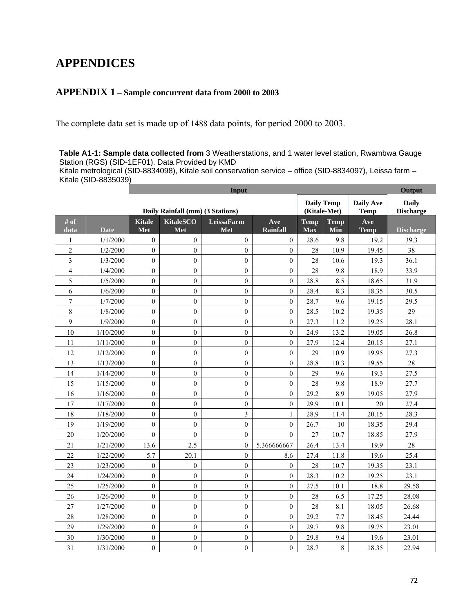# **APPENDICES**

### **APPENDIX 1 – Sample concurrent data from 2000 to 2003**

The complete data set is made up of 1488 data points, for period 2000 to 2003.

**Table A1-1: Sample data collected from** 3 Weatherstations, and 1 water level station, Rwambwa Gauge Station (RGS) (SID-1EF01). Data Provided by KMD

Kitale metrological (SID-8834098), Kitale soil conservation service – office (SID-8834097), Leissa farm – Kitale (SID-8835039)

|                |             |                      |                                  | Input                    |                  |                                   | Output             |                          |                                  |
|----------------|-------------|----------------------|----------------------------------|--------------------------|------------------|-----------------------------------|--------------------|--------------------------|----------------------------------|
|                |             |                      | Daily Rainfall (mm) (3 Stations) |                          |                  | <b>Daily Temp</b><br>(Kitale-Met) |                    | Daily Ave<br><b>Temp</b> | <b>Daily</b><br><b>Discharge</b> |
| # of<br>data   | <b>Date</b> | <b>Kitale</b><br>Met | <b>KitaleSCO</b><br>Met          | <b>LeissaFarm</b><br>Met | Ave<br>Rainfall  | <b>Temp</b><br><b>Max</b>         | <b>Temp</b><br>Min | Ave<br>Temp              | <b>Discharge</b>                 |
| 1              | 1/1/2000    | $\boldsymbol{0}$     | $\overline{0}$                   | $\mathbf{0}$             | $\overline{0}$   | 28.6                              | 9.8                | 19.2                     | 39.3                             |
| $\overline{c}$ | 1/2/2000    | $\boldsymbol{0}$     | $\overline{0}$                   | $\mathbf{0}$             | $\boldsymbol{0}$ | 28                                | 10.9               | 19.45                    | 38                               |
| $\overline{3}$ | 1/3/2000    | $\theta$             | $\theta$                         | $\theta$                 | $\boldsymbol{0}$ | 28                                | 10.6               | 19.3                     | 36.1                             |
| $\overline{4}$ | 1/4/2000    | $\theta$             | $\theta$                         | $\theta$                 | $\overline{0}$   | 28                                | 9.8                | 18.9                     | 33.9                             |
| 5              | 1/5/2000    | $\mathbf{0}$         | $\overline{0}$                   | $\mathbf{0}$             | $\overline{0}$   | 28.8                              | 8.5                | 18.65                    | 31.9                             |
| 6              | 1/6/2000    | $\mathbf{0}$         | $\overline{0}$                   | $\mathbf{0}$             | $\overline{0}$   | 28.4                              | 8.3                | 18.35                    | 30.5                             |
| $\overline{7}$ | 1/7/2000    | $\mathbf{0}$         | $\overline{0}$                   | $\mathbf{0}$             | $\overline{0}$   | 28.7                              | 9.6                | 19.15                    | 29.5                             |
| 8              | 1/8/2000    | $\theta$             | $\boldsymbol{0}$                 | $\mathbf{0}$             | $\boldsymbol{0}$ | 28.5                              | 10.2               | 19.35                    | 29                               |
| 9              | 1/9/2000    | $\mathbf{0}$         | $\overline{0}$                   | $\mathbf{0}$             | $\boldsymbol{0}$ | 27.3                              | 11.2               | 19.25                    | 28.1                             |
| 10             | 1/10/2000   | $\mathbf{0}$         | $\boldsymbol{0}$                 | $\boldsymbol{0}$         | $\boldsymbol{0}$ | 24.9                              | 13.2               | 19.05                    | 26.8                             |
| 11             | 1/11/2000   | $\boldsymbol{0}$     | $\overline{0}$                   | $\mathbf{0}$             | $\overline{0}$   | 27.9                              | 12.4               | 20.15                    | 27.1                             |
| 12             | 1/12/2000   | $\mathbf{0}$         | $\overline{0}$                   | $\mathbf{0}$             | $\overline{0}$   | 29                                | 10.9               | 19.95                    | 27.3                             |
| 13             | 1/13/2000   | $\mathbf{0}$         | $\mathbf{0}$                     | $\mathbf{0}$             | $\boldsymbol{0}$ | 28.8                              | 10.3               | 19.55                    | 28                               |
| 14             | 1/14/2000   | $\theta$             | $\theta$                         | $\theta$                 | $\boldsymbol{0}$ | 29                                | 9.6                | 19.3                     | 27.5                             |
| 15             | 1/15/2000   | $\theta$             | $\boldsymbol{0}$                 | $\mathbf{0}$             | $\overline{0}$   | 28                                | 9.8                | 18.9                     | 27.7                             |
| 16             | 1/16/2000   | $\boldsymbol{0}$     | $\overline{0}$                   | $\mathbf{0}$             | $\overline{0}$   | 29.2                              | 8.9                | 19.05                    | 27.9                             |
| 17             | 1/17/2000   | $\mathbf{0}$         | $\boldsymbol{0}$                 | $\boldsymbol{0}$         | $\boldsymbol{0}$ | 29.9                              | 10.1               | 20                       | 27.4                             |
| 18             | 1/18/2000   | $\theta$             | $\boldsymbol{0}$                 | 3                        | $\mathbf{1}$     | 28.9                              | 11.4               | 20.15                    | 28.3                             |
| 19             | 1/19/2000   | $\boldsymbol{0}$     | $\boldsymbol{0}$                 | $\boldsymbol{0}$         | $\boldsymbol{0}$ | 26.7                              | 10                 | 18.35                    | 29.4                             |
| 20             | 1/20/2000   | $\boldsymbol{0}$     | $\overline{0}$                   | $\mathbf{0}$             | $\theta$         | 27                                | 10.7               | 18.85                    | 27.9                             |
| 21             | 1/21/2000   | 13.6                 | 2.5                              | $\mathbf{0}$             | 5.366666667      | 26.4                              | 13.4               | 19.9                     | 28                               |
| 22             | 1/22/2000   | 5.7                  | 20.1                             | $\mathbf{0}$             | 8.6              | 27.4                              | 11.8               | 19.6                     | 25.4                             |
| 23             | 1/23/2000   | $\mathbf{0}$         | $\boldsymbol{0}$                 | $\boldsymbol{0}$         | $\boldsymbol{0}$ | 28                                | 10.7               | 19.35                    | 23.1                             |
| 24             | 1/24/2000   | $\mathbf{0}$         | $\overline{0}$                   | $\theta$                 | $\overline{0}$   | 28.3                              | 10.2               | 19.25                    | 23.1                             |
| 25             | 1/25/2000   | $\boldsymbol{0}$     | $\boldsymbol{0}$                 | $\boldsymbol{0}$         | $\boldsymbol{0}$ | 27.5                              | 10.1               | 18.8                     | 29.58                            |
| 26             | 1/26/2000   | $\theta$             | $\boldsymbol{0}$                 | $\theta$                 | $\overline{0}$   | 28                                | 6.5                | 17.25                    | 28.08                            |
| 27             | 1/27/2000   | $\mathbf{0}$         | $\overline{0}$                   | $\mathbf{0}$             | $\overline{0}$   | 28                                | 8.1                | 18.05                    | 26.68                            |
| 28             | 1/28/2000   | $\mathbf{0}$         | $\overline{0}$                   | $\mathbf{0}$             | $\mathbf{0}$     | 29.2                              | 7.7                | 18.45                    | 24.44                            |
| 29             | 1/29/2000   | $\mathbf{0}$         | $\boldsymbol{0}$                 | $\boldsymbol{0}$         | $\boldsymbol{0}$ | 29.7                              | 9.8                | 19.75                    | 23.01                            |
| 30             | 1/30/2000   | $\mathbf{0}$         | $\overline{0}$                   | $\mathbf{0}$             | $\boldsymbol{0}$ | 29.8                              | 9.4                | 19.6                     | 23.01                            |
| 31             | 1/31/2000   | $\boldsymbol{0}$     | $\overline{0}$                   | $\boldsymbol{0}$         | $\boldsymbol{0}$ | 28.7                              | $8\,$              | 18.35                    | 22.94                            |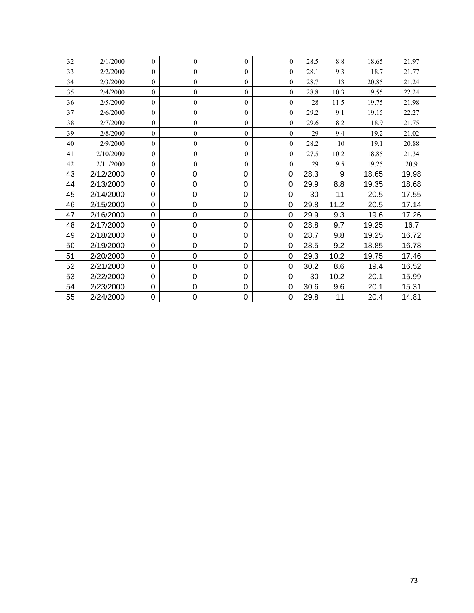| 32 | 2/1/2000  | $\mathbf{0}$   | $\overline{0}$ | $\overline{0}$ | $\overline{0}$ | 28.5 | 8.8  | 18.65 | 21.97 |
|----|-----------|----------------|----------------|----------------|----------------|------|------|-------|-------|
| 33 | 2/2/2000  | $\theta$       | $\overline{0}$ | $\overline{0}$ | $\Omega$       | 28.1 | 9.3  | 18.7  | 21.77 |
| 34 | 2/3/2000  | $\mathbf{0}$   | $\overline{0}$ | $\overline{0}$ | $\mathbf{0}$   | 28.7 | 13   | 20.85 | 21.24 |
| 35 | 2/4/2000  | $\theta$       | $\overline{0}$ | $\overline{0}$ | $\mathbf{0}$   | 28.8 | 10.3 | 19.55 | 22.24 |
| 36 | 2/5/2000  | $\mathbf{0}$   | $\overline{0}$ | $\overline{0}$ | $\mathbf{0}$   | 28   | 11.5 | 19.75 | 21.98 |
| 37 | 2/6/2000  | $\theta$       | $\mathbf{0}$   | $\overline{0}$ | $\mathbf{0}$   | 29.2 | 9.1  | 19.15 | 22.27 |
| 38 | 2/7/2000  | $\theta$       | $\mathbf{0}$   | $\overline{0}$ | $\mathbf{0}$   | 29.6 | 8.2  | 18.9  | 21.75 |
| 39 | 2/8/2000  | $\mathbf{0}$   | $\overline{0}$ | $\overline{0}$ | $\mathbf{0}$   | 29   | 9.4  | 19.2  | 21.02 |
| 40 | 2/9/2000  | $\overline{0}$ | $\overline{0}$ | $\overline{0}$ | $\mathbf{0}$   | 28.2 | 10   | 19.1  | 20.88 |
| 41 | 2/10/2000 | $\mathbf{0}$   | $\overline{0}$ | $\overline{0}$ | $\mathbf{0}$   | 27.5 | 10.2 | 18.85 | 21.34 |
| 42 | 2/11/2000 | $\theta$       | $\overline{0}$ | $\overline{0}$ | $\theta$       | 29   | 9.5  | 19.25 | 20.9  |
| 43 | 2/12/2000 | 0              | 0              | 0              | $\Omega$       | 28.3 | 9    | 18.65 | 19.98 |
| 44 | 2/13/2000 | $\mathbf 0$    | 0              | 0              | $\mathbf 0$    | 29.9 | 8.8  | 19.35 | 18.68 |
| 45 | 2/14/2000 | $\mathbf 0$    | 0              | 0              | 0              | 30   | 11   | 20.5  | 17.55 |
| 46 | 2/15/2000 | 0              | 0              | 0              | 0              | 29.8 | 11.2 | 20.5  | 17.14 |
| 47 | 2/16/2000 | 0              | 0              | 0              | 0              | 29.9 | 9.3  | 19.6  | 17.26 |
| 48 | 2/17/2000 | $\mathbf 0$    | 0              | 0              | $\mathbf 0$    | 28.8 | 9.7  | 19.25 | 16.7  |
| 49 | 2/18/2000 | $\mathbf 0$    | 0              | 0              | $\Omega$       | 28.7 | 9.8  | 19.25 | 16.72 |
| 50 | 2/19/2000 | $\mathbf 0$    | 0              | 0              | $\overline{0}$ | 28.5 | 9.2  | 18.85 | 16.78 |
| 51 | 2/20/2000 | $\mathbf 0$    | 0              | $\mathbf 0$    | $\overline{0}$ | 29.3 | 10.2 | 19.75 | 17.46 |
| 52 | 2/21/2000 | $\mathbf 0$    | 0              | 0              | $\mathbf 0$    | 30.2 | 8.6  | 19.4  | 16.52 |
| 53 | 2/22/2000 | 0              | 0              | 0              | 0              | 30   | 10.2 | 20.1  | 15.99 |
| 54 | 2/23/2000 | 0              | 0              | 0              | $\mathbf 0$    | 30.6 | 9.6  | 20.1  | 15.31 |
| 55 | 2/24/2000 | 0              | 0              | 0              | 0              | 29.8 | 11   | 20.4  | 14.81 |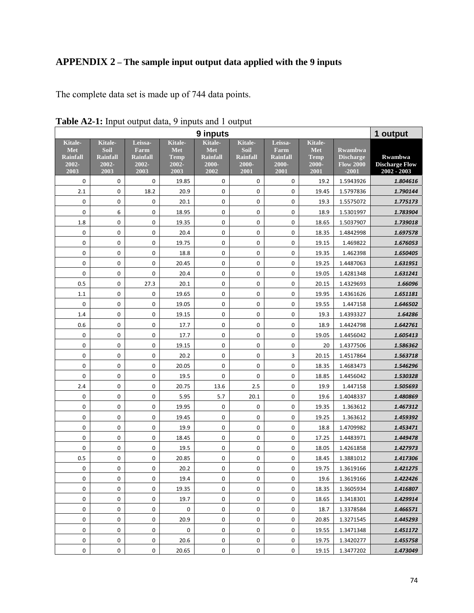# **APPENDIX 2 – The sample input output data applied with the 9 inputs**

The complete data set is made up of 744 data points.

|                                                    |                                                     |                                                     |                                                              | 9 inputs                                                  |                                                     |                                                     |                                                |                                                                   | 1 output                                        |
|----------------------------------------------------|-----------------------------------------------------|-----------------------------------------------------|--------------------------------------------------------------|-----------------------------------------------------------|-----------------------------------------------------|-----------------------------------------------------|------------------------------------------------|-------------------------------------------------------------------|-------------------------------------------------|
| Kitale-<br>Met<br><b>Rainfall</b><br>2002-<br>2003 | Kitale-<br>Soil<br><b>Rainfall</b><br>2002-<br>2003 | Leissa-<br>Farm<br><b>Rainfall</b><br>2002-<br>2003 | <b>Kitale-</b><br><b>Met</b><br><b>Temp</b><br>2002-<br>2003 | <b>Kitale-</b><br>Met<br><b>Rainfall</b><br>2000-<br>2002 | Kitale-<br>Soil<br><b>Rainfall</b><br>2000-<br>2001 | Leissa-<br>Farm<br><b>Rainfall</b><br>2000-<br>2001 | Kitale-<br>Met<br><b>Temp</b><br>2000-<br>2001 | <b>Rwambwa</b><br><b>Discharge</b><br><b>Flow 2000</b><br>$-2001$ | Rwambwa<br><b>Discharge Flow</b><br>2002 - 2003 |
| $\mathbf 0$                                        | 0                                                   | $\mathbf 0$                                         | 19.85                                                        | $\mathbf 0$                                               | $\mathbf 0$                                         | $\mathbf 0$                                         | 19.2                                           | 1.5943926                                                         | 1.804616                                        |
| 2.1                                                | 0                                                   | 18.2                                                | 20.9                                                         | 0                                                         | 0                                                   | 0                                                   | 19.45                                          | 1.5797836                                                         | 1.790144                                        |
| $\pmb{0}$                                          | 0                                                   | 0                                                   | 20.1                                                         | 0                                                         | 0                                                   | 0                                                   | 19.3                                           | 1.5575072                                                         | 1.775173                                        |
| $\mathbf 0$                                        | 6                                                   | 0                                                   | 18.95                                                        | 0                                                         | 0                                                   | $\boldsymbol{0}$                                    | 18.9                                           | 1.5301997                                                         | 1.783904                                        |
| 1.8                                                | 0                                                   | $\mathsf 0$                                         | 19.35                                                        | 0                                                         | $\pmb{0}$                                           | $\pmb{0}$                                           | 18.65                                          | 1.5037907                                                         | 1.739018                                        |
| 0                                                  | 0                                                   | 0                                                   | 20.4                                                         | $\boldsymbol{0}$                                          | $\pmb{0}$                                           | $\boldsymbol{0}$                                    | 18.35                                          | 1.4842998                                                         | 1.697578                                        |
| 0                                                  | 0                                                   | 0                                                   | 19.75                                                        | 0                                                         | 0                                                   | 0                                                   | 19.15                                          | 1.469822                                                          | 1.676053                                        |
| $\pmb{0}$                                          | 0                                                   | 0                                                   | 18.8                                                         | 0                                                         | 0                                                   | 0                                                   | 19.35                                          | 1.462398                                                          | 1.650405                                        |
| $\pmb{0}$                                          | 0                                                   | 0                                                   | 20.45                                                        | 0                                                         | 0                                                   | 0                                                   | 19.25                                          | 1.4487063                                                         | 1.631951                                        |
| $\pmb{0}$                                          | 0                                                   | 0                                                   | 20.4                                                         | 0                                                         | 0                                                   | $\pmb{0}$                                           | 19.05                                          | 1.4281348                                                         | 1.631241                                        |
| 0.5                                                | 0                                                   | 27.3                                                | 20.1                                                         | 0                                                         | 0                                                   | 0                                                   | 20.15                                          | 1.4329693                                                         | 1.66096                                         |
| 1.1                                                | 0                                                   | 0                                                   | 19.65                                                        | 0                                                         | 0                                                   | 0                                                   | 19.95                                          | 1.4361626                                                         | 1.651181                                        |
| 0                                                  | 0                                                   | 0                                                   | 19.05                                                        | 0                                                         | $\mathbf 0$                                         | 0                                                   | 19.55                                          | 1.447158                                                          | 1.646502                                        |
| 1.4                                                | 0                                                   | 0                                                   | 19.15                                                        | 0                                                         | 0                                                   | 0                                                   | 19.3                                           | 1.4393327                                                         | 1.64286                                         |
| 0.6                                                | 0                                                   | 0                                                   | 17.7                                                         | $\pmb{0}$                                                 | 0                                                   | $\pmb{0}$                                           | 18.9                                           | 1.4424798                                                         | 1.642761                                        |
| 0                                                  | 0                                                   | 0                                                   | 17.7                                                         | $\pmb{0}$                                                 | 0                                                   | $\boldsymbol{0}$                                    | 19.05                                          | 1.4456042                                                         | 1.605413                                        |
| 0                                                  | 0                                                   | 0                                                   | 19.15                                                        | 0                                                         | 0                                                   | 0                                                   | 20                                             | 1.4377506                                                         | 1.586362                                        |
| $\boldsymbol{0}$                                   | 0                                                   | $\mathsf 0$                                         | 20.2                                                         | 0                                                         | 0                                                   | 3                                                   | 20.15                                          | 1.4517864                                                         | 1.563718                                        |
| $\pmb{0}$                                          | 0                                                   | $\mathsf 0$                                         | 20.05                                                        | 0                                                         | 0                                                   | 0                                                   | 18.35                                          | 1.4683473                                                         | 1.546296                                        |
| $\mathbf 0$                                        | 0                                                   | 0                                                   | 19.5                                                         | 0                                                         | $\mathbf 0$                                         | 0                                                   | 18.85                                          | 1.4456042                                                         | 1.530328                                        |
| 2.4                                                | 0                                                   | $\mathsf 0$                                         | 20.75                                                        | 13.6                                                      | 2.5                                                 | 0                                                   | 19.9                                           | 1.447158                                                          | 1.505693                                        |
| 0                                                  | 0                                                   | $\mathbf 0$                                         | 5.95                                                         | 5.7                                                       | 20.1                                                | 0                                                   | 19.6                                           | 1.4048337                                                         | 1.480869                                        |
| 0                                                  | 0                                                   | $\mathsf 0$                                         | 19.95                                                        | 0                                                         | 0                                                   | 0                                                   | 19.35                                          | 1.363612                                                          | 1.467312                                        |
| $\pmb{0}$                                          | 0                                                   | $\mathsf 0$                                         | 19.45                                                        | $\pmb{0}$                                                 | $\pmb{0}$                                           | 0                                                   | 19.25                                          | 1.363612                                                          | 1.459392                                        |
| 0                                                  | 0                                                   | 0                                                   | 19.9                                                         | 0                                                         | $\mathbf 0$                                         | $\pmb{0}$                                           | 18.8                                           | 1.4709982                                                         | 1.453471                                        |
| 0                                                  | 0                                                   | 0                                                   | 18.45                                                        | 0                                                         | 0                                                   | 0                                                   | 17.25                                          | 1.4483971                                                         | 1.449478                                        |
| $\boldsymbol{0}$                                   | 0                                                   | $\mathsf 0$                                         | 19.5                                                         | 0                                                         | 0                                                   | 0                                                   | 18.05                                          | 1.4261858                                                         | 1.427973                                        |
| 0.5                                                | 0                                                   | 0                                                   | 20.85                                                        | 0                                                         | 0                                                   | $\pmb{0}$                                           | 18.45                                          | 1.3881012                                                         | 1.417306                                        |
| $\pmb{0}$                                          | 0                                                   | 0                                                   | 20.2                                                         | 0                                                         | 0                                                   | 0                                                   | 19.75                                          | 1.3619166                                                         | 1.421275                                        |
| 0                                                  | 0                                                   | 0                                                   | 19.4                                                         | 0                                                         | 0                                                   | 0                                                   | 19.6                                           | 1.3619166                                                         | 1.422426                                        |
| 0                                                  | 0                                                   | 0                                                   | 19.35                                                        | 0                                                         | 0                                                   | 0                                                   | 18.35                                          | 1.3605934                                                         | 1.416807                                        |
| 0                                                  | 0                                                   | 0                                                   | 19.7                                                         | 0                                                         | 0                                                   | 0                                                   | 18.65                                          | 1.3418301                                                         | 1.429914                                        |
| 0                                                  | 0                                                   | 0                                                   | 0                                                            | 0                                                         | 0                                                   | 0                                                   | 18.7                                           | 1.3378584                                                         | 1.466571                                        |
| 0                                                  | 0                                                   | $\mathsf 0$                                         | 20.9                                                         | 0                                                         | 0                                                   | 0                                                   | 20.85                                          | 1.3271545                                                         | 1.445293                                        |
| 0                                                  | 0                                                   | 0                                                   | 0                                                            | 0                                                         | 0                                                   | 0                                                   | 19.55                                          | 1.3471348                                                         | 1.451172                                        |
| 0                                                  | 0                                                   | 0                                                   | 20.6                                                         | 0                                                         | 0                                                   | 0                                                   | 19.75                                          | 1.3420277                                                         | 1.455758                                        |
| 0                                                  | 0                                                   | 0                                                   | 20.65                                                        | 0                                                         | 0                                                   | 0                                                   | 19.15                                          | 1.3477202                                                         | 1.473049                                        |

**Table A2-1:** Input output data, 9 inputs and 1 output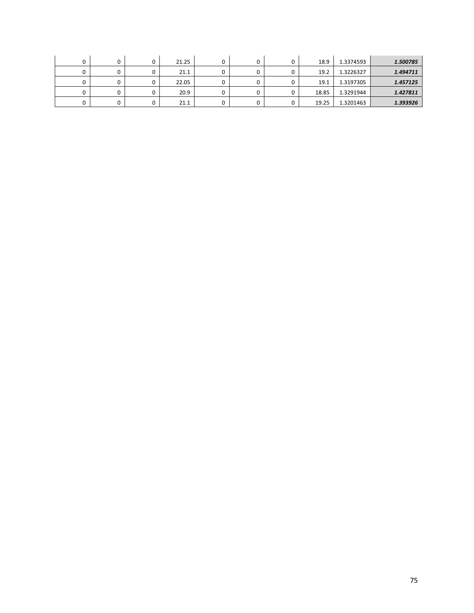|  | u | 21.25 |  | 18.9  | 1.3374593 | 1.500785 |
|--|---|-------|--|-------|-----------|----------|
|  |   | 21.1  |  | 19.2  | 1.3226327 | 1.494711 |
|  |   | 22.05 |  | 19.1  | 1.3197305 | 1.457125 |
|  | u | 20.9  |  | 18.85 | 1.3291944 | 1.427811 |
|  |   | 21.1  |  | 19.25 | 1.3201463 | 1.393926 |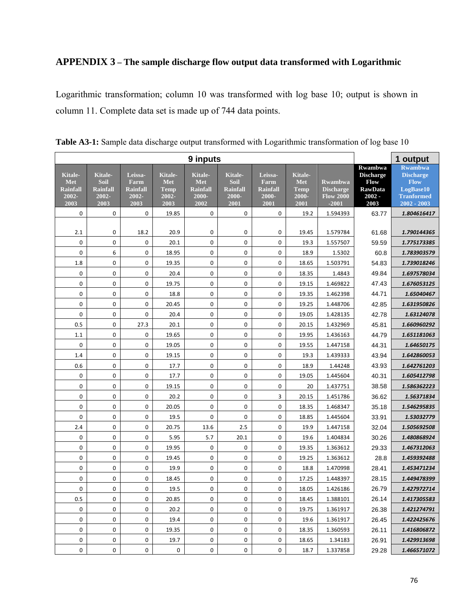## **APPENDIX 3 – The sample discharge flow output data transformed with Logarithmic**

Logarithmic transformation; column 10 was transformed with log base 10; output is shown in column 11. Complete data set is made up of 744 data points.

|                                                    |                                                     |                                                            |                                                | 1 output                                           |                                                     |                                                            |                                                |                                                                   |                                                                                  |                                                                                                    |
|----------------------------------------------------|-----------------------------------------------------|------------------------------------------------------------|------------------------------------------------|----------------------------------------------------|-----------------------------------------------------|------------------------------------------------------------|------------------------------------------------|-------------------------------------------------------------------|----------------------------------------------------------------------------------|----------------------------------------------------------------------------------------------------|
| Kitale-<br>Met<br><b>Rainfall</b><br>2002-<br>2003 | Kitale-<br>Soil<br><b>Rainfall</b><br>2002-<br>2003 | Leissa-<br><b>Farm</b><br><b>Rainfall</b><br>2002-<br>2003 | Kitale-<br>Met<br><b>Temp</b><br>2002-<br>2003 | Kitale-<br>Met<br><b>Rainfall</b><br>2000-<br>2002 | Kitale-<br>Soil<br><b>Rainfall</b><br>2000-<br>2001 | Leissa-<br><b>Farm</b><br><b>Rainfall</b><br>2000-<br>2001 | Kitale-<br>Met<br><b>Temp</b><br>2000-<br>2001 | <b>Rwambwa</b><br><b>Discharge</b><br><b>Flow 2000</b><br>$-2001$ | <b>Rwambwa</b><br><b>Discharge</b><br>Flow<br><b>RawData</b><br>$2002 -$<br>2003 | <b>Rwambwa</b><br><b>Discharge</b><br><b>Flow</b><br>LogBase10<br><b>Tranformed</b><br>2002 - 2003 |
| 0                                                  | $\mathbf 0$                                         | $\mathbf 0$                                                | 19.85                                          | 0                                                  | 0                                                   | 0                                                          | 19.2                                           | 1.594393                                                          | 63.77                                                                            | 1.804616417                                                                                        |
| 2.1                                                | $\pmb{0}$                                           | 18.2                                                       | 20.9                                           | 0                                                  | 0                                                   | 0                                                          | 19.45                                          | 1.579784                                                          | 61.68                                                                            | 1.790144365                                                                                        |
| $\mathbf 0$                                        | $\mathbf 0$                                         | 0                                                          | 20.1                                           | $\mathbf 0$                                        | $\Omega$                                            | 0                                                          | 19.3                                           | 1.557507                                                          | 59.59                                                                            | 1.775173385                                                                                        |
| 0                                                  | 6                                                   | $\mathbf 0$                                                | 18.95                                          | $\mathbf 0$                                        | $\mathbf 0$                                         | 0                                                          | 18.9                                           | 1.5302                                                            | 60.8                                                                             | 1.783903579                                                                                        |
| 1.8                                                | $\mathbf 0$                                         | $\pmb{0}$                                                  | 19.35                                          | 0                                                  | $\mathbf 0$                                         | 0                                                          | 18.65                                          | 1.503791                                                          | 54.83                                                                            | 1.739018246                                                                                        |
| 0                                                  | $\mathbf 0$                                         | $\mathbf 0$                                                | 20.4                                           | 0                                                  | $\mathbf 0$                                         | 0                                                          | 18.35                                          | 1.4843                                                            | 49.84                                                                            | 1.697578034                                                                                        |
| 0                                                  | $\pmb{0}$                                           | $\pmb{0}$                                                  | 19.75                                          | 0                                                  | $\mathbf 0$                                         | 0                                                          | 19.15                                          | 1.469822                                                          | 47.43                                                                            | 1.676053125                                                                                        |
| 0                                                  | 0                                                   | 0                                                          | 18.8                                           | 0                                                  | $\pmb{0}$                                           | 0                                                          | 19.35                                          | 1.462398                                                          | 44.71                                                                            | 1.65040467                                                                                         |
| $\mathbf 0$                                        | $\mathbf 0$                                         | 0                                                          | 20.45                                          | $\mathbf 0$                                        | $\Omega$                                            | $\overline{0}$                                             | 19.25                                          | 1.448706                                                          | 42.85                                                                            | 1.631950826                                                                                        |
| 0                                                  | $\mathbf 0$                                         | $\mathbf 0$                                                | 20.4                                           | 0                                                  | $\mathbf 0$                                         | 0                                                          | 19.05                                          | 1.428135                                                          | 42.78                                                                            | 1.63124078                                                                                         |
| 0.5                                                | 0                                                   | 27.3                                                       | 20.1                                           | 0                                                  | $\pmb{0}$                                           | 0                                                          | 20.15                                          | 1.432969                                                          | 45.81                                                                            | 1.660960292                                                                                        |
| 1.1                                                | $\mathbf 0$                                         | $\mathbf 0$                                                | 19.65                                          | $\mathbf 0$                                        | $\mathbf 0$                                         | $\overline{0}$                                             | 19.95                                          | 1.436163                                                          | 44.79                                                                            | 1.651181063                                                                                        |
| 0                                                  | 0                                                   | 0                                                          | 19.05                                          | 0                                                  | 0                                                   | 0                                                          | 19.55                                          | 1.447158                                                          | 44.31                                                                            | 1.64650175                                                                                         |
| 1.4                                                | $\mathbf 0$                                         | 0                                                          | 19.15                                          | $\pmb{0}$                                          | $\pmb{0}$                                           | 0                                                          | 19.3                                           | 1.439333                                                          | 43.94                                                                            | 1.642860053                                                                                        |
| 0.6                                                | $\mathbf 0$                                         | $\mathbf 0$                                                | 17.7                                           | $\mathbf 0$                                        | $\mathbf 0$                                         | 0                                                          | 18.9                                           | 1.44248                                                           | 43.93                                                                            | 1.642761203                                                                                        |
| 0                                                  | 0                                                   | $\pmb{0}$                                                  | 17.7                                           | 0                                                  | $\mathbf 0$                                         | 0                                                          | 19.05                                          | 1.445604                                                          | 40.31                                                                            | 1.605412798                                                                                        |
| 0                                                  | $\mathbf 0$                                         | $\mathbf 0$                                                | 19.15                                          | $\mathbf 0$                                        | $\mathbf 0$                                         | 0                                                          | 20                                             | 1.437751                                                          | 38.58                                                                            | 1.586362223                                                                                        |
| 0                                                  | $\pmb{0}$                                           | $\pmb{0}$                                                  | 20.2                                           | 0                                                  | $\pmb{0}$                                           | 3                                                          | 20.15                                          | 1.451786                                                          | 36.62                                                                            | 1.56371834                                                                                         |
| 0                                                  | $\mathbf 0$                                         | $\mathbf 0$                                                | 20.05                                          | $\mathbf 0$                                        | $\mathbf 0$                                         | $\overline{0}$                                             | 18.35                                          | 1.468347                                                          | 35.18                                                                            | 1.546295835                                                                                        |
| $\mathbf 0$                                        | $\mathbf 0$                                         | $\mathbf 0$                                                | 19.5                                           | $\mathbf 0$                                        | $\mathbf 0$                                         | 0                                                          | 18.85                                          | 1.445604                                                          | 33.91                                                                            | 1.53032779                                                                                         |
| 2.4                                                | $\mathbf 0$                                         | $\mathbf 0$                                                | 20.75                                          | 13.6                                               | 2.5                                                 | 0                                                          | 19.9                                           | 1.447158                                                          | 32.04                                                                            | 1.505692508                                                                                        |
| 0                                                  | $\mathbf 0$                                         | $\mathbf 0$                                                | 5.95                                           | 5.7                                                | 20.1                                                | $\overline{0}$                                             | 19.6                                           | 1.404834                                                          | 30.26                                                                            | 1.480868924                                                                                        |
| 0                                                  | $\mathbf 0$                                         | $\mathbf 0$                                                | 19.95                                          | 0                                                  | $\mathbf 0$                                         | 0                                                          | 19.35                                          | 1.363612                                                          | 29.33                                                                            | 1.467312063                                                                                        |
| 0                                                  | 0                                                   | 0                                                          | 19.45                                          | 0                                                  | $\pmb{0}$                                           | 0                                                          | 19.25                                          | 1.363612                                                          | 28.8                                                                             | 1.459392488                                                                                        |
| $\overline{0}$                                     | $\mathbf 0$                                         | $\overline{0}$                                             | 19.9                                           | $\mathbf 0$                                        | $\mathbf 0$                                         | $\overline{0}$                                             | 18.8                                           | 1.470998                                                          | 28.41                                                                            | 1.453471234                                                                                        |
| 0                                                  | $\mathbf 0$                                         | $\pmb{0}$                                                  | 18.45                                          | 0                                                  | $\mathbf 0$                                         | 0                                                          | 17.25                                          | 1.448397                                                          | 28.15                                                                            | 1.449478399                                                                                        |
| $\mathbf 0$                                        | 0                                                   | $\pmb{0}$                                                  | 19.5                                           | 0                                                  | $\mathbf 0$                                         | 0                                                          | 18.05                                          | 1.426186                                                          | 26.79                                                                            | 1.427972714                                                                                        |
| 0.5                                                | $\mathbf 0$                                         | $\mathbf 0$                                                | 20.85                                          | $\mathbf 0$                                        | $\mathbf 0$                                         | 0                                                          | 18.45                                          | 1.388101                                                          | 26.14                                                                            | 1.417305583                                                                                        |
| 0                                                  | $\pmb{0}$                                           | 0                                                          | 20.2                                           | 0                                                  | 0                                                   | 0                                                          | 19.75                                          | 1.361917                                                          | 26.38                                                                            | 1.421274791                                                                                        |
| 0                                                  | $\mathbf 0$                                         | $\mathbf 0$                                                | 19.4                                           | $\mathbf 0$                                        | $\mathbf 0$                                         | 0                                                          | 19.6                                           | 1.361917                                                          | 26.45                                                                            | 1.422425676                                                                                        |
| 0                                                  | $\mathbf 0$                                         | $\mathbf 0$                                                | 19.35                                          | $\mathbf 0$                                        | $\mathbf 0$                                         | 0                                                          | 18.35                                          | 1.360593                                                          | 26.11                                                                            | 1.416806872                                                                                        |
| 0                                                  | 0                                                   | $\pmb{0}$                                                  | 19.7                                           | 0                                                  | $\pmb{0}$                                           | 0                                                          | 18.65                                          | 1.34183                                                           | 26.91                                                                            | 1.429913698                                                                                        |
| $\mathbf 0$                                        | $\mathbf 0$                                         | $\mathbf 0$                                                | 0                                              | $\mathbf 0$                                        | $\Omega$                                            | $\overline{0}$                                             | 18.7                                           | 1.337858                                                          | 29.28                                                                            | 1.466571072                                                                                        |

**Table A3-1:** Sample data discharge output transformed with Logarithmic transformation of log base 10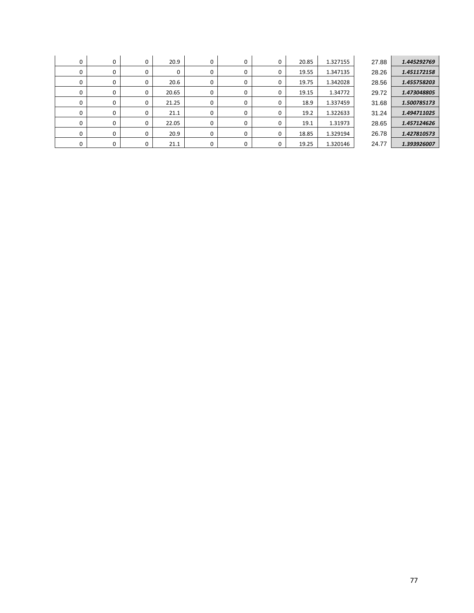| 0        | 0 | 0 | 20.9  | 0 | 0 | 0 | 20.85 | 1.327155 | 27.88 | 1.445292769 |
|----------|---|---|-------|---|---|---|-------|----------|-------|-------------|
| 0        |   |   | 0     | 0 | 0 | 0 | 19.55 | 1.347135 | 28.26 | 1.451172158 |
|          |   |   | 20.6  | 0 |   | 0 | 19.75 | 1.342028 | 28.56 | 1.455758203 |
| 0        |   | 0 | 20.65 | 0 | 0 | 0 | 19.15 | 1.34772  | 29.72 | 1.473048805 |
| $\Omega$ |   | 0 | 21.25 | 0 | 0 | 0 | 18.9  | 1.337459 | 31.68 | 1.500785173 |
| 0        |   |   | 21.1  | 0 | 0 | 0 | 19.2  | 1.322633 | 31.24 | 1.494711025 |
| 0        |   | 0 | 22.05 | 0 | 0 | 0 | 19.1  | 1.31973  | 28.65 | 1.457124626 |
| $\Omega$ |   | 0 | 20.9  | 0 | 0 | 0 | 18.85 | 1.329194 | 26.78 | 1.427810573 |
|          |   | 0 | 21.1  | 0 |   | 0 | 19.25 | 1.320146 | 24.77 | 1.393926007 |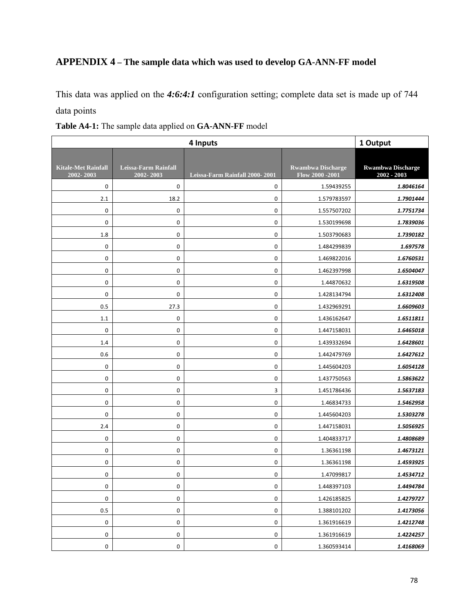## **APPENDIX 4 – The sample data which was used to develop GA-ANN-FF model**

This data was applied on the *4:6:4:1* configuration setting; complete data set is made up of 744 data points

|                                         | 1 Output                          |                                |                                              |                                           |
|-----------------------------------------|-----------------------------------|--------------------------------|----------------------------------------------|-------------------------------------------|
| <b>Kitale-Met Rainfall</b><br>2002-2003 | Leissa-Farm Rainfall<br>2002-2003 | Leissa-Farm Rainfall 2000-2001 | <b>Rwambwa Discharge</b><br>Flow 2000 - 2001 | <b>Rwambwa Discharge</b><br>$2002 - 2003$ |
| $\mathbf 0$                             | 0                                 | 0                              | 1.59439255                                   | 1.8046164                                 |
| 2.1                                     | 18.2                              | $\pmb{0}$                      | 1.579783597                                  | 1.7901444                                 |
| $\pmb{0}$                               | 0                                 | $\pmb{0}$                      | 1.557507202                                  | 1.7751734                                 |
| 0                                       | 0                                 | 0                              | 1.530199698                                  | 1.7839036                                 |
| 1.8                                     | 0                                 | $\pmb{0}$                      | 1.503790683                                  | 1.7390182                                 |
| $\pmb{0}$                               | 0                                 | $\pmb{0}$                      | 1.484299839                                  | 1.697578                                  |
| 0                                       | 0                                 | 0                              | 1.469822016                                  | 1.6760531                                 |
| 0                                       | 0                                 | $\mathbf 0$                    | 1.462397998                                  | 1.6504047                                 |
| $\pmb{0}$                               | 0                                 | $\pmb{0}$                      | 1.44870632                                   | 1.6319508                                 |
| 0                                       | 0                                 | $\pmb{0}$                      | 1.428134794                                  | 1.6312408                                 |
| 0.5                                     | 27.3                              | $\pmb{0}$                      | 1.432969291                                  | 1.6609603                                 |
| 1.1                                     | 0                                 | $\pmb{0}$                      | 1.436162647                                  | 1.6511811                                 |
| $\mathbf 0$                             | 0                                 | 0                              | 1.447158031                                  | 1.6465018                                 |
| 1.4                                     | 0                                 | $\boldsymbol{0}$               | 1.439332694                                  | 1.6428601                                 |
| 0.6                                     | 0                                 | $\pmb{0}$                      | 1.442479769                                  | 1.6427612                                 |
| $\pmb{0}$                               | 0                                 | 0                              | 1.445604203                                  | 1.6054128                                 |
| $\pmb{0}$                               | 0                                 | $\pmb{0}$                      | 1.437750563                                  | 1.5863622                                 |
| $\pmb{0}$                               | 0                                 | 3                              | 1.451786436                                  | 1.5637183                                 |
| 0                                       | 0                                 | 0                              | 1.46834733                                   | 1.5462958                                 |
| 0                                       | 0                                 | $\pmb{0}$                      | 1.445604203                                  | 1.5303278                                 |
| 2.4                                     | 0                                 | $\pmb{0}$                      | 1.447158031                                  | 1.5056925                                 |
| 0                                       | 0                                 | 0                              | 1.404833717                                  | 1.4808689                                 |
| $\mathbf 0$                             | 0                                 | $\pmb{0}$                      | 1.36361198                                   | 1.4673121                                 |
| 0                                       | 0                                 | $\pmb{0}$                      | 1.36361198                                   | 1.4593925                                 |
| 0                                       | 0                                 | 0                              | 1.47099817                                   | 1.4534712                                 |
| 0                                       | 0                                 | $\pmb{0}$                      | 1.448397103                                  | 1.4494784                                 |
| $\pmb{0}$                               | 0                                 | $\pmb{0}$                      | 1.426185825                                  | 1.4279727                                 |
| 0.5                                     | 0                                 | 0                              | 1.388101202                                  | 1.4173056                                 |
| 0                                       | 0                                 | 0                              | 1.361916619                                  | 1.4212748                                 |
| 0                                       | 0                                 | $\pmb{0}$                      | 1.361916619                                  | 1.4224257                                 |
| 0                                       | 0                                 | 0                              | 1.360593414                                  | 1.4168069                                 |

**Table A4-1:** The sample data applied on **GA-ANN-FF** model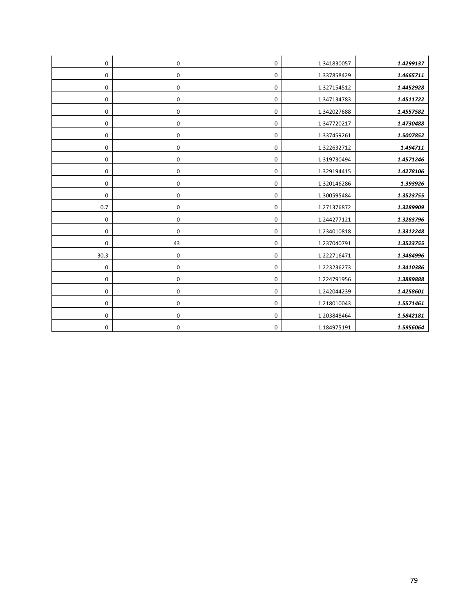| 0                | 0           | 0           | 1.341830057 | 1.4299137 |
|------------------|-------------|-------------|-------------|-----------|
| 0                | 0           | 0           | 1.337858429 | 1.4665711 |
| $\mathbf 0$      | 0           | 0           | 1.327154512 | 1.4452928 |
| 0                | 0           | $\mathbf 0$ | 1.347134783 | 1.4511722 |
| 0                | 0           | 0           | 1.342027688 | 1.4557582 |
| $\mathbf 0$      | 0           | 0           | 1.347720217 | 1.4730488 |
| 0                | 0           | 0           | 1.337459261 | 1.5007852 |
| 0                | 0           | 0           | 1.322632712 | 1.494711  |
| $\mathbf 0$      | 0           | $\mathbf 0$ | 1.319730494 | 1.4571246 |
| 0                | 0           | 0           | 1.329194415 | 1.4278106 |
| 0                | 0           | 0           | 1.320146286 | 1.393926  |
| $\mathbf 0$      | 0           | 0           | 1.300595484 | 1.3523755 |
| 0.7              | 0           | $\mathbf 0$ | 1.271376872 | 1.3289909 |
| $\boldsymbol{0}$ | $\mathbf 0$ | $\mathbf 0$ | 1.244277121 | 1.3283796 |
| 0                | 0           | $\mathbf 0$ | 1.234010818 | 1.3312248 |
| 0                | 43          | $\pmb{0}$   | 1.237040791 | 1.3523755 |
| 30.3             | 0           | $\mathbf 0$ | 1.222716471 | 1.3484996 |
| $\mathbf 0$      | 0           | 0           | 1.223236273 | 1.3410386 |
| $\mathbf 0$      | 0           | 0           | 1.224791956 | 1.3889888 |
| $\mathbf 0$      | 0           | 0           | 1.242044239 | 1.4258601 |
| 0                | 0           | 0           | 1.218010043 | 1.5571461 |
| $\mathbf 0$      | 0           | $\mathbf 0$ | 1.203848464 | 1.5842181 |
| 0                | 0           | 0           | 1.184975191 | 1.5956064 |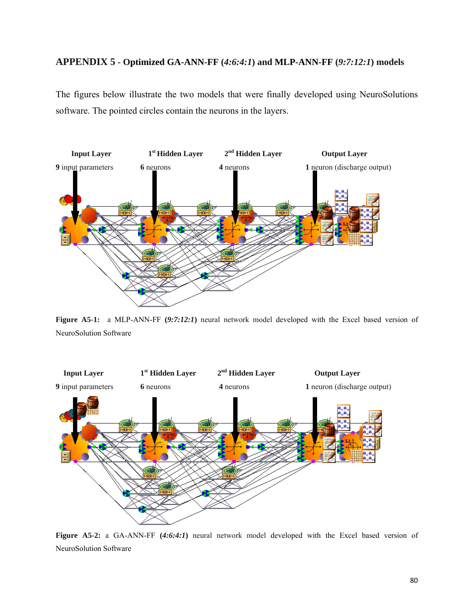### **APPENDIX 5 - Optimized GA-ANN-FF (***4:6:4:1***) and MLP-ANN-FF (***9:7:12:1***) models**

The figures below illustrate the two models that were finally developed using NeuroSolutions software. The pointed circles contain the neurons in the layers.



**Figure A5-1:** a MLP-ANN-FF **(***9:7:12:1***)** neural network model developed with the Excel based version of NeuroSolution Software



**Figure A5-2:** a GA-ANN-FF **(***4:6:4:1***)** neural network model developed with the Excel based version of NeuroSolution Software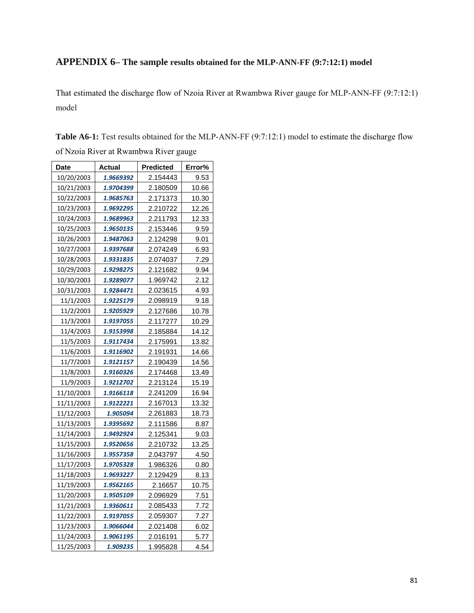## **APPENDIX 6– The sample results obtained for the MLP-ANN-FF (9:7:12:1) model**

That estimated the discharge flow of Nzoia River at Rwambwa River gauge for MLP-ANN-FF (9:7:12:1) model

**Table A6-1:** Test results obtained for the MLP-ANN-FF (9:7:12:1) model to estimate the discharge flow

| of Nzoia River at Rwambwa River gauge |  |
|---------------------------------------|--|
|---------------------------------------|--|

| Date       | Actual    | <b>Predicted</b> | Error% |
|------------|-----------|------------------|--------|
| 10/20/2003 | 1.9669392 | 2.154443         | 9.53   |
| 10/21/2003 | 1.9704399 | 2.180509         | 10.66  |
| 10/22/2003 | 1.9685763 | 2.171373         | 10.30  |
| 10/23/2003 | 1.9692295 | 2.210722         | 12.26  |
| 10/24/2003 | 1.9689963 | 2.211793         | 12.33  |
| 10/25/2003 | 1.9650135 | 2.153446         | 9.59   |
| 10/26/2003 | 1.9487063 | 2.124298         | 9.01   |
| 10/27/2003 | 1.9397688 | 2.074249         | 6.93   |
| 10/28/2003 | 1.9331835 | 2.074037         | 7.29   |
| 10/29/2003 | 1.9298275 | 2.121682         | 9.94   |
| 10/30/2003 | 1.9289077 | 1.969742         | 2.12   |
| 10/31/2003 | 1.9284471 | 2.023615         | 4.93   |
| 11/1/2003  | 1.9225179 | 2.098919         | 9.18   |
| 11/2/2003  | 1.9205929 | 2.127686         | 10.78  |
| 11/3/2003  | 1.9197055 | 2.117277         | 10.29  |
| 11/4/2003  | 1.9153998 | 2.185884         | 14.12  |
| 11/5/2003  | 1.9117434 | 2.175991         | 13.82  |
| 11/6/2003  | 1.9116902 | 2.191931         | 14.66  |
| 11/7/2003  | 1.9121157 | 2.190439         | 14.56  |
| 11/8/2003  | 1.9160326 | 2.174468         | 13.49  |
| 11/9/2003  | 1.9212702 | 2.213124         | 15.19  |
| 11/10/2003 | 1.9166118 | 2.241209         | 16.94  |
| 11/11/2003 | 1.9122221 | 2.167013         | 13.32  |
| 11/12/2003 | 1.905094  | 2.261883         | 18.73  |
| 11/13/2003 | 1.9395692 | 2.111586         | 8.87   |
| 11/14/2003 | 1.9492924 | 2.125341         | 9.03   |
| 11/15/2003 | 1.9520656 | 2.210732         | 13.25  |
| 11/16/2003 | 1.9557358 | 2.043797         | 4.50   |
| 11/17/2003 | 1.9705328 | 1.986326         | 0.80   |
| 11/18/2003 | 1.9693227 | 2.129429         | 8.13   |
| 11/19/2003 | 1.9562165 | 2.16657          | 10.75  |
| 11/20/2003 | 1.9505109 | 2.096929         | 7.51   |
| 11/21/2003 | 1.9360611 | 2.085433         | 7.72   |
| 11/22/2003 | 1.9197055 | 2.059307         | 7.27   |
| 11/23/2003 | 1.9066044 | 2.021408         | 6.02   |
| 11/24/2003 | 1.9061195 | 2.016191         | 5.77   |
| 11/25/2003 | 1.909235  | 1.995828         | 4.54   |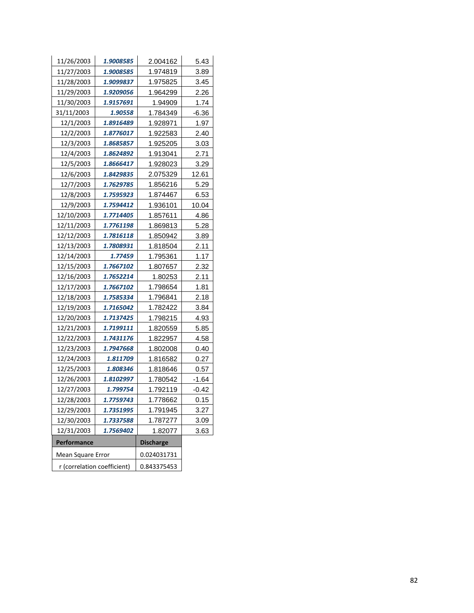| 11/26/2003        | 1.9008585                   | 2.004162         | 5.43    |
|-------------------|-----------------------------|------------------|---------|
| 11/27/2003        | 1.9008585                   | 1.974819         | 3.89    |
| 11/28/2003        | 1.9099837                   | 1.975825         | 3.45    |
| 11/29/2003        | 1.9209056                   | 1.964299         | 2.26    |
| 11/30/2003        | 1.9157691                   | 1.94909          | 1.74    |
| 31/11/2003        | 1.90558                     | 1.784349         | $-6.36$ |
| 12/1/2003         | 1.8916489                   | 1.928971         | 1.97    |
| 12/2/2003         | 1.8776017                   | 1.922583         | 2.40    |
| 12/3/2003         | 1.8685857                   | 1.925205         | 3.03    |
| 12/4/2003         | 1.8624892                   | 1.913041         | 2.71    |
| 12/5/2003         | 1.8666417                   | 1.928023         | 3.29    |
| 12/6/2003         | 1.8429835                   | 2.075329         | 12.61   |
| 12/7/2003         | 1.7629785                   | 1.856216         | 5.29    |
| 12/8/2003         | 1.7595923                   | 1.874467         | 6.53    |
| 12/9/2003         | 1.7594412                   | 1.936101         | 10.04   |
| 12/10/2003        | 1.7714405                   | 1.857611         | 4.86    |
| 12/11/2003        | 1.7761198                   | 1.869813         | 5.28    |
| 12/12/2003        | 1.7816118                   | 1.850942         | 3.89    |
| 12/13/2003        | 1.7808931                   | 1.818504         | 2.11    |
| 12/14/2003        | 1.77459                     | 1.795361         | 1.17    |
| 12/15/2003        | 1.7667102                   | 1.807657         | 2.32    |
| 12/16/2003        | 1.7652214                   | 1.80253          | 2.11    |
| 12/17/2003        | 1.7667102                   | 1.798654         | 1.81    |
| 12/18/2003        | 1.7585334                   | 1.796841         | 2.18    |
| 12/19/2003        | 1.7165042                   | 1.782422         | 3.84    |
| 12/20/2003        | 1.7137425                   | 1.798215         | 4.93    |
| 12/21/2003        | 1.7199111                   | 1.820559         | 5.85    |
| 12/22/2003        | 1.7431176                   | 1.822957         | 4.58    |
| 12/23/2003        | 1.7947668                   | 1.802008         | 0.40    |
| 12/24/2003        | 1.811709                    | 1.816582         | 0.27    |
| 12/25/2003        | 1.808346                    | 1.818646         | 0.57    |
| 12/26/2003        | 1.8102997                   | 1.780542         | -1.64   |
| 12/27/2003        | 1.799754                    | 1.792119         | $-0.42$ |
| 12/28/2003        | 1.7759743                   | 1.778662         | 0.15    |
| 12/29/2003        | 1.7351995                   | 1.791945         | 3.27    |
| 12/30/2003        | 1.7337588                   | 1.787277         | 3.09    |
| 12/31/2003        | 1.7569402                   | 1.82077          | 3.63    |
| Performance       |                             | <b>Discharge</b> |         |
| Mean Square Error |                             | 0.024031731      |         |
|                   | r (correlation coefficient) | 0.843375453      |         |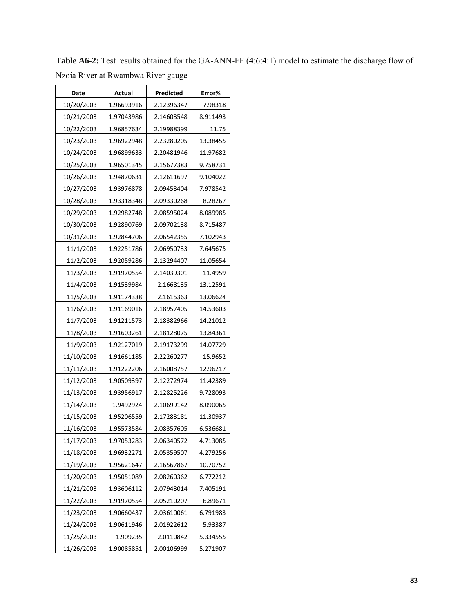| Date       | Actual     | Predicted  | Error%   |  |  |  |
|------------|------------|------------|----------|--|--|--|
| 10/20/2003 | 1.96693916 | 2.12396347 | 7.98318  |  |  |  |
| 10/21/2003 | 1.97043986 | 2.14603548 | 8.911493 |  |  |  |
| 10/22/2003 | 1.96857634 | 2.19988399 | 11.75    |  |  |  |
| 10/23/2003 | 1.96922948 | 2.23280205 | 13.38455 |  |  |  |
| 10/24/2003 | 1.96899633 | 2.20481946 | 11.97682 |  |  |  |
| 10/25/2003 | 1.96501345 | 2.15677383 | 9.758731 |  |  |  |
| 10/26/2003 | 1.94870631 | 2.12611697 | 9.104022 |  |  |  |
| 10/27/2003 | 1.93976878 | 2.09453404 | 7.978542 |  |  |  |
| 10/28/2003 | 1.93318348 | 2.09330268 | 8.28267  |  |  |  |
| 10/29/2003 | 1.92982748 | 2.08595024 | 8.089985 |  |  |  |
| 10/30/2003 | 1.92890769 | 2.09702138 | 8.715487 |  |  |  |
| 10/31/2003 | 1.92844706 | 2.06542355 | 7.102943 |  |  |  |
| 11/1/2003  | 1.92251786 | 2.06950733 | 7.645675 |  |  |  |
| 11/2/2003  | 1.92059286 | 2.13294407 | 11.05654 |  |  |  |
| 11/3/2003  | 1.91970554 | 2.14039301 | 11.4959  |  |  |  |
| 11/4/2003  | 1.91539984 | 2.1668135  | 13.12591 |  |  |  |
| 11/5/2003  | 1.91174338 | 2.1615363  | 13.06624 |  |  |  |
| 11/6/2003  | 1.91169016 | 2.18957405 | 14.53603 |  |  |  |
| 11/7/2003  | 1.91211573 | 2.18382966 | 14.21012 |  |  |  |
| 11/8/2003  | 1.91603261 | 2.18128075 | 13.84361 |  |  |  |
| 11/9/2003  | 1.92127019 | 2.19173299 | 14.07729 |  |  |  |
| 11/10/2003 | 1.91661185 | 2.22260277 | 15.9652  |  |  |  |
| 11/11/2003 | 1.91222206 | 2.16008757 | 12.96217 |  |  |  |
| 11/12/2003 | 1.90509397 | 2.12272974 | 11.42389 |  |  |  |
| 11/13/2003 | 1.93956917 | 2.12825226 | 9.728093 |  |  |  |
| 11/14/2003 | 1.9492924  | 2.10699142 | 8.090065 |  |  |  |
| 11/15/2003 | 1.95206559 | 2.17283181 | 11.30937 |  |  |  |
| 11/16/2003 | 1.95573584 | 2.08357605 | 6.536681 |  |  |  |
| 11/17/2003 | 1.97053283 | 2.06340572 | 4.713085 |  |  |  |
| 11/18/2003 | 1.96932271 | 2.05359507 | 4.279256 |  |  |  |
| 11/19/2003 | 1.95621647 | 2.16567867 | 10.70752 |  |  |  |
| 11/20/2003 | 1.95051089 | 2.08260362 | 6.772212 |  |  |  |
| 11/21/2003 | 1.93606112 | 2.07943014 | 7.405191 |  |  |  |
| 11/22/2003 | 1.91970554 | 2.05210207 | 6.89671  |  |  |  |
| 11/23/2003 | 1.90660437 | 2.03610061 | 6.791983 |  |  |  |
| 11/24/2003 | 1.90611946 | 2.01922612 | 5.93387  |  |  |  |
| 11/25/2003 | 1.909235   | 2.0110842  | 5.334555 |  |  |  |
| 11/26/2003 | 1.90085851 | 2.00106999 | 5.271907 |  |  |  |

**Table A6-2:** Test results obtained for the GA-ANN-FF (4:6:4:1) model to estimate the discharge flow of Nzoia River at Rwambwa River gauge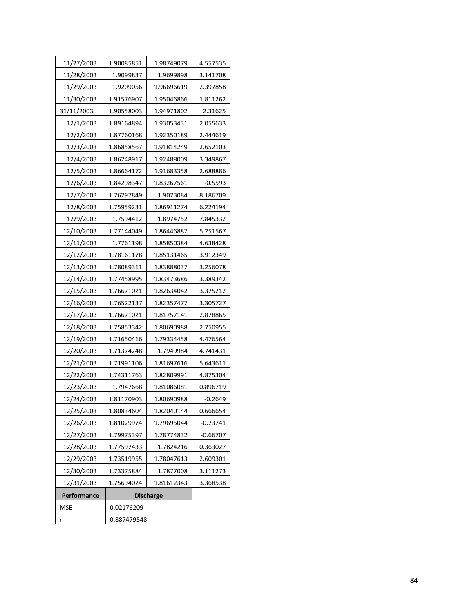| 11/27/2003  | 1.90085851  | 1.98749079       | 4.557535   |
|-------------|-------------|------------------|------------|
| 11/28/2003  | 1.9099837   | 1.9699898        | 3.141708   |
| 11/29/2003  | 1.9209056   | 1.96696619       | 2.397858   |
| 11/30/2003  | 1.91576907  | 1.95046866       | 1.811262   |
| 31/11/2003  | 1.90558003  | 1.94971802       | 2.31625    |
| 12/1/2003   | 1.89164894  | 1.93053431       | 2.055633   |
| 12/2/2003   | 1.87760168  | 1.92350189       | 2.444619   |
| 12/3/2003   | 1.86858567  | 1.91814249       | 2.652103   |
| 12/4/2003   | 1.86248917  | 1.92488009       | 3.349867   |
| 12/5/2003   | 1.86664172  | 1.91683358       | 2.688886   |
| 12/6/2003   | 1.84298347  | 1.83267561       | $-0.5593$  |
| 12/7/2003   | 1.76297849  | 1.9073084        | 8.186709   |
| 12/8/2003   | 1.75959231  | 1.86911274       | 6.224194   |
| 12/9/2003   | 1.7594412   | 1.8974752        | 7.845332   |
| 12/10/2003  | 1.77144049  | 1.86446887       | 5.251567   |
| 12/11/2003  | 1.7761198   | 1.85850384       | 4.638428   |
| 12/12/2003  | 1.78161178  | 1.85131465       | 3.912349   |
| 12/13/2003  | 1.78089311  | 1.83888037       | 3.256078   |
| 12/14/2003  | 1.77458995  | 1.83473686       | 3.389342   |
| 12/15/2003  | 1.76671021  | 1.82634042       | 3.375212   |
| 12/16/2003  | 1.76522137  | 1.82357477       | 3.305727   |
| 12/17/2003  | 1.76671021  | 1.81757141       | 2.878865   |
| 12/18/2003  | 1.75853342  | 1.80690988       | 2.750955   |
| 12/19/2003  | 1.71650416  | 1.79334458       | 4.476564   |
| 12/20/2003  | 1.71374248  | 1.7949984        | 4.741431   |
| 12/21/2003  | 1.71991106  | 1.81697616       | 5.643611   |
| 12/22/2003  | 1.74311763  | 1.82809991       | 4.875304   |
| 12/23/2003  | 1.7947668   | 1.81086081       | 0.896719   |
| 12/24/2003  | 1.81170903  | 1.80690988       | $-0.2649$  |
| 12/25/2003  | 1.80834604  | 1.82040144       | 0.666654   |
| 12/26/2003  | 1.81029974  | 1.79695044       | -0.73741   |
| 12/27/2003  | 1.79975397  | 1.78774832       | $-0.66707$ |
| 12/28/2003  | 1.77597433  | 1.7824216        | 0.363027   |
| 12/29/2003  | 1.73519955  | 1.78047613       | 2.609301   |
| 12/30/2003  | 1.73375884  | 1.7877008        | 3.111273   |
| 12/31/2003  | 1.75694024  | 1.81612343       |            |
| Performance |             | <b>Discharge</b> |            |
| <b>MSE</b>  | 0.02176209  |                  |            |
| r           | 0.887479548 |                  |            |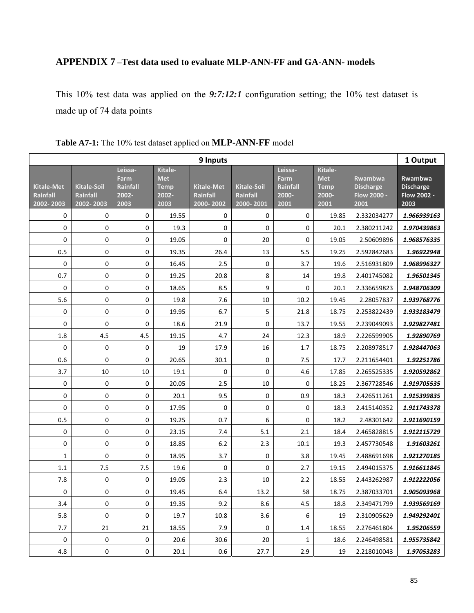## **APPENDIX 7 –Test data used to evaluate MLP-ANN-FF and GA-ANN- models**

This 10% test data was applied on the *9:7:12:1* configuration setting; the 10% test dataset is made up of 74 data points

| 9 Inputs                                          |                                                    |                                              |                                                       |                                     |                                             |                                              |                                                       | 1 Output                                                  |                                                    |
|---------------------------------------------------|----------------------------------------------------|----------------------------------------------|-------------------------------------------------------|-------------------------------------|---------------------------------------------|----------------------------------------------|-------------------------------------------------------|-----------------------------------------------------------|----------------------------------------------------|
| <b>Kitale-Met</b><br><b>Rainfall</b><br>2002-2003 | <b>Kitale-Soil</b><br><b>Rainfall</b><br>2002-2003 | Leissa-<br>Farm<br>Rainfall<br>2002-<br>2003 | Kitale-<br><b>Met</b><br><b>Temp</b><br>2002-<br>2003 | Kitale-Met<br>Rainfall<br>2000-2002 | <b>Kitale-Soil</b><br>Rainfall<br>2000-2001 | Leissa-<br>Farm<br>Rainfall<br>2000-<br>2001 | Kitale-<br><b>Met</b><br><b>Temp</b><br>2000-<br>2001 | <b>Rwambwa</b><br><b>Discharge</b><br>Flow 2000 -<br>2001 | Rwambwa<br><b>Discharge</b><br>Flow 2002 -<br>2003 |
| 0                                                 | 0                                                  | 0                                            | 19.55                                                 | 0                                   | 0                                           | 0                                            | 19.85                                                 | 2.332034277                                               | 1.966939163                                        |
| 0                                                 | 0                                                  | $\Omega$                                     | 19.3                                                  | $\Omega$                            | $\Omega$                                    | $\mathbf 0$                                  | 20.1                                                  | 2.380211242                                               | 1.970439863                                        |
| 0                                                 | 0                                                  | 0                                            | 19.05                                                 | 0                                   | 20                                          | 0                                            | 19.05                                                 | 2.50609896                                                | 1.968576335                                        |
| 0.5                                               | 0                                                  | $\mathbf 0$                                  | 19.35                                                 | 26.4                                | 13                                          | 5.5                                          | 19.25                                                 | 2.592842683                                               | 1.96922948                                         |
| $\pmb{0}$                                         | 0                                                  | $\pmb{0}$                                    | 16.45                                                 | 2.5                                 | 0                                           | 3.7                                          | 19.6                                                  | 2.516931809                                               | 1.968996327                                        |
| 0.7                                               | 0                                                  | $\Omega$                                     | 19.25                                                 | 20.8                                | 8                                           | 14                                           | 19.8                                                  | 2.401745082                                               | 1.96501345                                         |
| 0                                                 | 0                                                  | $\mathbf 0$                                  | 18.65                                                 | 8.5                                 | 9                                           | 0                                            | 20.1                                                  | 2.336659823                                               | 1.948706309                                        |
| 5.6                                               | 0                                                  | 0                                            | 19.8                                                  | 7.6                                 | 10                                          | 10.2                                         | 19.45                                                 | 2.28057837                                                | 1.939768776                                        |
| 0                                                 | 0                                                  | $\pmb{0}$                                    | 19.95                                                 | 6.7                                 | 5                                           | 21.8                                         | 18.75                                                 | 2.253822439                                               | 1.933183479                                        |
| 0                                                 | 0                                                  | 0                                            | 18.6                                                  | 21.9                                | 0                                           | 13.7                                         | 19.55                                                 | 2.239049093                                               | 1.929827481                                        |
| 1.8                                               | 4.5                                                | 4.5                                          | 19.15                                                 | 4.7                                 | 24                                          | 12.3                                         | 18.9                                                  | 2.226599905                                               | 1.92890769                                         |
| $\mathbf 0$                                       | 0                                                  | $\mathbf 0$                                  | 19                                                    | 17.9                                | 16                                          | 1.7                                          | 18.75                                                 | 2.208978517                                               | 1.928447063                                        |
| 0.6                                               | 0                                                  | $\mathbf 0$                                  | 20.65                                                 | 30.1                                | 0                                           | 7.5                                          | 17.7                                                  | 2.211654401                                               | 1.92251786                                         |
| 3.7                                               | 10                                                 | 10                                           | 19.1                                                  | $\pmb{0}$                           | $\overline{0}$                              | $4.6\,$                                      | 17.85                                                 | 2.265525335                                               | 1.920592862                                        |
| 0                                                 | 0                                                  | $\mathbf{0}$                                 | 20.05                                                 | 2.5                                 | 10                                          | 0                                            | 18.25                                                 | 2.367728546                                               | 1.919705535                                        |
| 0                                                 | 0                                                  | $\pmb{0}$                                    | 20.1                                                  | 9.5                                 | 0                                           | 0.9                                          | 18.3                                                  | 2.426511261                                               | 1.915399835                                        |
| 0                                                 | 0                                                  | $\pmb{0}$                                    | 17.95                                                 | $\pmb{0}$                           | 0                                           | 0                                            | 18.3                                                  | 2.415140352                                               | 1.911743378                                        |
| 0.5                                               | 0                                                  | 0                                            | 19.25                                                 | 0.7                                 | 6                                           | $\boldsymbol{0}$                             | 18.2                                                  | 2.48301642                                                | 1.911690159                                        |
| 0                                                 | 0                                                  | 0                                            | 23.15                                                 | 7.4                                 | 5.1                                         | 2.1                                          | 18.4                                                  | 2.465828815                                               | 1.912115729                                        |
| 0                                                 | 0                                                  | $\mathbf 0$                                  | 18.85                                                 | 6.2                                 | 2.3                                         | 10.1                                         | 19.3                                                  | 2.457730548                                               | 1.91603261                                         |
| $\mathbf 1$                                       | 0                                                  | 0                                            | 18.95                                                 | 3.7                                 | 0                                           | 3.8                                          | 19.45                                                 | 2.488691698                                               | 1.921270185                                        |
| 1.1                                               | 7.5                                                | 7.5                                          | 19.6                                                  | $\Omega$                            | $\overline{0}$                              | 2.7                                          | 19.15                                                 | 2.494015375                                               | 1.916611845                                        |
| 7.8                                               | 0                                                  | $\mathbf 0$                                  | 19.05                                                 | 2.3                                 | 10                                          | 2.2                                          | 18.55                                                 | 2.443262987                                               | 1.912222056                                        |
| $\mathbf 0$                                       | 0                                                  | $\mathbf 0$                                  | 19.45                                                 | 6.4                                 | 13.2                                        | 58                                           | 18.75                                                 | 2.387033701                                               | 1.905093968                                        |
| 3.4                                               | 0                                                  | $\pmb{0}$                                    | 19.35                                                 | 9.2                                 | 8.6                                         | 4.5                                          | 18.8                                                  | 2.349471799                                               | 1.939569169                                        |
| 5.8                                               | 0                                                  | $\pmb{0}$                                    | 19.7                                                  | 10.8                                | 3.6                                         | 6                                            | 19                                                    | 2.310905629                                               | 1.949292401                                        |
| 7.7                                               | 21                                                 | 21                                           | 18.55                                                 | 7.9                                 | $\mathbf 0$                                 | 1.4                                          | 18.55                                                 | 2.276461804                                               | 1.95206559                                         |
| 0                                                 | 0                                                  | $\pmb{0}$                                    | 20.6                                                  | 30.6                                | 20                                          | $\mathbf{1}$                                 | 18.6                                                  | 2.246498581                                               | 1.955735842                                        |
| 4.8                                               | 0                                                  | 0                                            | 20.1                                                  | 0.6                                 | 27.7                                        | 2.9                                          | 19                                                    | 2.218010043                                               | 1.97053283                                         |

### **Table A7-1:** The 10% test dataset applied on **MLP-ANN-FF** model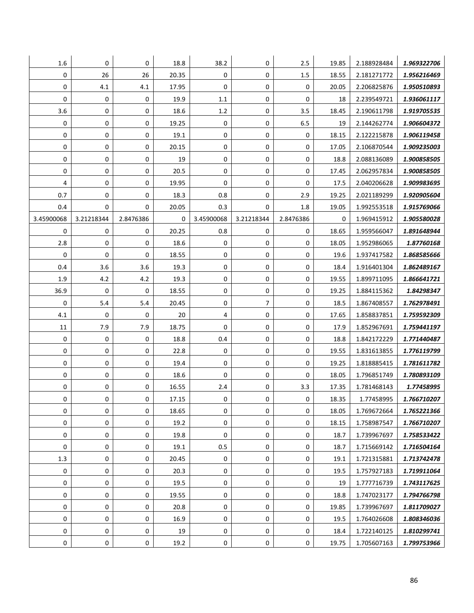| 1.6        | 0          | 0           | 18.8  | 38.2        | 0           | 2.5       | 19.85 | 2.188928484 | 1.969322706 |
|------------|------------|-------------|-------|-------------|-------------|-----------|-------|-------------|-------------|
| 0          | 26         | 26          | 20.35 | $\mathbf 0$ | $\mathbf 0$ | 1.5       | 18.55 | 2.181271772 | 1.956216469 |
| 0          | 4.1        | 4.1         | 17.95 | 0           | $\mathbf 0$ | 0         | 20.05 | 2.206825876 | 1.950510893 |
| 0          | 0          | 0           | 19.9  | $1.1\,$     | 0           | 0         | 18    | 2.239549721 | 1.936061117 |
| 3.6        | 0          | 0           | 18.6  | 1.2         | 0           | 3.5       | 18.45 | 2.190611798 | 1.919705535 |
| 0          | 0          | 0           | 19.25 | 0           | 0           | 6.5       | 19    | 2.144262774 | 1.906604372 |
| 0          | 0          | 0           | 19.1  | 0           | 0           | 0         | 18.15 | 2.122215878 | 1.906119458 |
| 0          | 0          | 0           | 20.15 | $\mathbf 0$ | 0           | 0         | 17.05 | 2.106870544 | 1.909235003 |
| 0          | 0          | 0           | 19    | 0           | 0           | 0         | 18.8  | 2.088136089 | 1.900858505 |
| 0          | 0          | 0           | 20.5  | 0           | 0           | 0         | 17.45 | 2.062957834 | 1.900858505 |
| 4          | 0          | 0           | 19.95 | 0           | 0           | 0         | 17.5  | 2.040206628 | 1.909983695 |
| 0.7        | 0          | 0           | 18.3  | 0.8         | 0           | 2.9       | 19.25 | 2.021189299 | 1.920905604 |
| 0.4        | 0          | $\mathbf 0$ | 20.05 | 0.3         | 0           | 1.8       | 19.05 | 1.992553518 | 1.915769066 |
| 3.45900068 | 3.21218344 | 2.8476386   | 0     | 3.45900068  | 3.21218344  | 2.8476386 | 0     | 1.969415912 | 1.905580028 |
| 0          | 0          | 0           | 20.25 | 0.8         | 0           | 0         | 18.65 | 1.959566047 | 1.891648944 |
| 2.8        | 0          | 0           | 18.6  | 0           | 0           | 0         | 18.05 | 1.952986065 | 1.87760168  |
| 0          | 0          | 0           | 18.55 | 0           | 0           | 0         | 19.6  | 1.937417582 | 1.868585666 |
| 0.4        | 3.6        | 3.6         | 19.3  | 0           | 0           | 0         | 18.4  | 1.916401304 | 1.862489167 |
| 1.9        | 4.2        | 4.2         | 19.3  | 0           | 0           | 0         | 19.55 | 1.899711095 | 1.866641721 |
| 36.9       | 0          | 0           | 18.55 | $\mathbf 0$ | 0           | 0         | 19.25 | 1.884115362 | 1.84298347  |
| 0          | 5.4        | 5.4         | 20.45 | 0           | 7           | 0         | 18.5  | 1.867408557 | 1.762978491 |
| 4.1        | 0          | 0           | 20    | 4           | 0           | 0         | 17.65 | 1.858837851 | 1.759592309 |
| 11         | 7.9        | 7.9         | 18.75 | 0           | 0           | 0         | 17.9  | 1.852967691 | 1.759441197 |
| 0          | 0          | 0           | 18.8  | 0.4         | 0           | 0         | 18.8  | 1.842172229 | 1.771440487 |
| 0          | 0          | 0           | 22.8  | $\mathbf 0$ | 0           | 0         | 19.55 | 1.831613855 | 1.776119799 |
| 0          | 0          | 0           | 19.4  | $\mathbf 0$ | 0           | 0         | 19.25 | 1.818885415 | 1.781611782 |
| 0          | 0          | 0           | 18.6  | 0           | 0           | 0         | 18.05 | 1.796851749 | 1.780893109 |
| 0          | 0          | 0           | 16.55 | 2.4         | 0           | 3.3       | 17.35 | 1.781468143 | 1.77458995  |
| 0          | 0          | 0           | 17.15 | $\pmb{0}$   | $\mathbf 0$ | 0         | 18.35 | 1.77458995  | 1.766710207 |
| 0          | 0          | $\mathbf 0$ | 18.65 | 0           | 0           | 0         | 18.05 | 1.769672664 | 1.765221366 |
| 0          | 0          | 0           | 19.2  | 0           | $\pmb{0}$   | 0         | 18.15 | 1.758987547 | 1.766710207 |
| 0          | 0          | 0           | 19.8  | $\mathbf 0$ | $\mathbf 0$ | 0         | 18.7  | 1.739967697 | 1.758533422 |
| 0          | 0          | 0           | 19.1  | 0.5         | $\pmb{0}$   | 0         | 18.7  | 1.715669142 | 1.716504164 |
| 1.3        | 0          | 0           | 20.45 | $\mathbf 0$ | 0           | 0         | 19.1  | 1.721315881 | 1.713742478 |
| 0          | 0          | 0           | 20.3  | 0           | 0           | 0         | 19.5  | 1.757927183 | 1.719911064 |
| 0          | 0          | 0           | 19.5  | 0           | 0           | 0         | 19    | 1.777716739 | 1.743117625 |
| 0          | 0          | 0           | 19.55 | $\mathbf 0$ | $\mathbf 0$ | 0         | 18.8  | 1.747023177 | 1.794766798 |
| 0          | 0          | 0           | 20.8  | 0           | 0           | 0         | 19.85 | 1.739967697 | 1.811709027 |
| 0          | 0          | 0           | 16.9  | 0           | $\mathbf 0$ | 0         | 19.5  | 1.764026608 | 1.808346036 |
| 0          | 0          | 0           | 19    | 0           | 0           | 0         | 18.4  | 1.722140125 | 1.810299741 |
| 0          | 0          | 0           | 19.2  | 0           | 0           | 0         | 19.75 | 1.705607163 | 1.799753966 |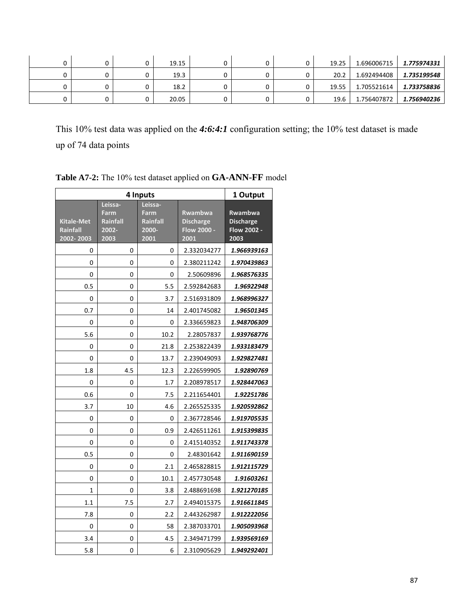|  | 19.15 |  | 0 | 19.25 | 1.696006715 | 1.775974331 |
|--|-------|--|---|-------|-------------|-------------|
|  | 19.3  |  | 0 | 20.2  | 1.692494408 | 1.735199548 |
|  | 18.2  |  | 0 | 19.55 | 1.705521614 | 1.733758836 |
|  | 20.05 |  | 0 | 19.6  | 1.756407872 | 1.756940236 |

This 10% test data was applied on the *4:6:4:1* configuration setting; the 10% test dataset is made up of 74 data points

|                                            | 1 Output                                     |                                              |                                                           |                                                           |
|--------------------------------------------|----------------------------------------------|----------------------------------------------|-----------------------------------------------------------|-----------------------------------------------------------|
| <b>Kitale-Met</b><br>Rainfall<br>2002-2003 | Leissa-<br>Farm<br>Rainfall<br>2002-<br>2003 | Leissa-<br>Farm<br>Rainfall<br>2000-<br>2001 | <b>Rwambwa</b><br><b>Discharge</b><br>Flow 2000 -<br>2001 | Rwambwa<br><b>Discharge</b><br><b>Flow 2002 -</b><br>2003 |
| 0                                          | 0                                            | 0                                            | 2.332034277                                               | 1.966939163                                               |
| 0                                          | 0                                            | 0                                            | 2.380211242                                               | 1.970439863                                               |
| 0                                          | 0                                            | 0                                            | 2.50609896                                                | 1.968576335                                               |
| 0.5                                        | 0                                            | 5.5                                          | 2.592842683                                               | 1.96922948                                                |
| 0                                          | 0                                            | 3.7                                          | 2.516931809                                               | 1.968996327                                               |
| 0.7                                        | 0                                            | 14                                           | 2.401745082                                               | 1.96501345                                                |
| 0                                          | 0                                            | 0                                            | 2.336659823                                               | 1.948706309                                               |
| 5.6                                        | 0                                            | 10.2                                         | 2.28057837                                                | 1.939768776                                               |
| 0                                          | 0                                            | 21.8                                         | 2.253822439                                               | 1.933183479                                               |
| 0                                          | 0                                            | 13.7                                         | 2.239049093                                               | 1.929827481                                               |
| 1.8                                        | 4.5                                          | 12.3                                         | 2.226599905                                               | 1.92890769                                                |
| 0                                          | 0                                            | 1.7                                          | 2.208978517                                               | 1.928447063                                               |
| 0.6                                        | 0                                            | 7.5                                          | 2.211654401                                               | 1.92251786                                                |
| 3.7                                        | 10                                           | 4.6                                          | 2.265525335                                               | 1.920592862                                               |
| 0                                          | 0                                            | 0                                            | 2.367728546                                               | 1.919705535                                               |
| 0                                          | 0                                            | 0.9                                          | 2.426511261                                               | 1.915399835                                               |
| 0                                          | 0                                            | 0                                            | 2.415140352                                               | 1.911743378                                               |
| 0.5                                        | 0                                            | 0                                            | 2.48301642                                                | 1.911690159                                               |
| 0                                          | 0                                            | 2.1                                          | 2.465828815                                               | 1.912115729                                               |
| 0                                          | 0                                            | 10.1                                         | 2.457730548                                               | 1.91603261                                                |
| 1                                          | 0                                            | 3.8                                          | 2.488691698                                               | 1.921270185                                               |
| 1.1                                        | 7.5                                          | 2.7                                          | 2.494015375                                               | 1.916611845                                               |
| 7.8                                        | 0                                            | 2.2                                          | 2.443262987                                               | 1.912222056                                               |
| 0                                          | 0                                            | 58                                           | 2.387033701                                               | 1.905093968                                               |
| 3.4                                        | 0                                            | 4.5                                          | 2.349471799                                               | 1.939569169                                               |
| 5.8                                        | 0                                            | 6                                            | 2.310905629                                               | 1.949292401                                               |

**Table A7-2:** The 10% test dataset applied on **GA-ANN-FF** model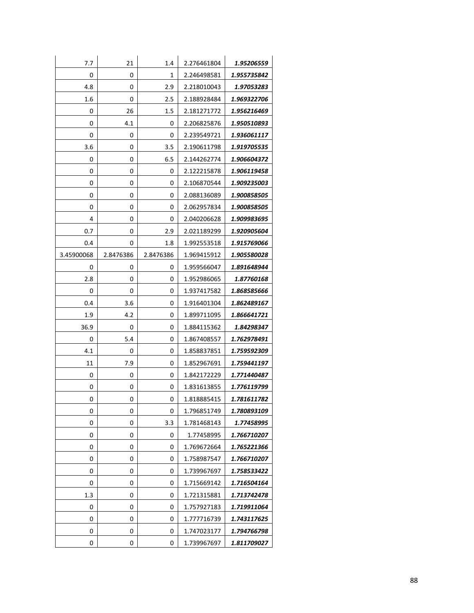| 7.7        | 21        | 1.4       | 2.276461804 | 1.95206559  |
|------------|-----------|-----------|-------------|-------------|
| 0          | 0         | 1         | 2.246498581 | 1.955735842 |
| 4.8        | 0         | 2.9       | 2.218010043 | 1.97053283  |
| 1.6        | 0         | 2.5       | 2.188928484 | 1.969322706 |
| 0          | 26        | 1.5       | 2.181271772 | 1.956216469 |
| 0          | 4.1       | 0         | 2.206825876 | 1.950510893 |
| 0          | 0         | 0         | 2.239549721 | 1.936061117 |
| 3.6        | 0         | 3.5       | 2.190611798 | 1.919705535 |
| 0          | 0         | 6.5       | 2.144262774 | 1.906604372 |
| 0          | 0         | 0         | 2.122215878 | 1.906119458 |
| 0          | 0         | 0         | 2.106870544 | 1.909235003 |
| 0          | 0         | 0         | 2.088136089 | 1.900858505 |
| 0          | 0         | 0         | 2.062957834 | 1.900858505 |
| 4          | 0         | 0         | 2.040206628 | 1.909983695 |
| 0.7        | 0         | 2.9       | 2.021189299 | 1.920905604 |
| 0.4        | 0         | 1.8       | 1.992553518 | 1.915769066 |
| 3.45900068 | 2.8476386 | 2.8476386 | 1.969415912 | 1.905580028 |
| 0          | 0         | 0         | 1.959566047 | 1.891648944 |
| 2.8        | 0         | 0         | 1.952986065 | 1.87760168  |
| 0          | 0         | 0         | 1.937417582 | 1.868585666 |
| 0.4        | 3.6       | 0         | 1.916401304 | 1.862489167 |
| 1.9        | 4.2       | 0         | 1.899711095 | 1.866641721 |
| 36.9       | 0         | 0         | 1.884115362 | 1.84298347  |
| 0          | 5.4       | 0         | 1.867408557 | 1.762978491 |
| 4.1        | 0         | 0         | 1.858837851 | 1.759592309 |
| 11         | 7.9       | 0         | 1.852967691 | 1.759441197 |
| 0          | 0         | 0         | 1.842172229 | 1.771440487 |
| 0          | 0         | 0         | 1.831613855 | 1.776119799 |
| 0          | 0         | 0         | 1.818885415 | 1.781611782 |
| 0          | 0         | 0         | 1.796851749 | 1.780893109 |
| 0          | 0         | 3.3       | 1.781468143 | 1.77458995  |
| 0          | 0         | 0         | 1.77458995  | 1.766710207 |
| 0          | 0         | 0         | 1.769672664 | 1.765221366 |
| 0          | 0         | 0         | 1.758987547 | 1.766710207 |
| 0          | 0         | 0         | 1.739967697 | 1.758533422 |
| 0          | 0         | 0         | 1.715669142 | 1.716504164 |
| 1.3        | 0         | 0         | 1.721315881 | 1.713742478 |
| 0          | 0         | 0         | 1.757927183 | 1.719911064 |
| 0          | 0         | 0         | 1.777716739 | 1.743117625 |
| 0          | 0         | 0         | 1.747023177 | 1.794766798 |
| 0          | 0         | 0         | 1.739967697 | 1.811709027 |